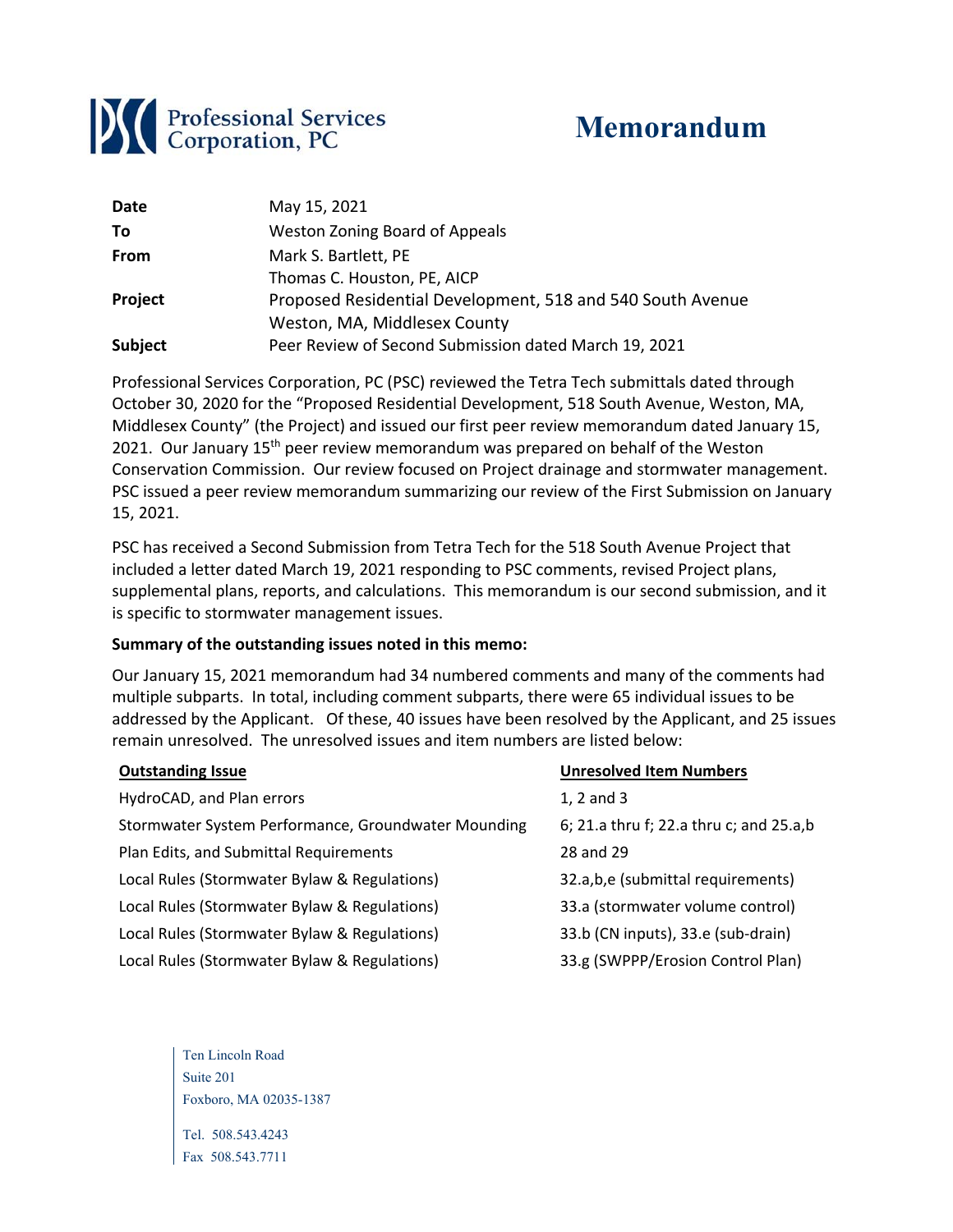

# **Memorandum**

| Date           | May 15, 2021                                               |
|----------------|------------------------------------------------------------|
| To             | <b>Weston Zoning Board of Appeals</b>                      |
| <b>From</b>    | Mark S. Bartlett, PE                                       |
|                | Thomas C. Houston, PE, AICP                                |
| Project        | Proposed Residential Development, 518 and 540 South Avenue |
|                | Weston, MA, Middlesex County                               |
| <b>Subject</b> | Peer Review of Second Submission dated March 19, 2021      |

Professional Services Corporation, PC (PSC) reviewed the Tetra Tech submittals dated through October 30, 2020 for the "Proposed Residential Development, 518 South Avenue, Weston, MA, Middlesex County" (the Project) and issued our first peer review memorandum dated January 15, 2021. Our January 15<sup>th</sup> peer review memorandum was prepared on behalf of the Weston Conservation Commission. Our review focused on Project drainage and stormwater management. PSC issued a peer review memorandum summarizing our review of the First Submission on January 15, 2021.

PSC has received a Second Submission from Tetra Tech for the 518 South Avenue Project that included a letter dated March 19, 2021 responding to PSC comments, revised Project plans, supplemental plans, reports, and calculations. This memorandum is our second submission, and it is specific to stormwater management issues.

#### **Summary of the outstanding issues noted in this memo:**

Our January 15, 2021 memorandum had 34 numbered comments and many of the comments had multiple subparts. In total, including comment subparts, there were 65 individual issues to be addressed by the Applicant. Of these, 40 issues have been resolved by the Applicant, and 25 issues remain unresolved. The unresolved issues and item numbers are listed below:

| <b>Outstanding Issue</b>                            | <b>Unresolved Item Numbers</b>          |
|-----------------------------------------------------|-----------------------------------------|
| HydroCAD, and Plan errors                           | $1, 2$ and $3$                          |
| Stormwater System Performance, Groundwater Mounding | 6; 21.a thru f; 22.a thru c; and 25.a,b |
| Plan Edits, and Submittal Requirements              | 28 and 29                               |
| Local Rules (Stormwater Bylaw & Regulations)        | 32.a,b,e (submittal requirements)       |
| Local Rules (Stormwater Bylaw & Regulations)        | 33.a (stormwater volume control)        |
| Local Rules (Stormwater Bylaw & Regulations)        | 33.b (CN inputs), 33.e (sub-drain)      |
| Local Rules (Stormwater Bylaw & Regulations)        | 33.g (SWPPP/Erosion Control Plan)       |

Ten Lincoln Road Suite 201 Foxboro, MA 02035-1387

Tel. 508.543.4243 Fax 508.543.7711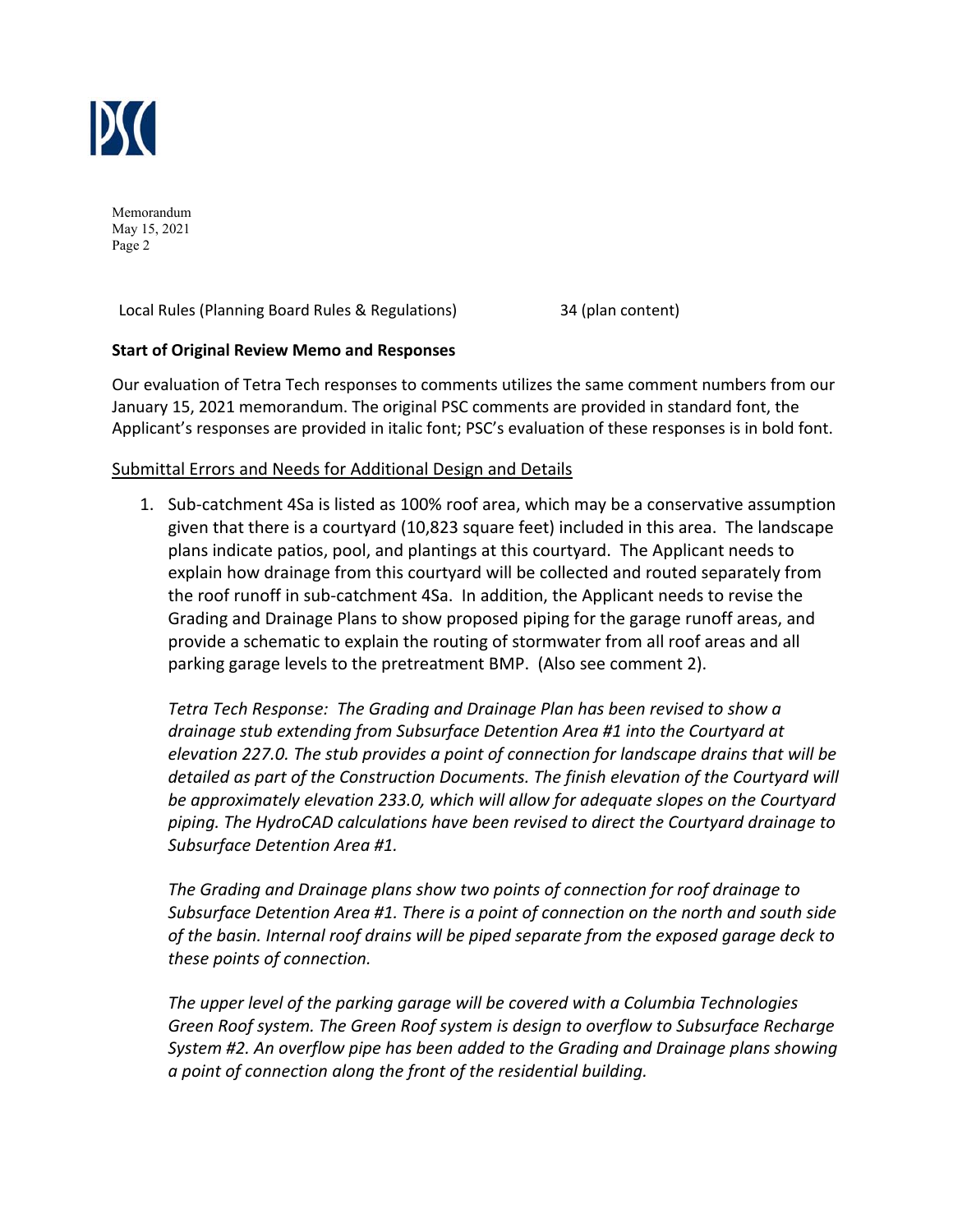

Local Rules (Planning Board Rules & Regulations) 34 (plan content)

## **Start of Original Review Memo and Responses**

Our evaluation of Tetra Tech responses to comments utilizes the same comment numbers from our January 15, 2021 memorandum. The original PSC comments are provided in standard font, the Applicant's responses are provided in italic font; PSC's evaluation of these responses is in bold font.

#### Submittal Errors and Needs for Additional Design and Details

1. Sub‐catchment 4Sa is listed as 100% roof area, which may be a conservative assumption given that there is a courtyard (10,823 square feet) included in this area. The landscape plans indicate patios, pool, and plantings at this courtyard. The Applicant needs to explain how drainage from this courtyard will be collected and routed separately from the roof runoff in sub‐catchment 4Sa. In addition, the Applicant needs to revise the Grading and Drainage Plans to show proposed piping for the garage runoff areas, and provide a schematic to explain the routing of stormwater from all roof areas and all parking garage levels to the pretreatment BMP. (Also see comment 2).

*Tetra Tech Response: The Grading and Drainage Plan has been revised to show a drainage stub extending from Subsurface Detention Area #1 into the Courtyard at elevation 227.0. The stub provides a point of connection for landscape drains that will be detailed as part of the Construction Documents. The finish elevation of the Courtyard will be approximately elevation 233.0, which will allow for adequate slopes on the Courtyard piping. The HydroCAD calculations have been revised to direct the Courtyard drainage to Subsurface Detention Area #1.* 

*The Grading and Drainage plans show two points of connection for roof drainage to Subsurface Detention Area #1. There is a point of connection on the north and south side of the basin. Internal roof drains will be piped separate from the exposed garage deck to these points of connection.* 

*The upper level of the parking garage will be covered with a Columbia Technologies Green Roof system. The Green Roof system is design to overflow to Subsurface Recharge System #2. An overflow pipe has been added to the Grading and Drainage plans showing a point of connection along the front of the residential building.*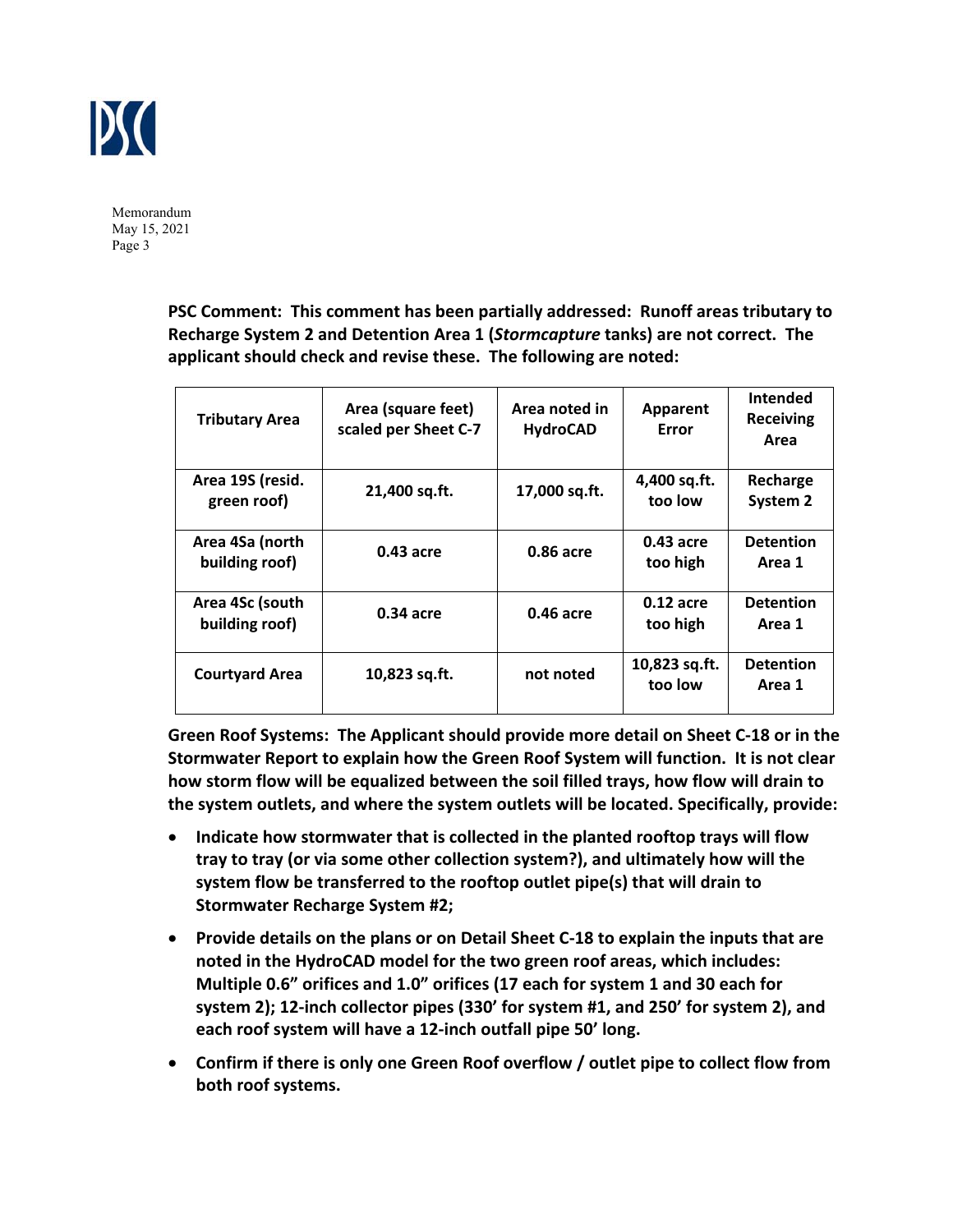

> **PSC Comment: This comment has been partially addressed: Runoff areas tributary to Recharge System 2 and Detention Area 1 (***Stormcapture* **tanks) are not correct. The applicant should check and revise these. The following are noted:**

| <b>Tributary Area</b>             | Area (square feet)<br>scaled per Sheet C-7 | Area noted in<br><b>HydroCAD</b> | <b>Apparent</b><br>Error | <b>Intended</b><br><b>Receiving</b><br>Area |
|-----------------------------------|--------------------------------------------|----------------------------------|--------------------------|---------------------------------------------|
| Area 19S (resid.<br>green roof)   | 21,400 sq.ft.                              | 17,000 sq.ft.                    | 4,400 sq.ft.<br>too low  | Recharge<br>System 2                        |
| Area 4Sa (north<br>building roof) | $0.43$ acre                                | 0.86 acre                        | $0.43$ acre<br>too high  | <b>Detention</b><br>Area 1                  |
| Area 4Sc (south<br>building roof) | $0.34$ acre                                | 0.46 acre                        | $0.12$ acre<br>too high  | <b>Detention</b><br>Area 1                  |
| <b>Courtyard Area</b>             | 10,823 sq.ft.                              | not noted                        | 10,823 sq.ft.<br>too low | <b>Detention</b><br>Area 1                  |

**Green Roof Systems: The Applicant should provide more detail on Sheet C‐18 or in the Stormwater Report to explain how the Green Roof System will function. It is not clear how storm flow will be equalized between the soil filled trays, how flow will drain to the system outlets, and where the system outlets will be located. Specifically, provide:** 

- **Indicate how stormwater that is collected in the planted rooftop trays will flow tray to tray (or via some other collection system?), and ultimately how will the system flow be transferred to the rooftop outlet pipe(s) that will drain to Stormwater Recharge System #2;**
- **Provide details on the plans or on Detail Sheet C‐18 to explain the inputs that are noted in the HydroCAD model for the two green roof areas, which includes: Multiple 0.6" orifices and 1.0" orifices (17 each for system 1 and 30 each for system 2); 12‐inch collector pipes (330' for system #1, and 250' for system 2), and each roof system will have a 12‐inch outfall pipe 50' long.**
- **Confirm if there is only one Green Roof overflow / outlet pipe to collect flow from both roof systems.**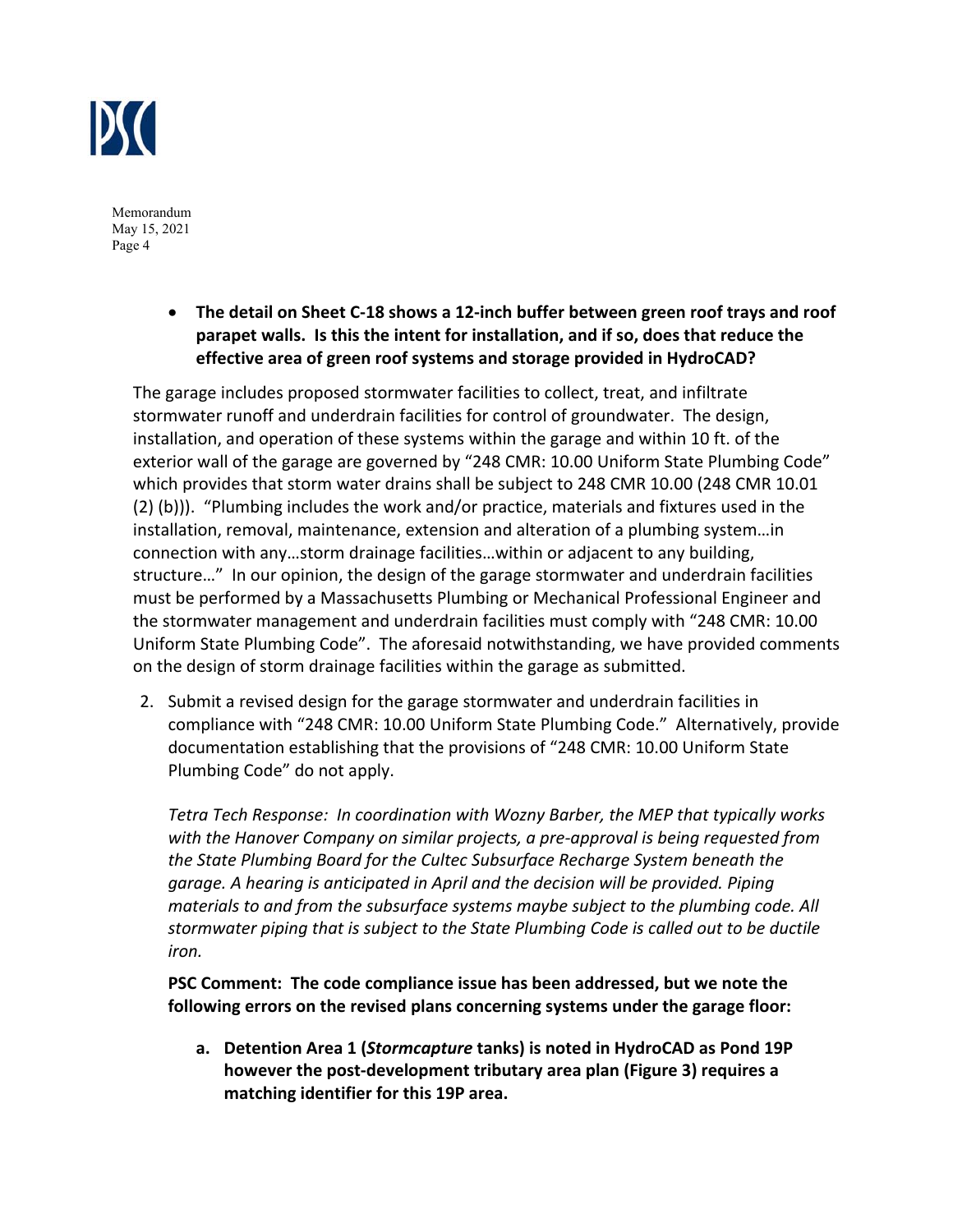

> **The detail on Sheet C‐18 shows a 12‐inch buffer between green roof trays and roof parapet walls. Is this the intent for installation, and if so, does that reduce the effective area of green roof systems and storage provided in HydroCAD?**

The garage includes proposed stormwater facilities to collect, treat, and infiltrate stormwater runoff and underdrain facilities for control of groundwater. The design, installation, and operation of these systems within the garage and within 10 ft. of the exterior wall of the garage are governed by "248 CMR: 10.00 Uniform State Plumbing Code" which provides that storm water drains shall be subject to 248 CMR 10.00 (248 CMR 10.01 (2) (b))). "Plumbing includes the work and/or practice, materials and fixtures used in the installation, removal, maintenance, extension and alteration of a plumbing system…in connection with any…storm drainage facilities…within or adjacent to any building, structure…" In our opinion, the design of the garage stormwater and underdrain facilities must be performed by a Massachusetts Plumbing or Mechanical Professional Engineer and the stormwater management and underdrain facilities must comply with "248 CMR: 10.00 Uniform State Plumbing Code". The aforesaid notwithstanding, we have provided comments on the design of storm drainage facilities within the garage as submitted.

2. Submit a revised design for the garage stormwater and underdrain facilities in compliance with "248 CMR: 10.00 Uniform State Plumbing Code." Alternatively, provide documentation establishing that the provisions of "248 CMR: 10.00 Uniform State Plumbing Code" do not apply.

*Tetra Tech Response: In coordination with Wozny Barber, the MEP that typically works with the Hanover Company on similar projects, a pre‐approval is being requested from the State Plumbing Board for the Cultec Subsurface Recharge System beneath the garage. A hearing is anticipated in April and the decision will be provided. Piping materials to and from the subsurface systems maybe subject to the plumbing code. All stormwater piping that is subject to the State Plumbing Code is called out to be ductile iron.* 

**PSC Comment: The code compliance issue has been addressed, but we note the following errors on the revised plans concerning systems under the garage floor:** 

**a. Detention Area 1 (***Stormcapture* **tanks) is noted in HydroCAD as Pond 19P however the post‐development tributary area plan (Figure 3) requires a matching identifier for this 19P area.**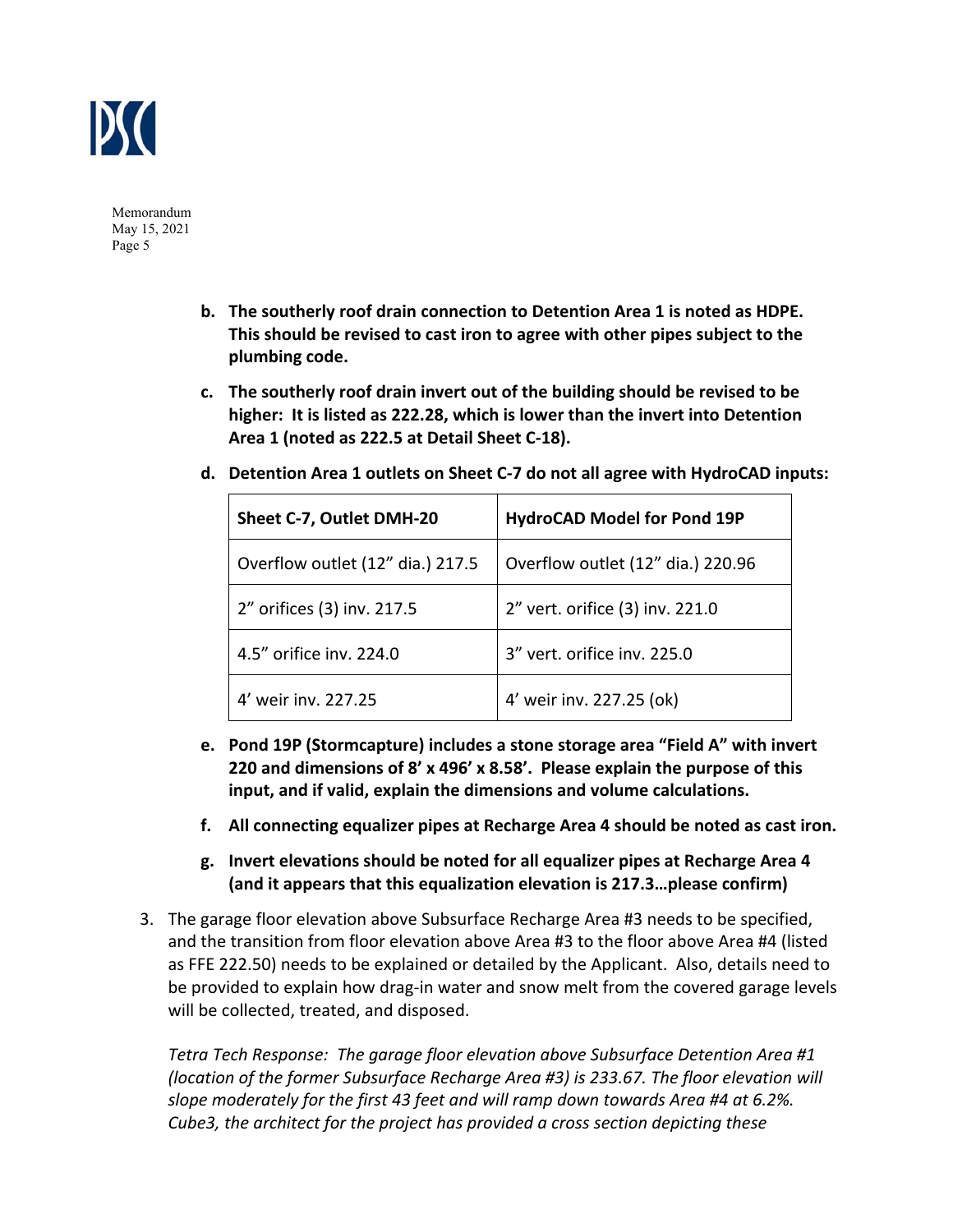

- **b. The southerly roof drain connection to Detention Area 1 is noted as HDPE. This should be revised to cast iron to agree with other pipes subject to the plumbing code.**
- **c. The southerly roof drain invert out of the building should be revised to be higher: It is listed as 222.28, which is lower than the invert into Detention Area 1 (noted as 222.5 at Detail Sheet C‐18).**

| $\mu$ . Detention Area I butlets on sheet C-7 do not an agree with hydrocAD inputs |                                   |  |  |
|------------------------------------------------------------------------------------|-----------------------------------|--|--|
| Sheet C-7, Outlet DMH-20                                                           | HydroCAD Model for Pond 19P       |  |  |
| Overflow outlet (12" dia.) 217.5                                                   | Overflow outlet (12" dia.) 220.96 |  |  |
|                                                                                    |                                   |  |  |

2" orifices (3) inv. 217.5  $\vert$  2" vert. orifice (3) inv. 221.0

4.5" orifice inv. 224.0 3" vert. orifice inv. 225.0

4' weir inv. 227.25 4' weir inv. 227.25 (ok)

**d. Detention Area 1 outlets on Sheet C‐7 do not all agree with HydroCAD inputs:** 

- **e. Pond 19P (Stormcapture) includes a stone storage area "Field A" with invert 220 and dimensions of 8' x 496' x 8.58'. Please explain the purpose of this input, and if valid, explain the dimensions and volume calculations.**
- **f. All connecting equalizer pipes at Recharge Area 4 should be noted as cast iron.**
- **g. Invert elevations should be noted for all equalizer pipes at Recharge Area 4 (and it appears that this equalization elevation is 217.3…please confirm)**
- 3. The garage floor elevation above Subsurface Recharge Area #3 needs to be specified, and the transition from floor elevation above Area #3 to the floor above Area #4 (listed as FFE 222.50) needs to be explained or detailed by the Applicant. Also, details need to be provided to explain how drag-in water and snow melt from the covered garage levels will be collected, treated, and disposed.

*Tetra Tech Response: The garage floor elevation above Subsurface Detention Area #1 (location of the former Subsurface Recharge Area #3) is 233.67. The floor elevation will slope moderately for the first 43 feet and will ramp down towards Area #4 at 6.2%. Cube3, the architect for the project has provided a cross section depicting these*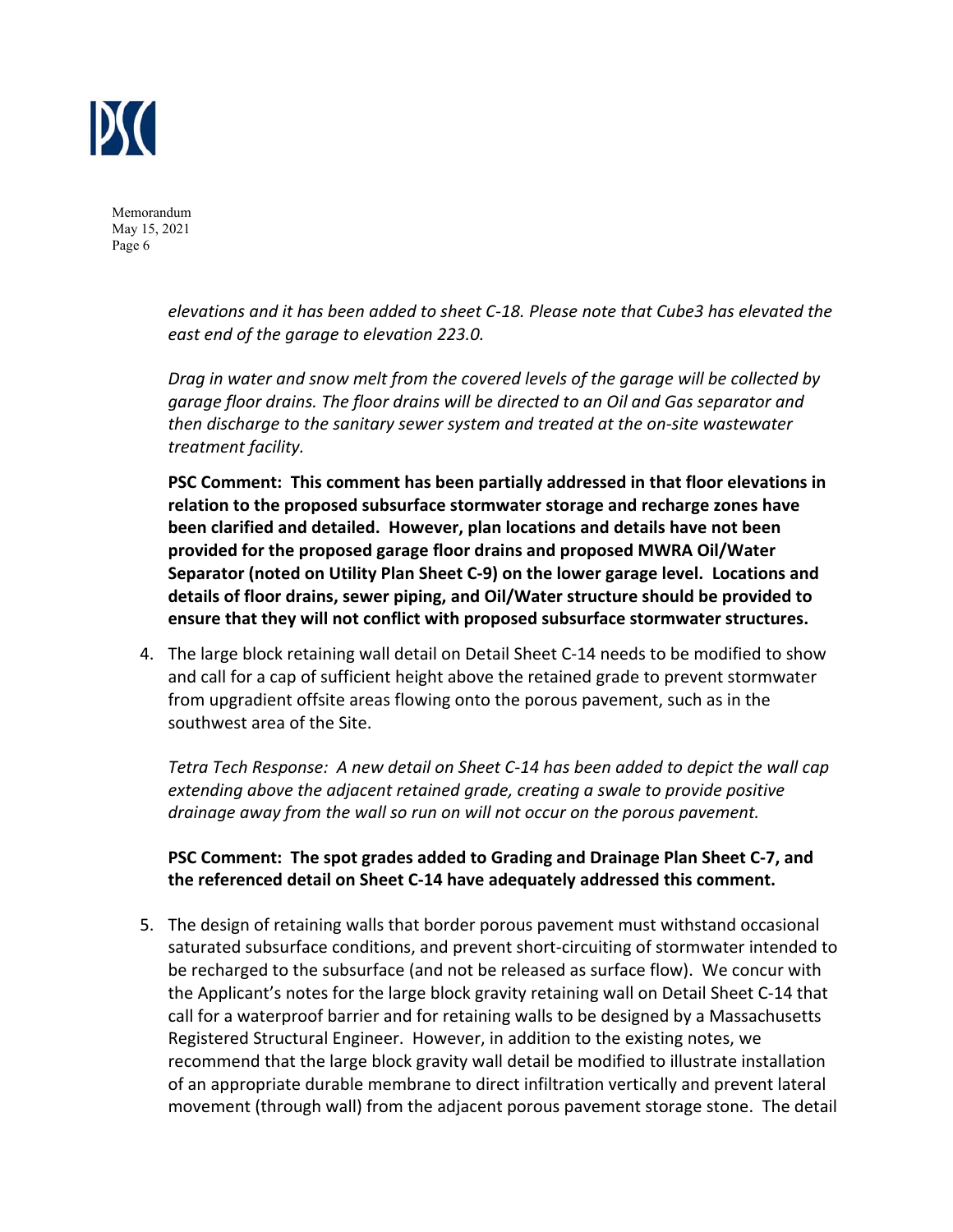

> *elevations and it has been added to sheet C‐18. Please note that Cube3 has elevated the east end of the garage to elevation 223.0.*

*Drag in water and snow melt from the covered levels of the garage will be collected by garage floor drains. The floor drains will be directed to an Oil and Gas separator and then discharge to the sanitary sewer system and treated at the on‐site wastewater treatment facility.* 

**PSC Comment: This comment has been partially addressed in that floor elevations in relation to the proposed subsurface stormwater storage and recharge zones have been clarified and detailed. However, plan locations and details have not been provided for the proposed garage floor drains and proposed MWRA Oil/Water Separator (noted on Utility Plan Sheet C‐9) on the lower garage level. Locations and details of floor drains, sewer piping, and Oil/Water structure should be provided to ensure that they will not conflict with proposed subsurface stormwater structures.** 

4. The large block retaining wall detail on Detail Sheet C‐14 needs to be modified to show and call for a cap of sufficient height above the retained grade to prevent stormwater from upgradient offsite areas flowing onto the porous pavement, such as in the southwest area of the Site.

*Tetra Tech Response: A new detail on Sheet C‐14 has been added to depict the wall cap extending above the adjacent retained grade, creating a swale to provide positive drainage away from the wall so run on will not occur on the porous pavement.* 

**PSC Comment: The spot grades added to Grading and Drainage Plan Sheet C‐7, and the referenced detail on Sheet C‐14 have adequately addressed this comment.**

5. The design of retaining walls that border porous pavement must withstand occasional saturated subsurface conditions, and prevent short‐circuiting of stormwater intended to be recharged to the subsurface (and not be released as surface flow). We concur with the Applicant's notes for the large block gravity retaining wall on Detail Sheet C‐14 that call for a waterproof barrier and for retaining walls to be designed by a Massachusetts Registered Structural Engineer. However, in addition to the existing notes, we recommend that the large block gravity wall detail be modified to illustrate installation of an appropriate durable membrane to direct infiltration vertically and prevent lateral movement (through wall) from the adjacent porous pavement storage stone. The detail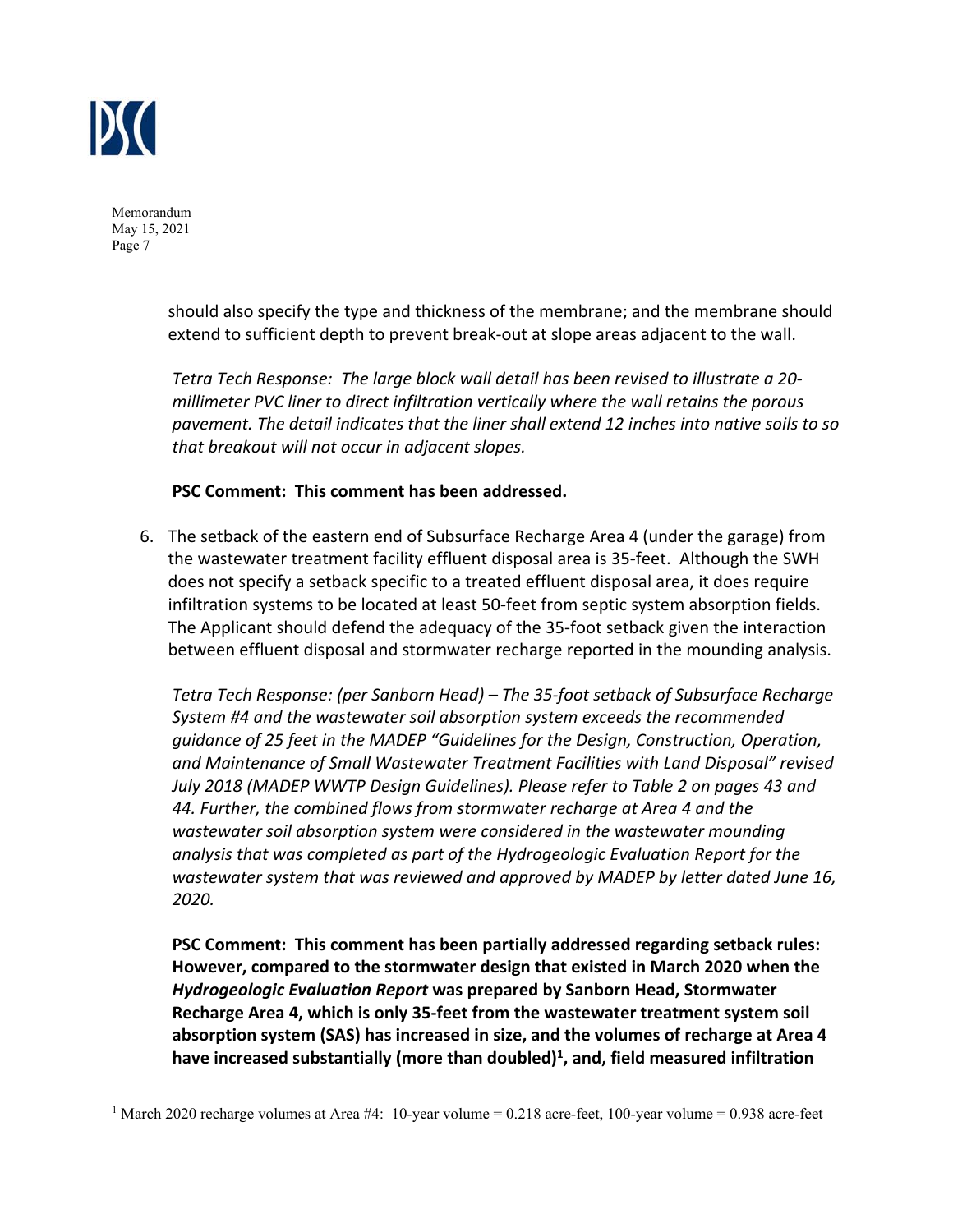

> should also specify the type and thickness of the membrane; and the membrane should extend to sufficient depth to prevent break‐out at slope areas adjacent to the wall.

> *Tetra Tech Response: The large block wall detail has been revised to illustrate a 20‐ millimeter PVC liner to direct infiltration vertically where the wall retains the porous pavement. The detail indicates that the liner shall extend 12 inches into native soils to so that breakout will not occur in adjacent slopes.*

## **PSC Comment: This comment has been addressed.**

6. The setback of the eastern end of Subsurface Recharge Area 4 (under the garage) from the wastewater treatment facility effluent disposal area is 35‐feet. Although the SWH does not specify a setback specific to a treated effluent disposal area, it does require infiltration systems to be located at least 50‐feet from septic system absorption fields. The Applicant should defend the adequacy of the 35‐foot setback given the interaction between effluent disposal and stormwater recharge reported in the mounding analysis.

*Tetra Tech Response: (per Sanborn Head) – The 35‐foot setback of Subsurface Recharge System #4 and the wastewater soil absorption system exceeds the recommended guidance of 25 feet in the MADEP "Guidelines for the Design, Construction, Operation, and Maintenance of Small Wastewater Treatment Facilities with Land Disposal" revised July 2018 (MADEP WWTP Design Guidelines). Please refer to Table 2 on pages 43 and 44. Further, the combined flows from stormwater recharge at Area 4 and the wastewater soil absorption system were considered in the wastewater mounding analysis that was completed as part of the Hydrogeologic Evaluation Report for the wastewater system that was reviewed and approved by MADEP by letter dated June 16, 2020.* 

**PSC Comment: This comment has been partially addressed regarding setback rules: However, compared to the stormwater design that existed in March 2020 when the**  *Hydrogeologic Evaluation Report* **was prepared by Sanborn Head, Stormwater Recharge Area 4, which is only 35‐feet from the wastewater treatment system soil absorption system (SAS) has increased in size, and the volumes of recharge at Area 4 have increased substantially (more than doubled)1 , and, field measured infiltration** 

<sup>&</sup>lt;sup>1</sup> March 2020 recharge volumes at Area #4: 10-year volume = 0.218 acre-feet, 100-year volume = 0.938 acre-feet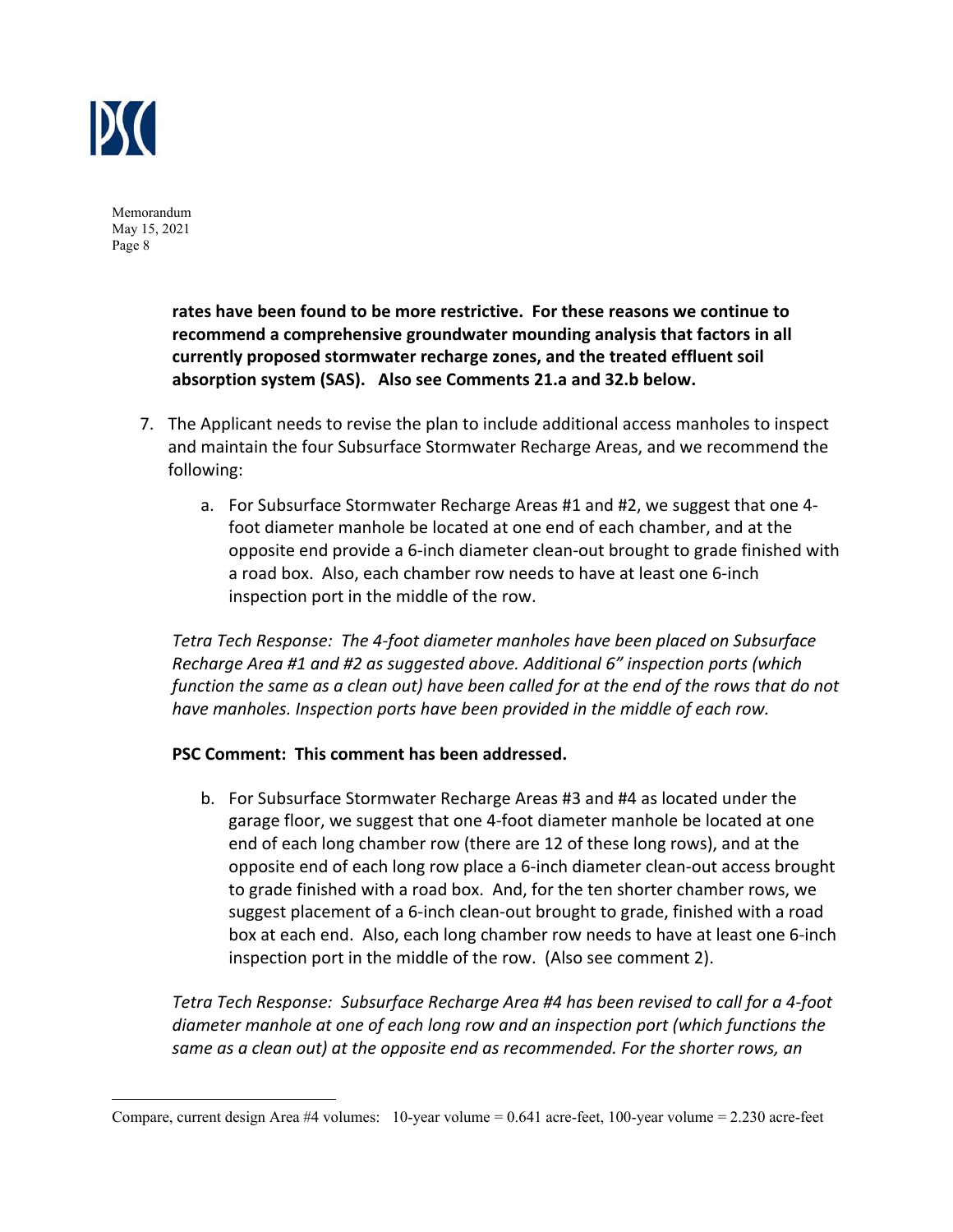

> **rates have been found to be more restrictive. For these reasons we continue to recommend a comprehensive groundwater mounding analysis that factors in all currently proposed stormwater recharge zones, and the treated effluent soil absorption system (SAS). Also see Comments 21.a and 32.b below.**

- 7. The Applicant needs to revise the plan to include additional access manholes to inspect and maintain the four Subsurface Stormwater Recharge Areas, and we recommend the following:
	- a. For Subsurface Stormwater Recharge Areas #1 and #2, we suggest that one 4‐ foot diameter manhole be located at one end of each chamber, and at the opposite end provide a 6‐inch diameter clean‐out brought to grade finished with a road box. Also, each chamber row needs to have at least one 6‐inch inspection port in the middle of the row.

*Tetra Tech Response: The 4‐foot diameter manholes have been placed on Subsurface Recharge Area #1 and #2 as suggested above. Additional 6" inspection ports (which function the same as a clean out) have been called for at the end of the rows that do not have manholes. Inspection ports have been provided in the middle of each row.* 

#### **PSC Comment: This comment has been addressed.**

b. For Subsurface Stormwater Recharge Areas #3 and #4 as located under the garage floor, we suggest that one 4‐foot diameter manhole be located at one end of each long chamber row (there are 12 of these long rows), and at the opposite end of each long row place a 6‐inch diameter clean‐out access brought to grade finished with a road box. And, for the ten shorter chamber rows, we suggest placement of a 6‐inch clean‐out brought to grade, finished with a road box at each end. Also, each long chamber row needs to have at least one 6‐inch inspection port in the middle of the row. (Also see comment 2).

*Tetra Tech Response: Subsurface Recharge Area #4 has been revised to call for a 4‐foot diameter manhole at one of each long row and an inspection port (which functions the same as a clean out) at the opposite end as recommended. For the shorter rows, an* 

Compare, current design Area #4 volumes: 10-year volume = 0.641 acre-feet, 100-year volume = 2.230 acre-feet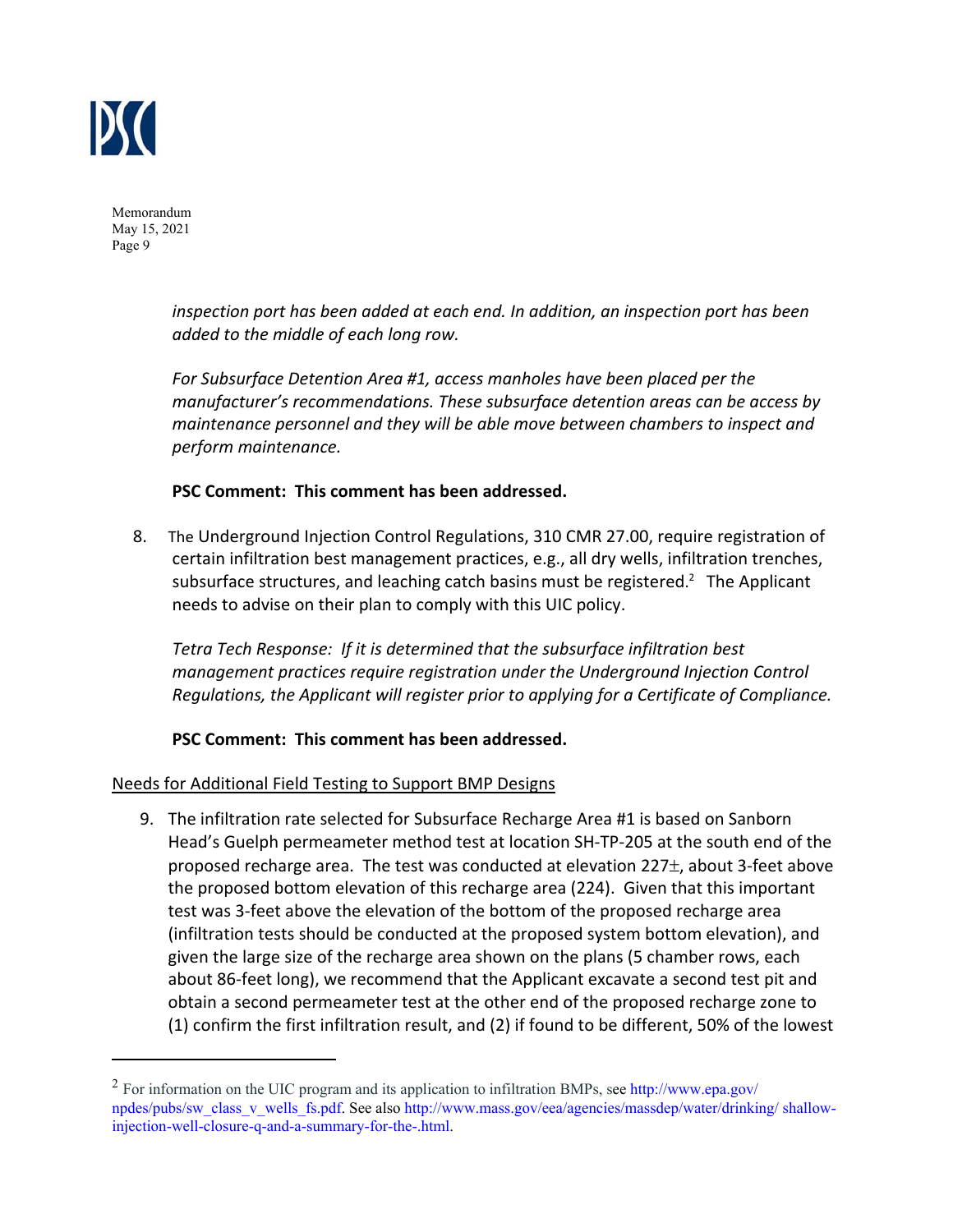

> *inspection port has been added at each end. In addition, an inspection port has been added to the middle of each long row.*

*For Subsurface Detention Area #1, access manholes have been placed per the manufacturer's recommendations. These subsurface detention areas can be access by maintenance personnel and they will be able move between chambers to inspect and perform maintenance.* 

#### **PSC Comment: This comment has been addressed.**

8. The Underground Injection Control Regulations, 310 CMR 27.00, require registration of certain infiltration best management practices, e.g., all dry wells, infiltration trenches, subsurface structures, and leaching catch basins must be registered.<sup>2</sup> The Applicant needs to advise on their plan to comply with this UIC policy.

*Tetra Tech Response: If it is determined that the subsurface infiltration best management practices require registration under the Underground Injection Control Regulations, the Applicant will register prior to applying for a Certificate of Compliance.* 

#### **PSC Comment: This comment has been addressed.**

#### Needs for Additional Field Testing to Support BMP Designs

9. The infiltration rate selected for Subsurface Recharge Area #1 is based on Sanborn Head's Guelph permeameter method test at location SH‐TP‐205 at the south end of the proposed recharge area. The test was conducted at elevation  $227\pm$ , about 3-feet above the proposed bottom elevation of this recharge area (224). Given that this important test was 3‐feet above the elevation of the bottom of the proposed recharge area (infiltration tests should be conducted at the proposed system bottom elevation), and given the large size of the recharge area shown on the plans (5 chamber rows, each about 86‐feet long), we recommend that the Applicant excavate a second test pit and obtain a second permeameter test at the other end of the proposed recharge zone to (1) confirm the first infiltration result, and (2) if found to be different, 50% of the lowest

<sup>&</sup>lt;sup>2</sup> For information on the UIC program and its application to infiltration BMPs, see http://www.epa.gov/ npdes/pubs/sw\_class\_v\_wells\_fs.pdf. See also http://www.mass.gov/eea/agencies/massdep/water/drinking/ shallowinjection-well-closure-q-and-a-summary-for-the-.html.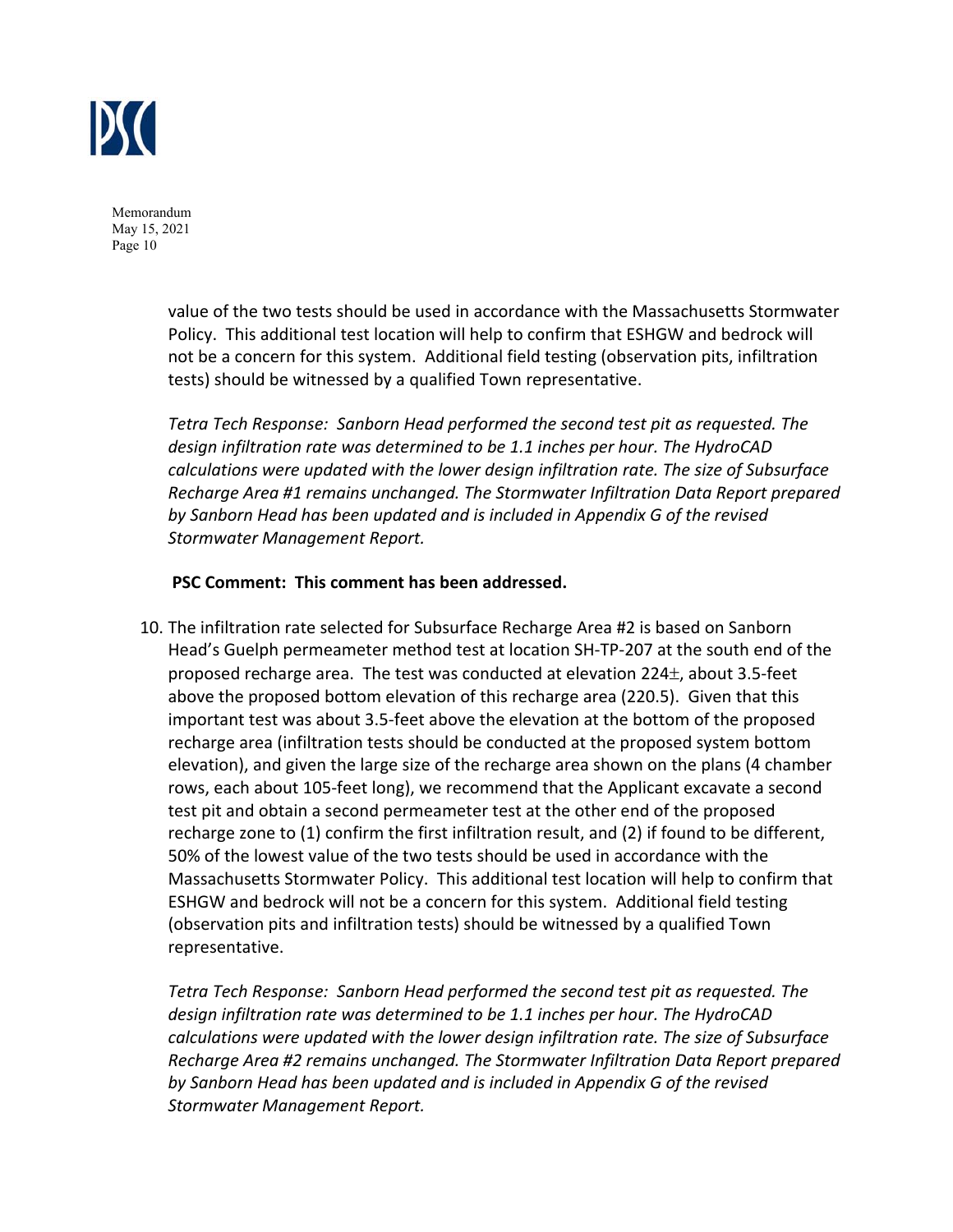

> value of the two tests should be used in accordance with the Massachusetts Stormwater Policy. This additional test location will help to confirm that ESHGW and bedrock will not be a concern for this system. Additional field testing (observation pits, infiltration tests) should be witnessed by a qualified Town representative.

> *Tetra Tech Response: Sanborn Head performed the second test pit as requested. The design infiltration rate was determined to be 1.1 inches per hour. The HydroCAD calculations were updated with the lower design infiltration rate. The size of Subsurface Recharge Area #1 remains unchanged. The Stormwater Infiltration Data Report prepared by Sanborn Head has been updated and is included in Appendix G of the revised Stormwater Management Report.*

#### **PSC Comment: This comment has been addressed.**

10. The infiltration rate selected for Subsurface Recharge Area #2 is based on Sanborn Head's Guelph permeameter method test at location SH‐TP‐207 at the south end of the proposed recharge area. The test was conducted at elevation  $224<sub>\pm</sub>$ , about 3.5-feet above the proposed bottom elevation of this recharge area (220.5). Given that this important test was about 3.5‐feet above the elevation at the bottom of the proposed recharge area (infiltration tests should be conducted at the proposed system bottom elevation), and given the large size of the recharge area shown on the plans (4 chamber rows, each about 105‐feet long), we recommend that the Applicant excavate a second test pit and obtain a second permeameter test at the other end of the proposed recharge zone to (1) confirm the first infiltration result, and (2) if found to be different, 50% of the lowest value of the two tests should be used in accordance with the Massachusetts Stormwater Policy. This additional test location will help to confirm that ESHGW and bedrock will not be a concern for this system. Additional field testing (observation pits and infiltration tests) should be witnessed by a qualified Town representative.

*Tetra Tech Response: Sanborn Head performed the second test pit as requested. The design infiltration rate was determined to be 1.1 inches per hour. The HydroCAD calculations were updated with the lower design infiltration rate. The size of Subsurface Recharge Area #2 remains unchanged. The Stormwater Infiltration Data Report prepared by Sanborn Head has been updated and is included in Appendix G of the revised Stormwater Management Report.*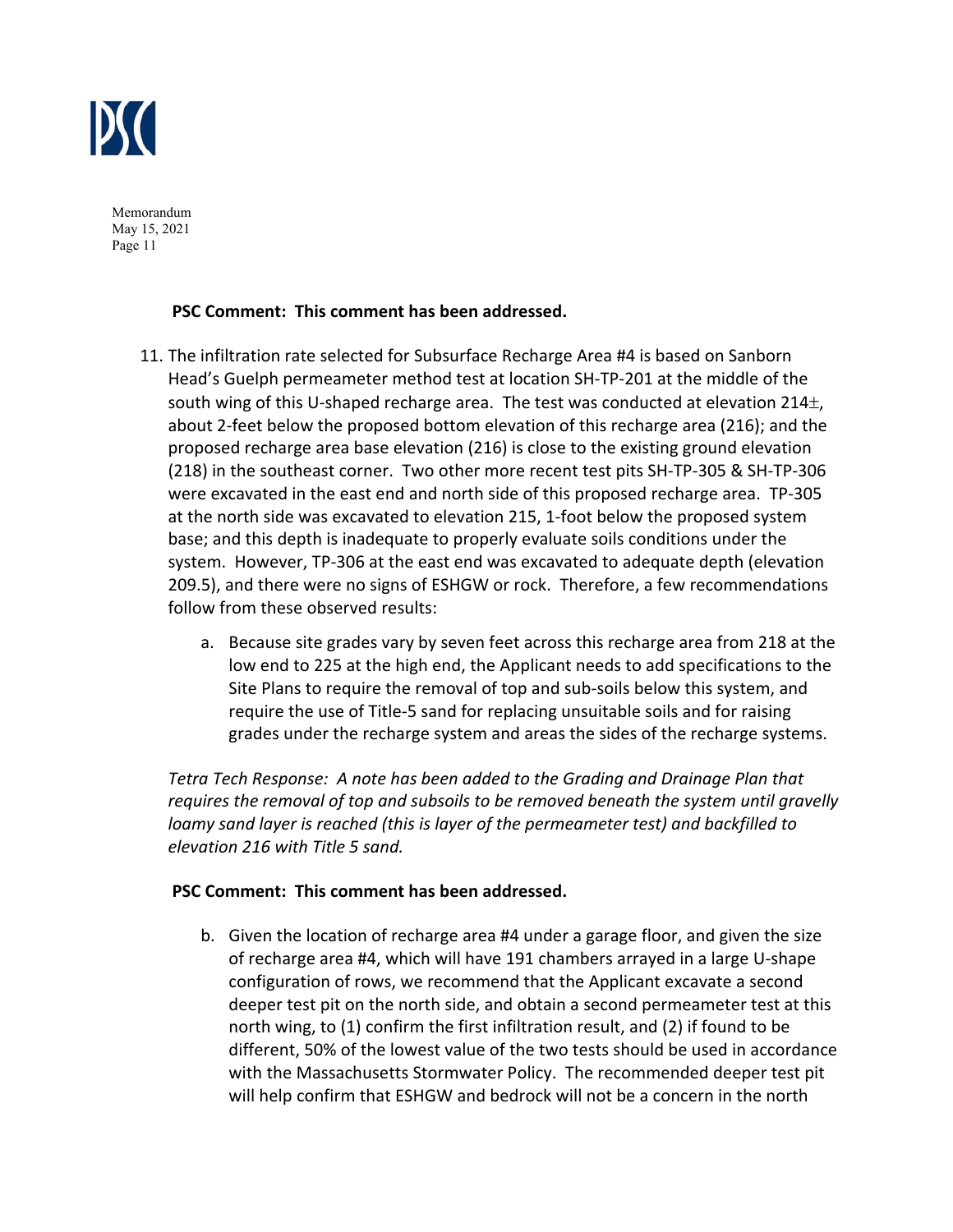

## **PSC Comment: This comment has been addressed.**

- 11. The infiltration rate selected for Subsurface Recharge Area #4 is based on Sanborn Head's Guelph permeameter method test at location SH‐TP‐201 at the middle of the south wing of this U-shaped recharge area. The test was conducted at elevation  $214<sub>\pm</sub>$ , about 2‐feet below the proposed bottom elevation of this recharge area (216); and the proposed recharge area base elevation (216) is close to the existing ground elevation (218) in the southeast corner. Two other more recent test pits SH‐TP‐305 & SH‐TP‐306 were excavated in the east end and north side of this proposed recharge area. TP‐305 at the north side was excavated to elevation 215, 1‐foot below the proposed system base; and this depth is inadequate to properly evaluate soils conditions under the system. However, TP‐306 at the east end was excavated to adequate depth (elevation 209.5), and there were no signs of ESHGW or rock. Therefore, a few recommendations follow from these observed results:
	- a. Because site grades vary by seven feet across this recharge area from 218 at the low end to 225 at the high end, the Applicant needs to add specifications to the Site Plans to require the removal of top and sub‐soils below this system, and require the use of Title‐5 sand for replacing unsuitable soils and for raising grades under the recharge system and areas the sides of the recharge systems.

*Tetra Tech Response: A note has been added to the Grading and Drainage Plan that requires the removal of top and subsoils to be removed beneath the system until gravelly loamy sand layer is reached (this is layer of the permeameter test) and backfilled to elevation 216 with Title 5 sand.* 

#### **PSC Comment: This comment has been addressed.**

b. Given the location of recharge area #4 under a garage floor, and given the size of recharge area #4, which will have 191 chambers arrayed in a large U‐shape configuration of rows, we recommend that the Applicant excavate a second deeper test pit on the north side, and obtain a second permeameter test at this north wing, to (1) confirm the first infiltration result, and (2) if found to be different, 50% of the lowest value of the two tests should be used in accordance with the Massachusetts Stormwater Policy. The recommended deeper test pit will help confirm that ESHGW and bedrock will not be a concern in the north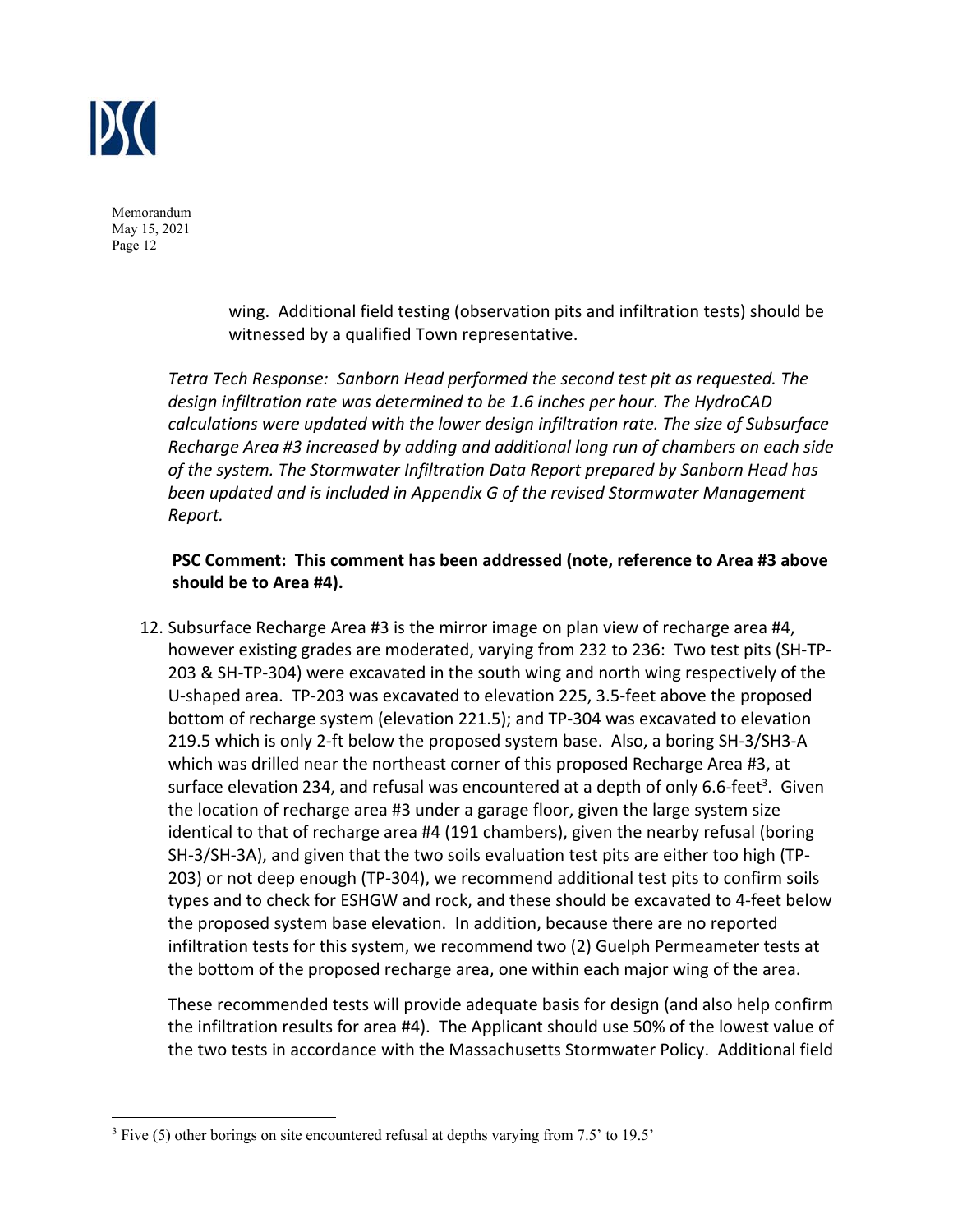

> wing. Additional field testing (observation pits and infiltration tests) should be witnessed by a qualified Town representative.

*Tetra Tech Response: Sanborn Head performed the second test pit as requested. The design infiltration rate was determined to be 1.6 inches per hour. The HydroCAD calculations were updated with the lower design infiltration rate. The size of Subsurface Recharge Area #3 increased by adding and additional long run of chambers on each side of the system. The Stormwater Infiltration Data Report prepared by Sanborn Head has been updated and is included in Appendix G of the revised Stormwater Management Report.* 

# **PSC Comment: This comment has been addressed (note, reference to Area #3 above should be to Area #4).**

12. Subsurface Recharge Area #3 is the mirror image on plan view of recharge area #4, however existing grades are moderated, varying from 232 to 236: Two test pits (SH‐TP‐ 203 & SH‐TP‐304) were excavated in the south wing and north wing respectively of the U‐shaped area. TP‐203 was excavated to elevation 225, 3.5‐feet above the proposed bottom of recharge system (elevation 221.5); and TP‐304 was excavated to elevation 219.5 which is only 2‐ft below the proposed system base. Also, a boring SH‐3/SH3‐A which was drilled near the northeast corner of this proposed Recharge Area #3, at surface elevation 234, and refusal was encountered at a depth of only 6.6-feet<sup>3</sup>. Given the location of recharge area #3 under a garage floor, given the large system size identical to that of recharge area #4 (191 chambers), given the nearby refusal (boring SH-3/SH-3A), and given that the two soils evaluation test pits are either too high (TP-203) or not deep enough (TP‐304), we recommend additional test pits to confirm soils types and to check for ESHGW and rock, and these should be excavated to 4‐feet below the proposed system base elevation. In addition, because there are no reported infiltration tests for this system, we recommend two (2) Guelph Permeameter tests at the bottom of the proposed recharge area, one within each major wing of the area.

These recommended tests will provide adequate basis for design (and also help confirm the infiltration results for area #4). The Applicant should use 50% of the lowest value of the two tests in accordance with the Massachusetts Stormwater Policy. Additional field

 $3$  Five (5) other borings on site encountered refusal at depths varying from 7.5' to 19.5'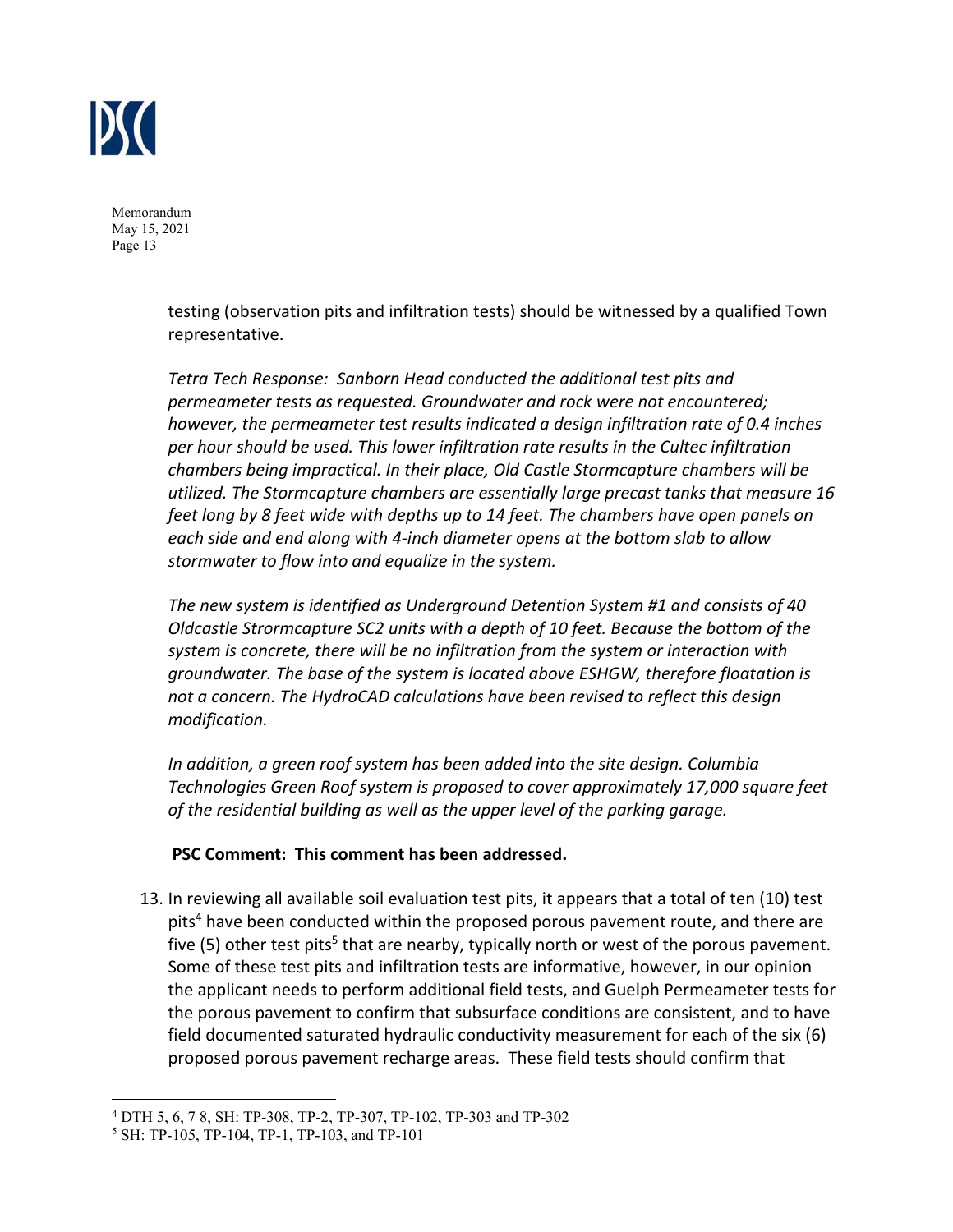

> testing (observation pits and infiltration tests) should be witnessed by a qualified Town representative.

*Tetra Tech Response: Sanborn Head conducted the additional test pits and permeameter tests as requested. Groundwater and rock were not encountered; however, the permeameter test results indicated a design infiltration rate of 0.4 inches per hour should be used. This lower infiltration rate results in the Cultec infiltration chambers being impractical. In their place, Old Castle Stormcapture chambers will be utilized. The Stormcapture chambers are essentially large precast tanks that measure 16 feet long by 8 feet wide with depths up to 14 feet. The chambers have open panels on each side and end along with 4‐inch diameter opens at the bottom slab to allow stormwater to flow into and equalize in the system.* 

*The new system is identified as Underground Detention System #1 and consists of 40 Oldcastle Strormcapture SC2 units with a depth of 10 feet. Because the bottom of the system is concrete, there will be no infiltration from the system or interaction with groundwater. The base of the system is located above ESHGW, therefore floatation is not a concern. The HydroCAD calculations have been revised to reflect this design modification.* 

*In addition, a green roof system has been added into the site design. Columbia Technologies Green Roof system is proposed to cover approximately 17,000 square feet of the residential building as well as the upper level of the parking garage.* 

#### **PSC Comment: This comment has been addressed.**

13. In reviewing all available soil evaluation test pits, it appears that a total of ten (10) test pits<sup>4</sup> have been conducted within the proposed porous pavement route, and there are five (5) other test pits<sup>5</sup> that are nearby, typically north or west of the porous pavement. Some of these test pits and infiltration tests are informative, however, in our opinion the applicant needs to perform additional field tests, and Guelph Permeameter tests for the porous pavement to confirm that subsurface conditions are consistent, and to have field documented saturated hydraulic conductivity measurement for each of the six (6) proposed porous pavement recharge areas. These field tests should confirm that

<sup>&</sup>lt;sup>4</sup> DTH 5, 6, 7 8, SH: TP-308, TP-2, TP-307, TP-102, TP-303 and TP-302  $^5$  SH: TP-105, TP-104, TP-1, TP-103, and TP-101

<sup>&</sup>lt;sup>5</sup> SH: TP-105, TP-104, TP-1, TP-103, and TP-101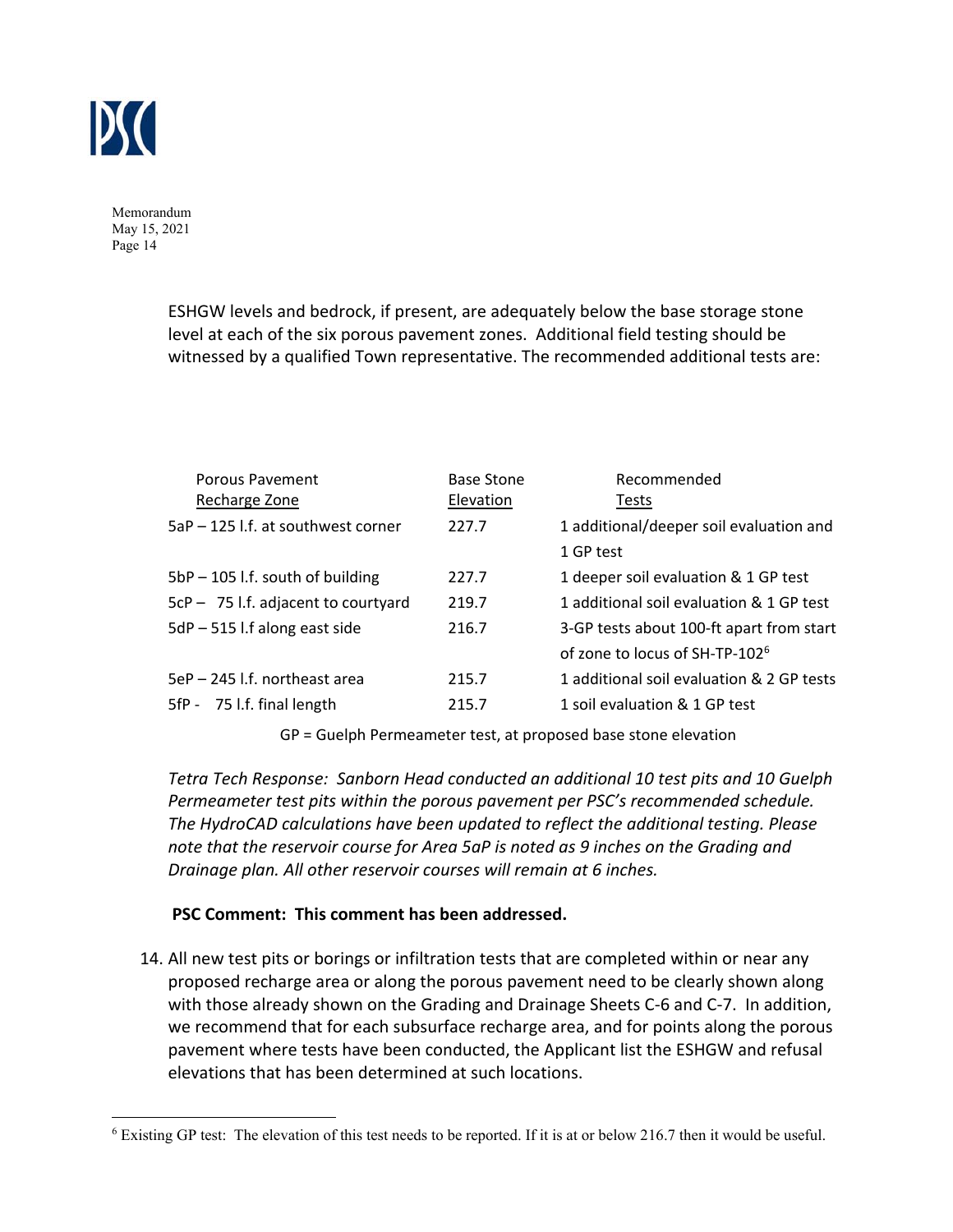

> ESHGW levels and bedrock, if present, are adequately below the base storage stone level at each of the six porous pavement zones. Additional field testing should be witnessed by a qualified Town representative. The recommended additional tests are:

| Porous Pavement<br>Recharge Zone    | Base Stone<br>Elevation | Recommended<br>Tests                       |
|-------------------------------------|-------------------------|--------------------------------------------|
| 5aP - 125 l.f. at southwest corner  | 227.7                   | 1 additional/deeper soil evaluation and    |
|                                     |                         | 1 GP test                                  |
| 5bP - 105 l.f. south of building    | 227.7                   | 1 deeper soil evaluation & 1 GP test       |
| 5cP - 75 l.f. adjacent to courtyard | 219.7                   | 1 additional soil evaluation & 1 GP test   |
| $5dP - 515$ I.f along east side     | 216.7                   | 3-GP tests about 100-ft apart from start   |
|                                     |                         | of zone to locus of SH-TP-102 <sup>6</sup> |
| 5eP - 245 l.f. northeast area       | 215.7                   | 1 additional soil evaluation & 2 GP tests  |
| 5fP - 75 l.f. final length          | 215.7                   | 1 soil evaluation & 1 GP test              |

GP = Guelph Permeameter test, at proposed base stone elevation

*Tetra Tech Response: Sanborn Head conducted an additional 10 test pits and 10 Guelph Permeameter test pits within the porous pavement per PSC's recommended schedule. The HydroCAD calculations have been updated to reflect the additional testing. Please note that the reservoir course for Area 5aP is noted as 9 inches on the Grading and Drainage plan. All other reservoir courses will remain at 6 inches.* 

#### **PSC Comment: This comment has been addressed.**

14. All new test pits or borings or infiltration tests that are completed within or near any proposed recharge area or along the porous pavement need to be clearly shown along with those already shown on the Grading and Drainage Sheets C-6 and C-7. In addition, we recommend that for each subsurface recharge area, and for points along the porous pavement where tests have been conducted, the Applicant list the ESHGW and refusal elevations that has been determined at such locations.

 $6$  Existing GP test: The elevation of this test needs to be reported. If it is at or below 216.7 then it would be useful.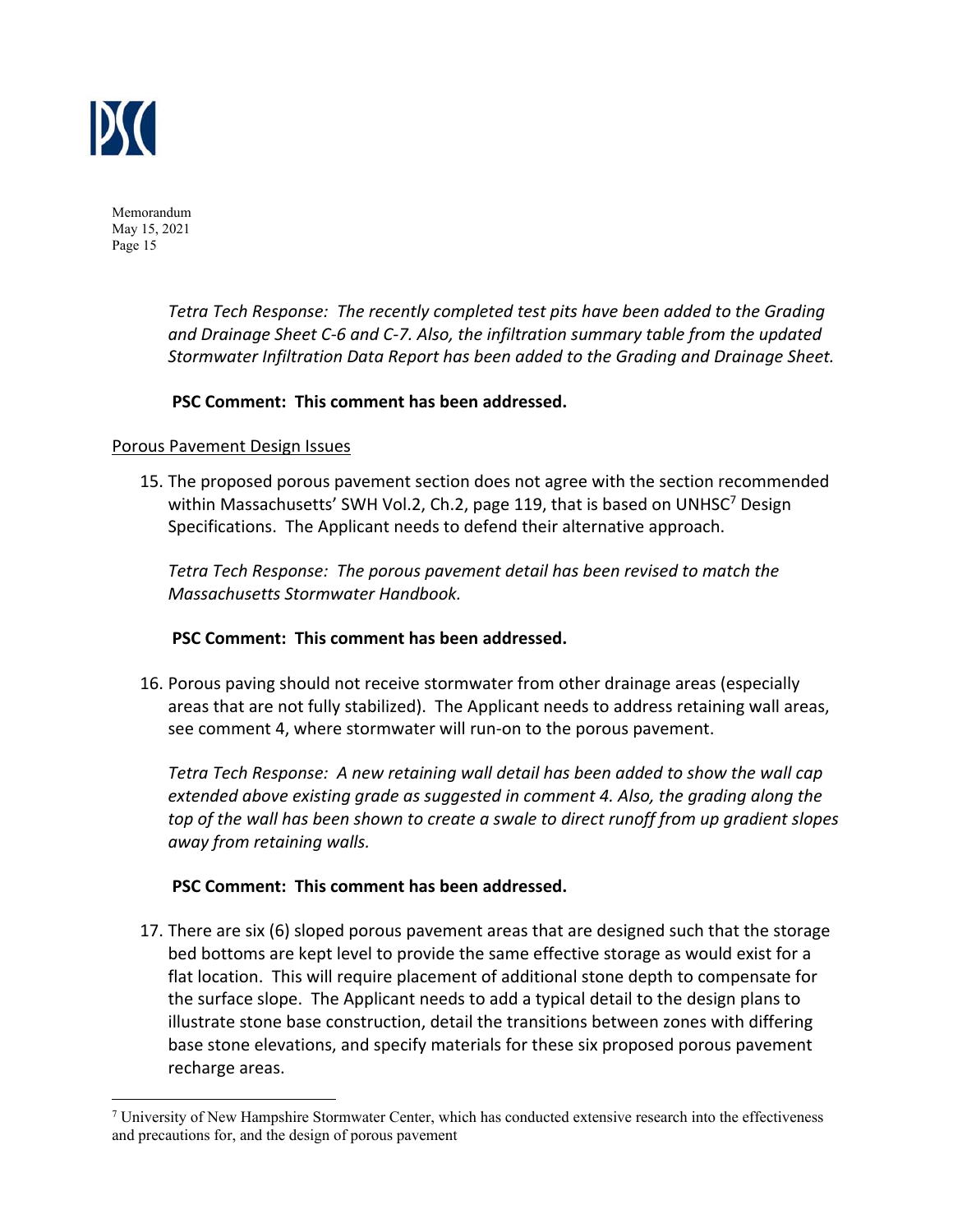

> *Tetra Tech Response: The recently completed test pits have been added to the Grading and Drainage Sheet C‐6 and C‐7. Also, the infiltration summary table from the updated Stormwater Infiltration Data Report has been added to the Grading and Drainage Sheet.*

## **PSC Comment: This comment has been addressed.**

#### Porous Pavement Design Issues

15. The proposed porous pavement section does not agree with the section recommended within Massachusetts' SWH Vol.2, Ch.2, page 119, that is based on UNHSC<sup>7</sup> Design Specifications. The Applicant needs to defend their alternative approach.

*Tetra Tech Response: The porous pavement detail has been revised to match the Massachusetts Stormwater Handbook.* 

#### **PSC Comment: This comment has been addressed.**

16. Porous paving should not receive stormwater from other drainage areas (especially areas that are not fully stabilized). The Applicant needs to address retaining wall areas, see comment 4, where stormwater will run-on to the porous pavement.

*Tetra Tech Response: A new retaining wall detail has been added to show the wall cap extended above existing grade as suggested in comment 4. Also, the grading along the top of the wall has been shown to create a swale to direct runoff from up gradient slopes away from retaining walls.* 

#### **PSC Comment: This comment has been addressed.**

17. There are six (6) sloped porous pavement areas that are designed such that the storage bed bottoms are kept level to provide the same effective storage as would exist for a flat location. This will require placement of additional stone depth to compensate for the surface slope. The Applicant needs to add a typical detail to the design plans to illustrate stone base construction, detail the transitions between zones with differing base stone elevations, and specify materials for these six proposed porous pavement recharge areas.

<sup>&</sup>lt;sup>7</sup> University of New Hampshire Stormwater Center, which has conducted extensive research into the effectiveness and precautions for, and the design of porous pavement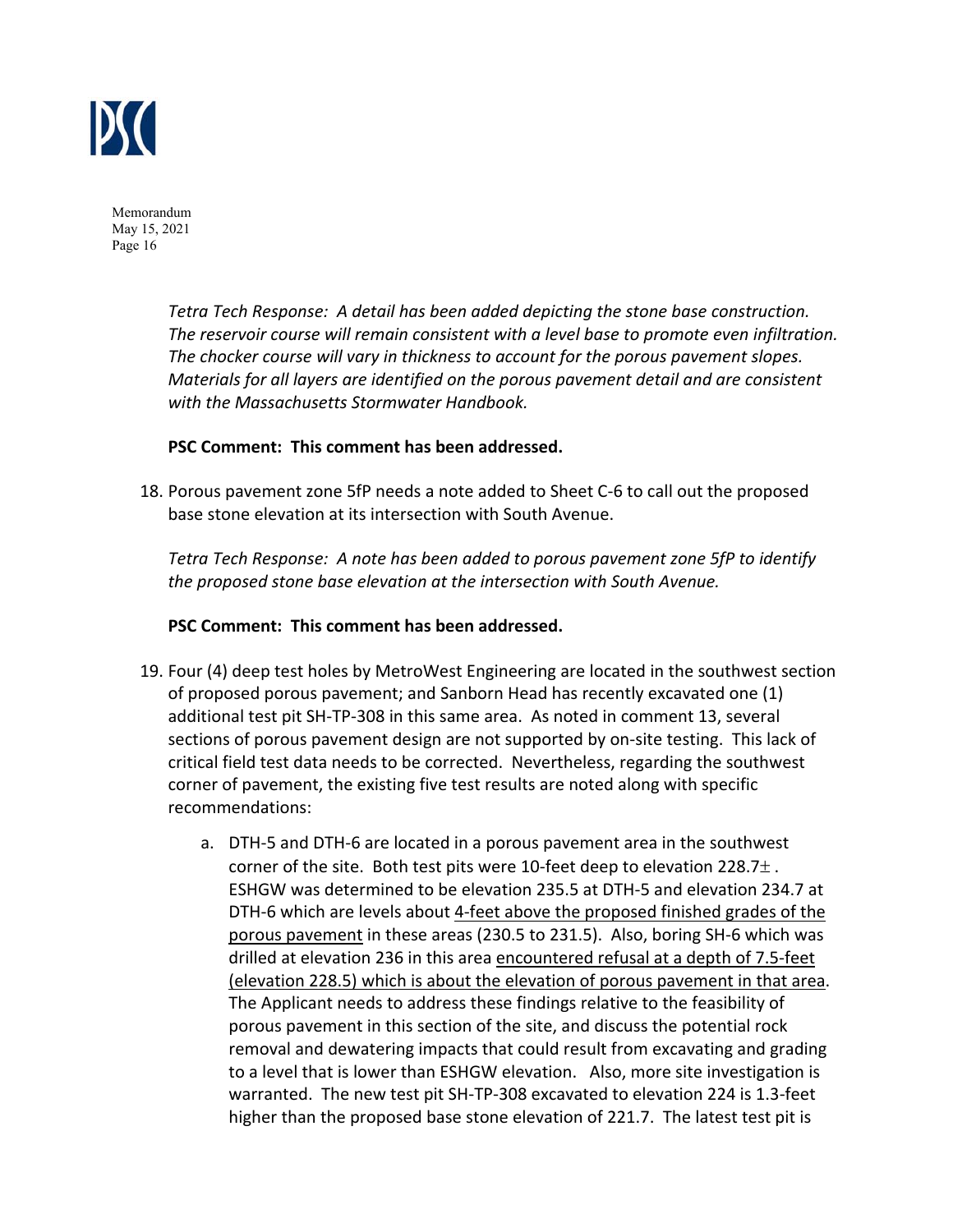

> *Tetra Tech Response: A detail has been added depicting the stone base construction. The reservoir course will remain consistent with a level base to promote even infiltration. The chocker course will vary in thickness to account for the porous pavement slopes. Materials for all layers are identified on the porous pavement detail and are consistent with the Massachusetts Stormwater Handbook.*

#### **PSC Comment: This comment has been addressed.**

18. Porous pavement zone 5fP needs a note added to Sheet C‐6 to call out the proposed base stone elevation at its intersection with South Avenue.

*Tetra Tech Response: A note has been added to porous pavement zone 5fP to identify the proposed stone base elevation at the intersection with South Avenue.* 

#### **PSC Comment: This comment has been addressed.**

- 19. Four (4) deep test holes by MetroWest Engineering are located in the southwest section of proposed porous pavement; and Sanborn Head has recently excavated one (1) additional test pit SH‐TP‐308 in this same area. As noted in comment 13, several sections of porous pavement design are not supported by on‐site testing. This lack of critical field test data needs to be corrected. Nevertheless, regarding the southwest corner of pavement, the existing five test results are noted along with specific recommendations:
	- a. DTH‐5 and DTH‐6 are located in a porous pavement area in the southwest corner of the site. Both test pits were 10-feet deep to elevation 228.7 $\pm$ . ESHGW was determined to be elevation 235.5 at DTH‐5 and elevation 234.7 at DTH‐6 which are levels about 4‐feet above the proposed finished grades of the porous pavement in these areas (230.5 to 231.5). Also, boring SH‐6 which was drilled at elevation 236 in this area encountered refusal at a depth of 7.5-feet (elevation 228.5) which is about the elevation of porous pavement in that area. The Applicant needs to address these findings relative to the feasibility of porous pavement in this section of the site, and discuss the potential rock removal and dewatering impacts that could result from excavating and grading to a level that is lower than ESHGW elevation. Also, more site investigation is warranted. The new test pit SH‐TP‐308 excavated to elevation 224 is 1.3‐feet higher than the proposed base stone elevation of 221.7. The latest test pit is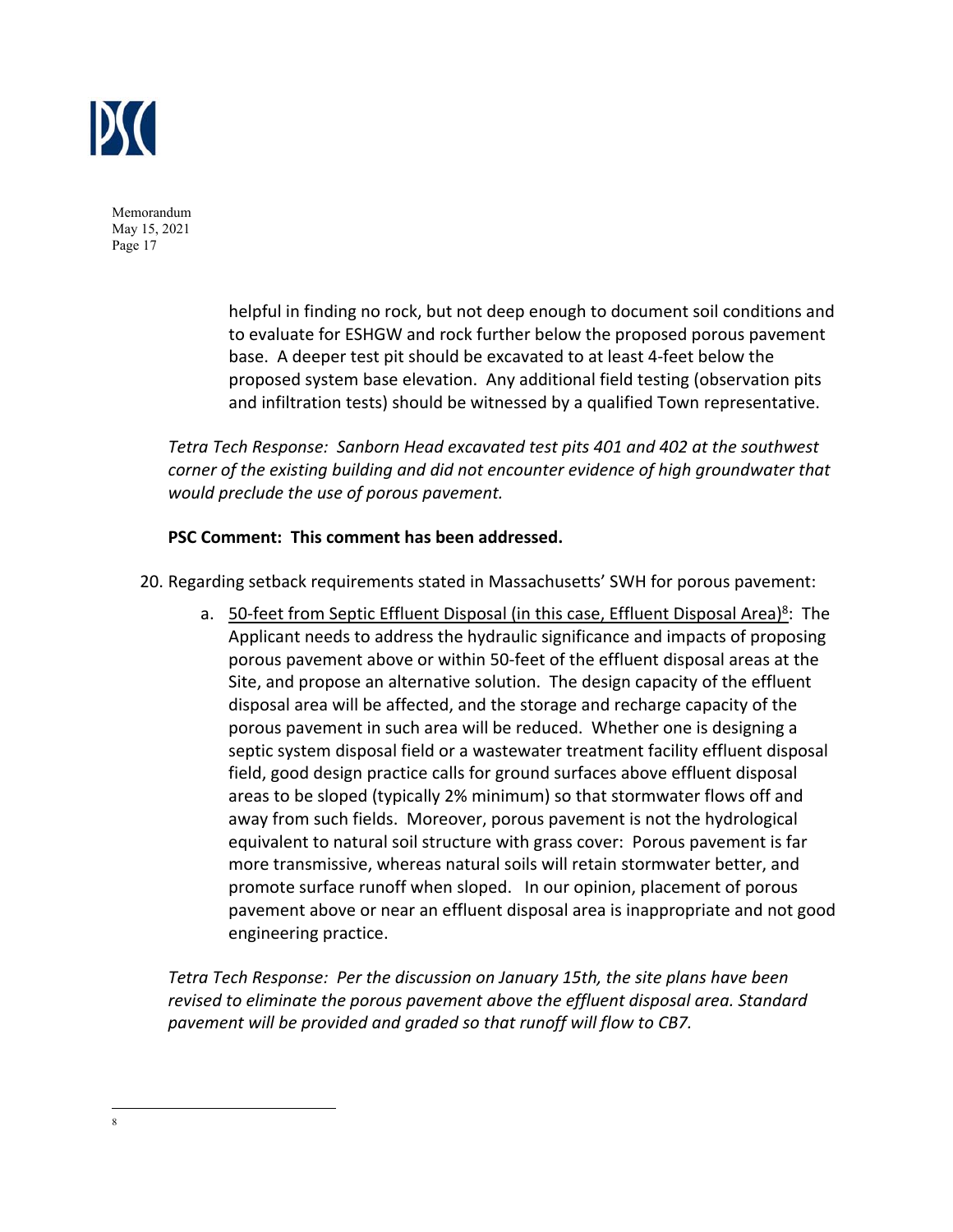

> helpful in finding no rock, but not deep enough to document soil conditions and to evaluate for ESHGW and rock further below the proposed porous pavement base. A deeper test pit should be excavated to at least 4‐feet below the proposed system base elevation. Any additional field testing (observation pits and infiltration tests) should be witnessed by a qualified Town representative.

*Tetra Tech Response: Sanborn Head excavated test pits 401 and 402 at the southwest corner of the existing building and did not encounter evidence of high groundwater that would preclude the use of porous pavement.* 

## **PSC Comment: This comment has been addressed.**

- 20. Regarding setback requirements stated in Massachusetts' SWH for porous pavement:
	- a. 50-feet from Septic Effluent Disposal (in this case, Effluent Disposal Area)<sup>8</sup>: The Applicant needs to address the hydraulic significance and impacts of proposing porous pavement above or within 50‐feet of the effluent disposal areas at the Site, and propose an alternative solution. The design capacity of the effluent disposal area will be affected, and the storage and recharge capacity of the porous pavement in such area will be reduced. Whether one is designing a septic system disposal field or a wastewater treatment facility effluent disposal field, good design practice calls for ground surfaces above effluent disposal areas to be sloped (typically 2% minimum) so that stormwater flows off and away from such fields. Moreover, porous pavement is not the hydrological equivalent to natural soil structure with grass cover: Porous pavement is far more transmissive, whereas natural soils will retain stormwater better, and promote surface runoff when sloped. In our opinion, placement of porous pavement above or near an effluent disposal area is inappropriate and not good engineering practice.

*Tetra Tech Response: Per the discussion on January 15th, the site plans have been revised to eliminate the porous pavement above the effluent disposal area. Standard pavement will be provided and graded so that runoff will flow to CB7.* 

<sup>8</sup>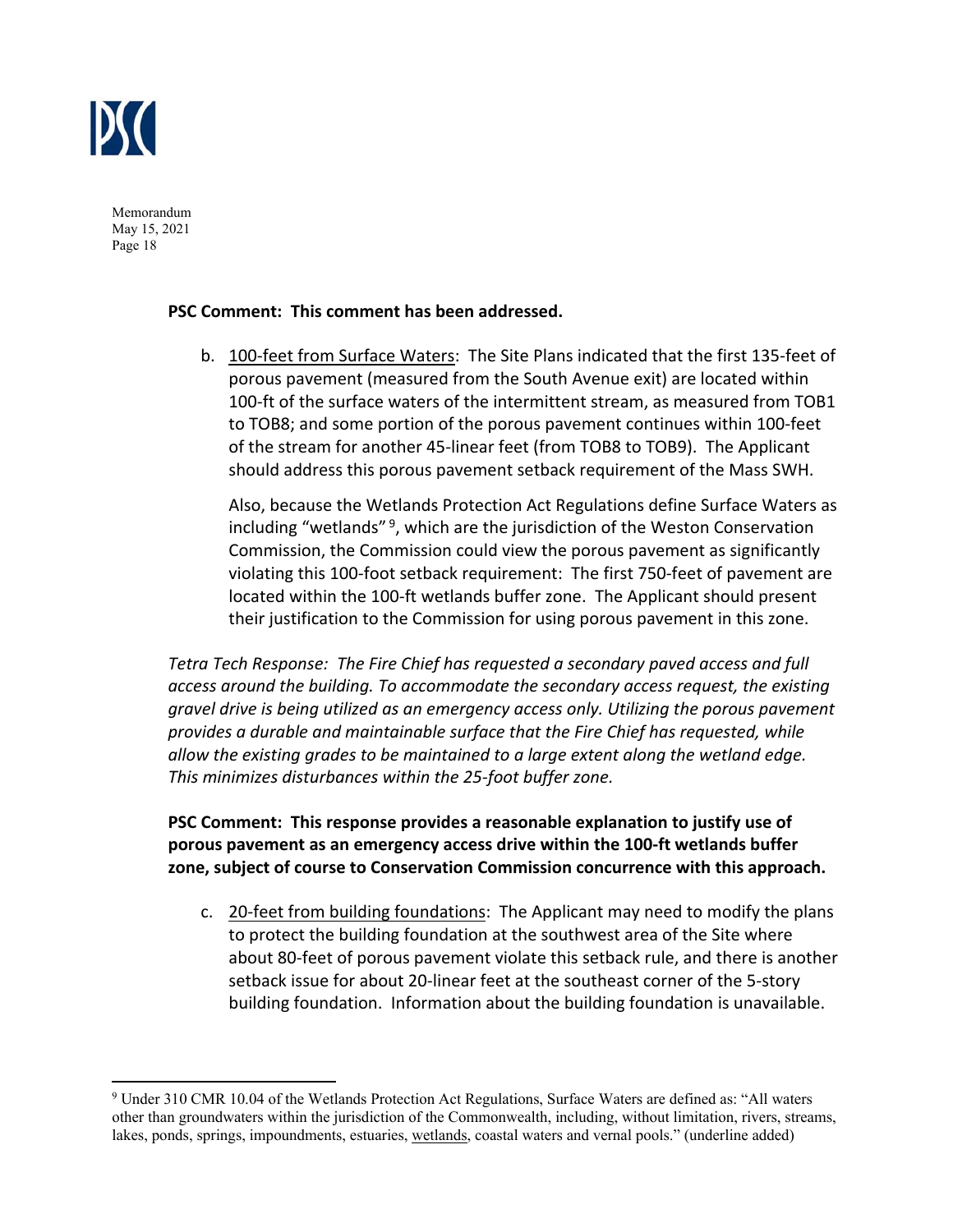

# **PSC Comment: This comment has been addressed.**

b. 100‐feet from Surface Waters: The Site Plans indicated that the first 135‐feet of porous pavement (measured from the South Avenue exit) are located within 100-ft of the surface waters of the intermittent stream, as measured from TOB1 to TOB8; and some portion of the porous pavement continues within 100‐feet of the stream for another 45‐linear feet (from TOB8 to TOB9). The Applicant should address this porous pavement setback requirement of the Mass SWH.

Also, because the Wetlands Protection Act Regulations define Surface Waters as including "wetlands"<sup>9</sup>, which are the jurisdiction of the Weston Conservation Commission, the Commission could view the porous pavement as significantly violating this 100‐foot setback requirement: The first 750‐feet of pavement are located within the 100‐ft wetlands buffer zone. The Applicant should present their justification to the Commission for using porous pavement in this zone.

*Tetra Tech Response: The Fire Chief has requested a secondary paved access and full access around the building. To accommodate the secondary access request, the existing gravel drive is being utilized as an emergency access only. Utilizing the porous pavement provides a durable and maintainable surface that the Fire Chief has requested, while allow the existing grades to be maintained to a large extent along the wetland edge. This minimizes disturbances within the 25‐foot buffer zone.* 

**PSC Comment: This response provides a reasonable explanation to justify use of porous pavement as an emergency access drive within the 100‐ft wetlands buffer zone, subject of course to Conservation Commission concurrence with this approach.**

c. 20-feet from building foundations: The Applicant may need to modify the plans to protect the building foundation at the southwest area of the Site where about 80‐feet of porous pavement violate this setback rule, and there is another setback issue for about 20‐linear feet at the southeast corner of the 5‐story building foundation. Information about the building foundation is unavailable.

<sup>&</sup>lt;sup>9</sup> Under 310 CMR 10.04 of the Wetlands Protection Act Regulations, Surface Waters are defined as: "All waters other than groundwaters within the jurisdiction of the Commonwealth, including, without limitation, rivers, streams, lakes, ponds, springs, impoundments, estuaries, wetlands, coastal waters and vernal pools." (underline added)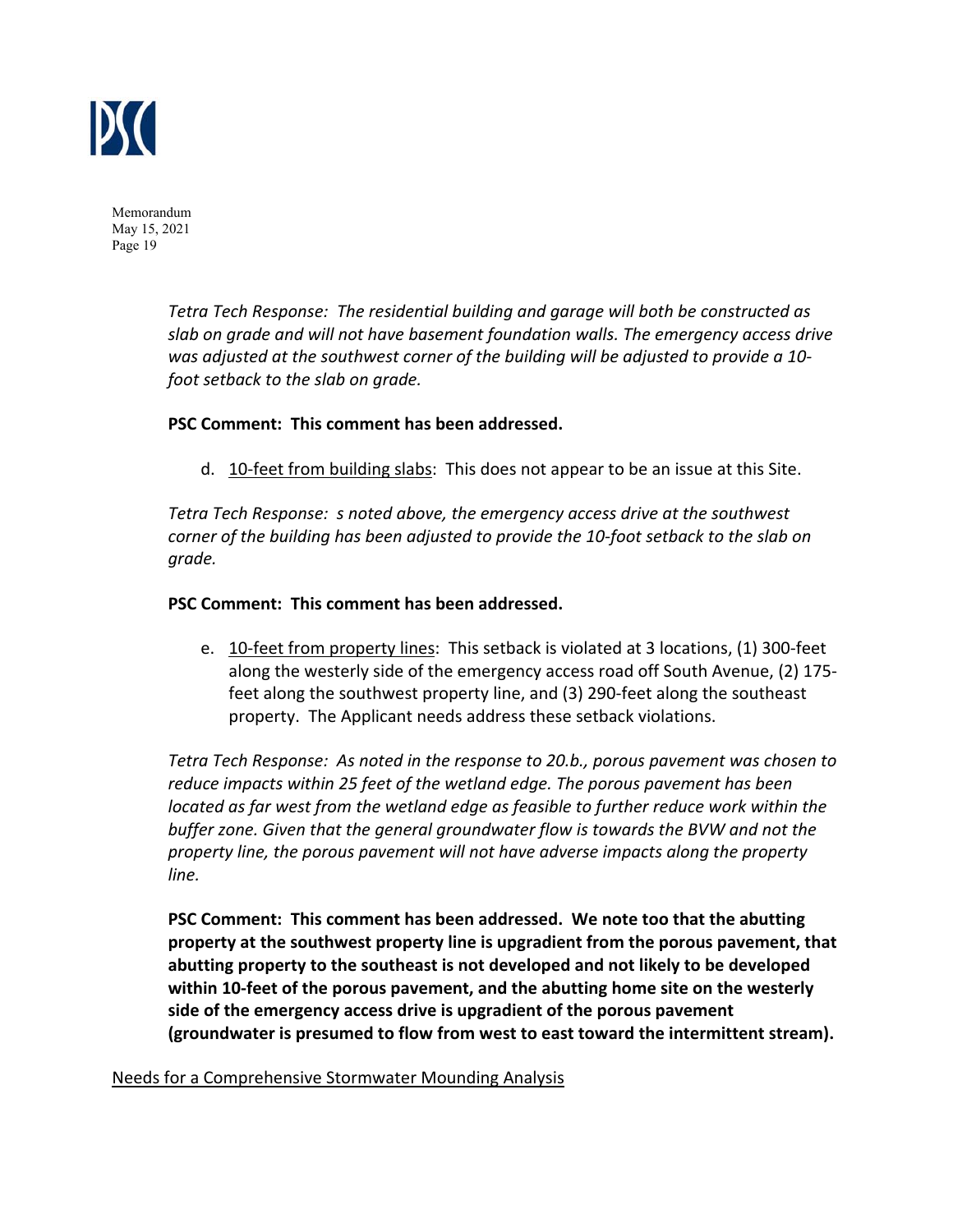

> *Tetra Tech Response: The residential building and garage will both be constructed as slab on grade and will not have basement foundation walls. The emergency access drive was adjusted at the southwest corner of the building will be adjusted to provide a 10‐ foot setback to the slab on grade.*

#### **PSC Comment: This comment has been addressed.**

d. 10-feet from building slabs: This does not appear to be an issue at this Site.

*Tetra Tech Response: s noted above, the emergency access drive at the southwest corner of the building has been adjusted to provide the 10‐foot setback to the slab on grade.* 

#### **PSC Comment: This comment has been addressed.**

e. 10‐feet from property lines: This setback is violated at 3 locations, (1) 300‐feet along the westerly side of the emergency access road off South Avenue, (2) 175‐ feet along the southwest property line, and (3) 290‐feet along the southeast property. The Applicant needs address these setback violations.

*Tetra Tech Response: As noted in the response to 20.b., porous pavement was chosen to reduce impacts within 25 feet of the wetland edge. The porous pavement has been located as far west from the wetland edge as feasible to further reduce work within the buffer zone. Given that the general groundwater flow is towards the BVW and not the property line, the porous pavement will not have adverse impacts along the property line.* 

**PSC Comment: This comment has been addressed. We note too that the abutting property at the southwest property line is upgradient from the porous pavement, that abutting property to the southeast is not developed and not likely to be developed within 10‐feet of the porous pavement, and the abutting home site on the westerly side of the emergency access drive is upgradient of the porous pavement (groundwater is presumed to flow from west to east toward the intermittent stream).**

Needs for a Comprehensive Stormwater Mounding Analysis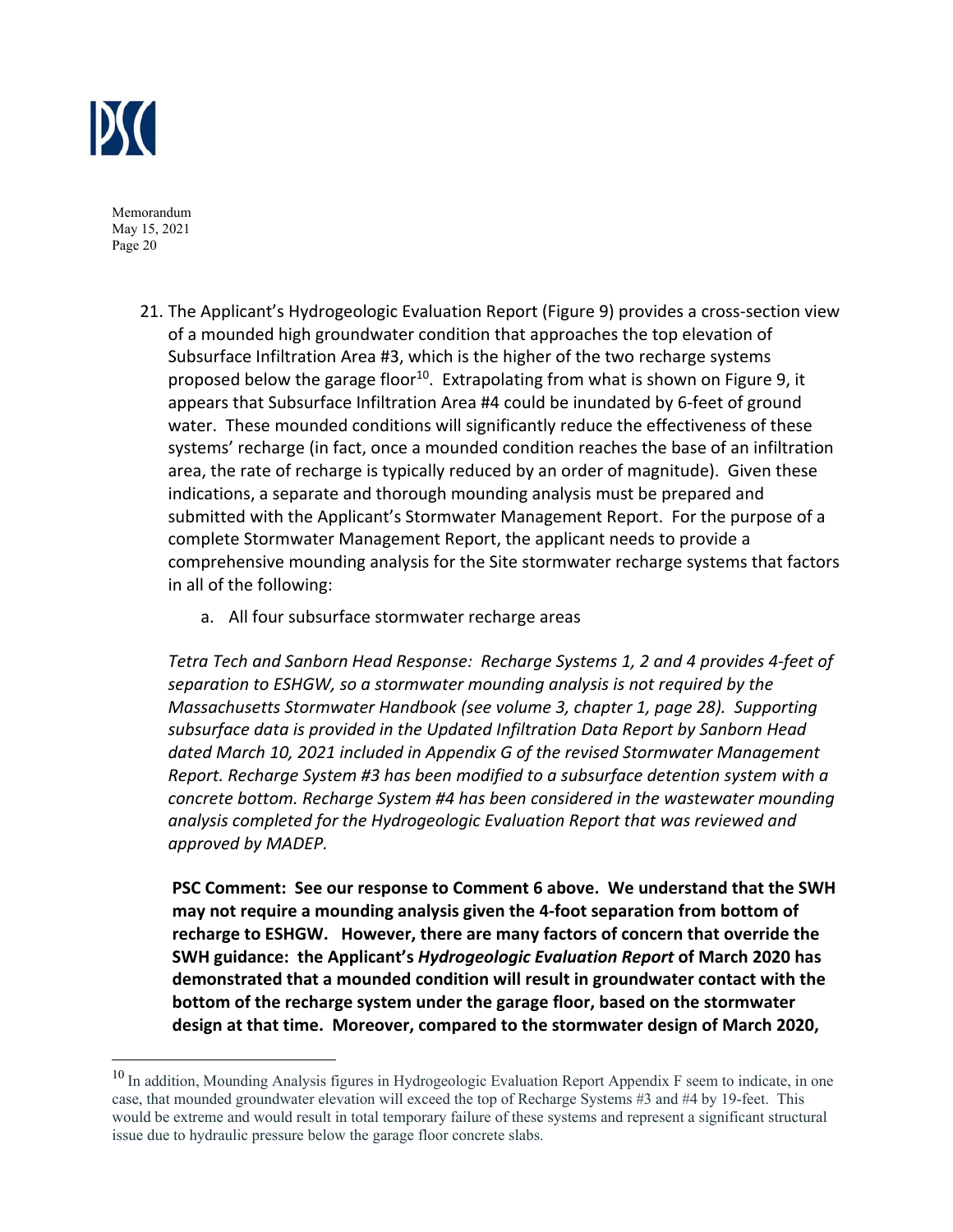

- 21. The Applicant's Hydrogeologic Evaluation Report (Figure 9) provides a cross‐section view of a mounded high groundwater condition that approaches the top elevation of Subsurface Infiltration Area #3, which is the higher of the two recharge systems proposed below the garage floor<sup>10</sup>. Extrapolating from what is shown on Figure 9, it appears that Subsurface Infiltration Area #4 could be inundated by 6‐feet of ground water. These mounded conditions will significantly reduce the effectiveness of these systems' recharge (in fact, once a mounded condition reaches the base of an infiltration area, the rate of recharge is typically reduced by an order of magnitude). Given these indications, a separate and thorough mounding analysis must be prepared and submitted with the Applicant's Stormwater Management Report. For the purpose of a complete Stormwater Management Report, the applicant needs to provide a comprehensive mounding analysis for the Site stormwater recharge systems that factors in all of the following:
	- a. All four subsurface stormwater recharge areas

*Tetra Tech and Sanborn Head Response: Recharge Systems 1, 2 and 4 provides 4‐feet of separation to ESHGW, so a stormwater mounding analysis is not required by the Massachusetts Stormwater Handbook (see volume 3, chapter 1, page 28). Supporting subsurface data is provided in the Updated Infiltration Data Report by Sanborn Head dated March 10, 2021 included in Appendix G of the revised Stormwater Management Report. Recharge System #3 has been modified to a subsurface detention system with a concrete bottom. Recharge System #4 has been considered in the wastewater mounding analysis completed for the Hydrogeologic Evaluation Report that was reviewed and approved by MADEP.* 

**PSC Comment: See our response to Comment 6 above. We understand that the SWH may not require a mounding analysis given the 4‐foot separation from bottom of recharge to ESHGW. However, there are many factors of concern that override the SWH guidance: the Applicant's** *Hydrogeologic Evaluation Report* **of March 2020 has demonstrated that a mounded condition will result in groundwater contact with the bottom of the recharge system under the garage floor, based on the stormwater design at that time. Moreover, compared to the stormwater design of March 2020,** 

<sup>&</sup>lt;sup>10</sup> In addition, Mounding Analysis figures in Hydrogeologic Evaluation Report Appendix F seem to indicate, in one case, that mounded groundwater elevation will exceed the top of Recharge Systems #3 and #4 by 19-feet. This would be extreme and would result in total temporary failure of these systems and represent a significant structural issue due to hydraulic pressure below the garage floor concrete slabs.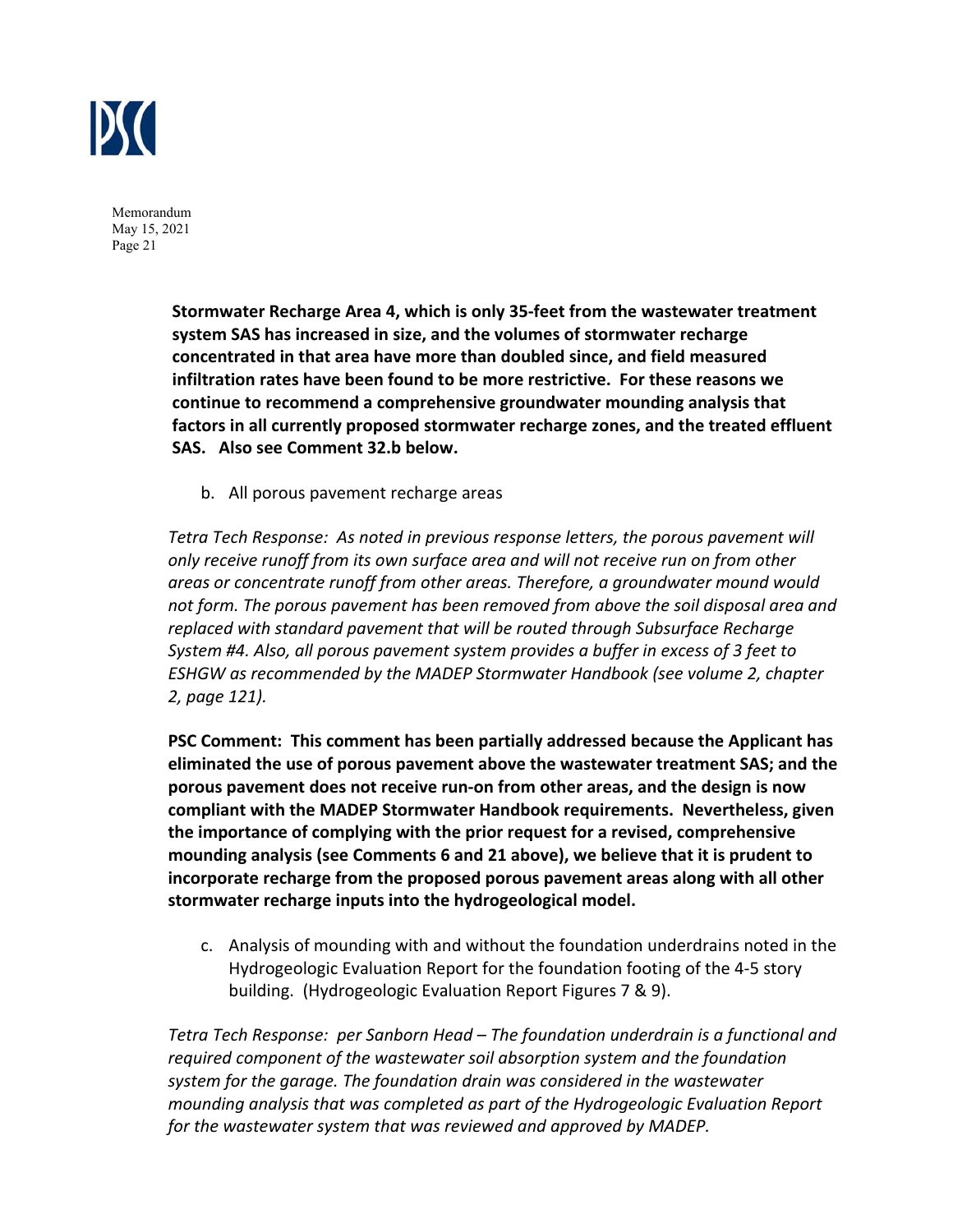

> **Stormwater Recharge Area 4, which is only 35‐feet from the wastewater treatment system SAS has increased in size, and the volumes of stormwater recharge concentrated in that area have more than doubled since, and field measured infiltration rates have been found to be more restrictive. For these reasons we continue to recommend a comprehensive groundwater mounding analysis that factors in all currently proposed stormwater recharge zones, and the treated effluent SAS. Also see Comment 32.b below.**

b. All porous pavement recharge areas

*Tetra Tech Response: As noted in previous response letters, the porous pavement will only receive runoff from its own surface area and will not receive run on from other areas or concentrate runoff from other areas. Therefore, a groundwater mound would not form. The porous pavement has been removed from above the soil disposal area and replaced with standard pavement that will be routed through Subsurface Recharge System #4. Also, all porous pavement system provides a buffer in excess of 3 feet to ESHGW as recommended by the MADEP Stormwater Handbook (see volume 2, chapter 2, page 121).* 

**PSC Comment: This comment has been partially addressed because the Applicant has eliminated the use of porous pavement above the wastewater treatment SAS; and the porous pavement does not receive run‐on from other areas, and the design is now compliant with the MADEP Stormwater Handbook requirements. Nevertheless, given the importance of complying with the prior request for a revised, comprehensive mounding analysis (see Comments 6 and 21 above), we believe that it is prudent to incorporate recharge from the proposed porous pavement areas along with all other stormwater recharge inputs into the hydrogeological model.** 

c. Analysis of mounding with and without the foundation underdrains noted in the Hydrogeologic Evaluation Report for the foundation footing of the 4‐5 story building. (Hydrogeologic Evaluation Report Figures 7 & 9).

*Tetra Tech Response: per Sanborn Head – The foundation underdrain is a functional and required component of the wastewater soil absorption system and the foundation system for the garage. The foundation drain was considered in the wastewater mounding analysis that was completed as part of the Hydrogeologic Evaluation Report for the wastewater system that was reviewed and approved by MADEP.*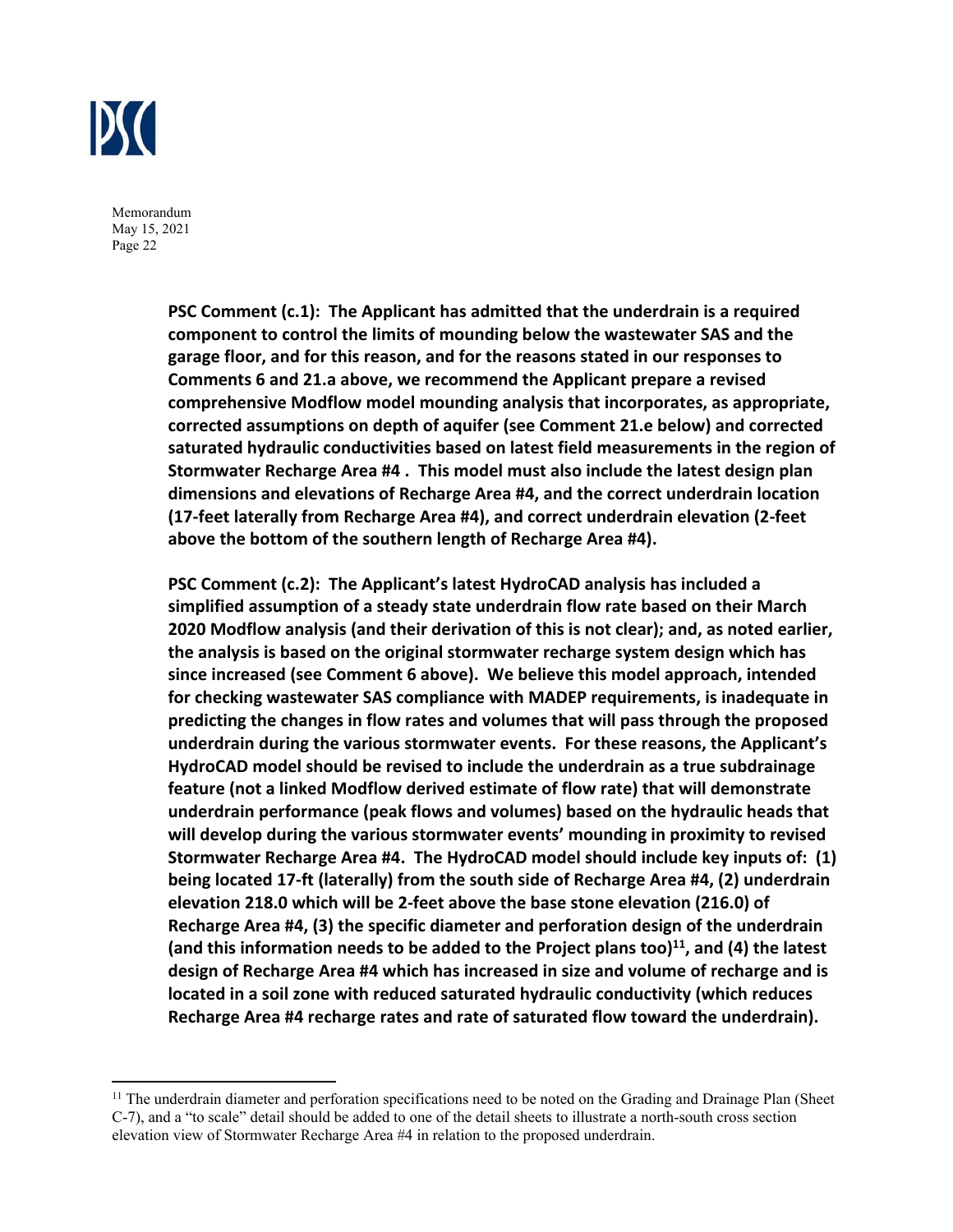

> **PSC Comment (c.1): The Applicant has admitted that the underdrain is a required component to control the limits of mounding below the wastewater SAS and the garage floor, and for this reason, and for the reasons stated in our responses to Comments 6 and 21.a above, we recommend the Applicant prepare a revised comprehensive Modflow model mounding analysis that incorporates, as appropriate, corrected assumptions on depth of aquifer (see Comment 21.e below) and corrected saturated hydraulic conductivities based on latest field measurements in the region of Stormwater Recharge Area #4 . This model must also include the latest design plan dimensions and elevations of Recharge Area #4, and the correct underdrain location (17‐feet laterally from Recharge Area #4), and correct underdrain elevation (2‐feet above the bottom of the southern length of Recharge Area #4).**

> **PSC Comment (c.2): The Applicant's latest HydroCAD analysis has included a simplified assumption of a steady state underdrain flow rate based on their March 2020 Modflow analysis (and their derivation of this is not clear); and, as noted earlier, the analysis is based on the original stormwater recharge system design which has since increased (see Comment 6 above). We believe this model approach, intended for checking wastewater SAS compliance with MADEP requirements, is inadequate in predicting the changes in flow rates and volumes that will pass through the proposed underdrain during the various stormwater events. For these reasons, the Applicant's HydroCAD model should be revised to include the underdrain as a true subdrainage feature (not a linked Modflow derived estimate of flow rate) that will demonstrate underdrain performance (peak flows and volumes) based on the hydraulic heads that will develop during the various stormwater events' mounding in proximity to revised Stormwater Recharge Area #4. The HydroCAD model should include key inputs of: (1) being located 17‐ft (laterally) from the south side of Recharge Area #4, (2) underdrain elevation 218.0 which will be 2‐feet above the base stone elevation (216.0) of Recharge Area #4, (3) the specific diameter and perforation design of the underdrain**  (and this information needs to be added to the Project plans too)<sup>11</sup>, and (4) the latest **design of Recharge Area #4 which has increased in size and volume of recharge and is located in a soil zone with reduced saturated hydraulic conductivity (which reduces Recharge Area #4 recharge rates and rate of saturated flow toward the underdrain).**

 $11$  The underdrain diameter and perforation specifications need to be noted on the Grading and Drainage Plan (Sheet C-7), and a "to scale" detail should be added to one of the detail sheets to illustrate a north-south cross section elevation view of Stormwater Recharge Area #4 in relation to the proposed underdrain.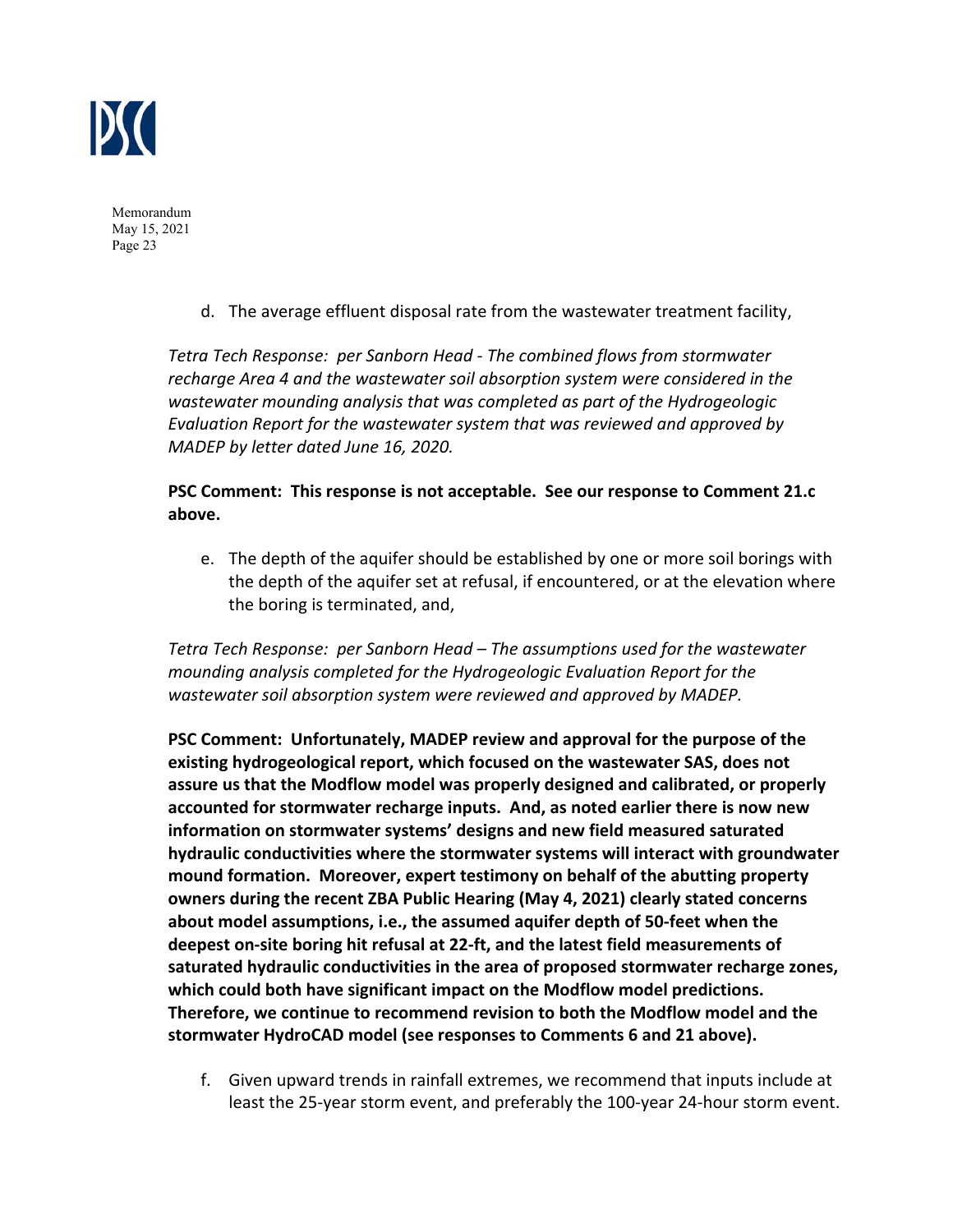

d. The average effluent disposal rate from the wastewater treatment facility,

*Tetra Tech Response: per Sanborn Head ‐ The combined flows from stormwater recharge Area 4 and the wastewater soil absorption system were considered in the wastewater mounding analysis that was completed as part of the Hydrogeologic Evaluation Report for the wastewater system that was reviewed and approved by MADEP by letter dated June 16, 2020.* 

# **PSC Comment: This response is not acceptable. See our response to Comment 21.c above.**

e. The depth of the aquifer should be established by one or more soil borings with the depth of the aquifer set at refusal, if encountered, or at the elevation where the boring is terminated, and,

*Tetra Tech Response: per Sanborn Head – The assumptions used for the wastewater mounding analysis completed for the Hydrogeologic Evaluation Report for the wastewater soil absorption system were reviewed and approved by MADEP.* 

**PSC Comment: Unfortunately, MADEP review and approval for the purpose of the existing hydrogeological report, which focused on the wastewater SAS, does not assure us that the Modflow model was properly designed and calibrated, or properly accounted for stormwater recharge inputs. And, as noted earlier there is now new information on stormwater systems' designs and new field measured saturated hydraulic conductivities where the stormwater systems will interact with groundwater mound formation. Moreover, expert testimony on behalf of the abutting property owners during the recent ZBA Public Hearing (May 4, 2021) clearly stated concerns about model assumptions, i.e., the assumed aquifer depth of 50‐feet when the deepest on‐site boring hit refusal at 22‐ft, and the latest field measurements of saturated hydraulic conductivities in the area of proposed stormwater recharge zones, which could both have significant impact on the Modflow model predictions. Therefore, we continue to recommend revision to both the Modflow model and the stormwater HydroCAD model (see responses to Comments 6 and 21 above).**

f. Given upward trends in rainfall extremes, we recommend that inputs include at least the 25‐year storm event, and preferably the 100‐year 24‐hour storm event.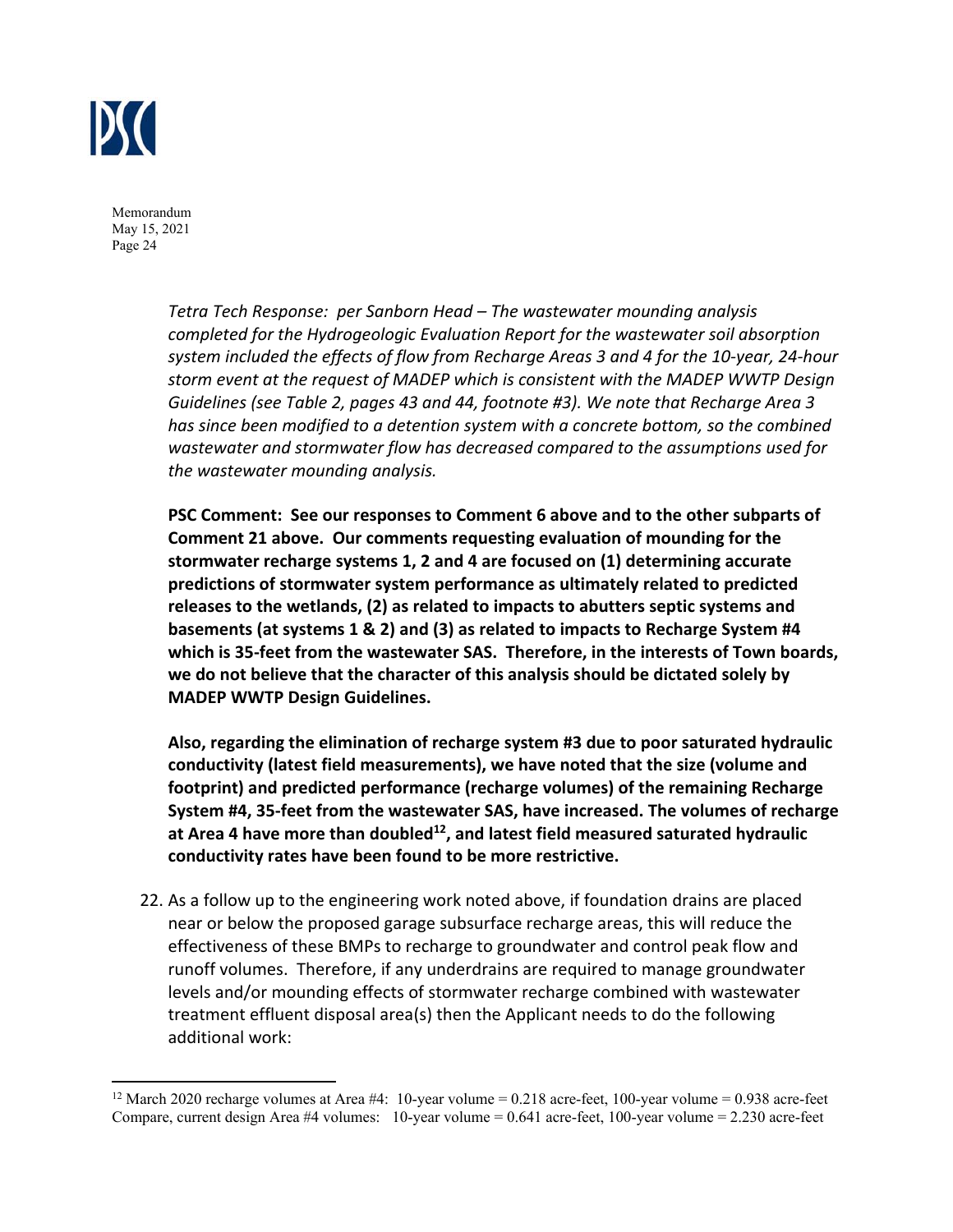

> *Tetra Tech Response: per Sanborn Head – The wastewater mounding analysis completed for the Hydrogeologic Evaluation Report for the wastewater soil absorption system included the effects of flow from Recharge Areas 3 and 4 for the 10‐year, 24‐hour storm event at the request of MADEP which is consistent with the MADEP WWTP Design Guidelines (see Table 2, pages 43 and 44, footnote #3). We note that Recharge Area 3 has since been modified to a detention system with a concrete bottom, so the combined wastewater and stormwater flow has decreased compared to the assumptions used for the wastewater mounding analysis.*

> **PSC Comment: See our responses to Comment 6 above and to the other subparts of Comment 21 above. Our comments requesting evaluation of mounding for the stormwater recharge systems 1, 2 and 4 are focused on (1) determining accurate predictions of stormwater system performance as ultimately related to predicted releases to the wetlands, (2) as related to impacts to abutters septic systems and basements (at systems 1 & 2) and (3) as related to impacts to Recharge System #4 which is 35‐feet from the wastewater SAS. Therefore, in the interests of Town boards, we do not believe that the character of this analysis should be dictated solely by MADEP WWTP Design Guidelines.**

> **Also, regarding the elimination of recharge system #3 due to poor saturated hydraulic conductivity (latest field measurements), we have noted that the size (volume and footprint) and predicted performance (recharge volumes) of the remaining Recharge System #4, 35‐feet from the wastewater SAS, have increased. The volumes of recharge**  at Area 4 have more than doubled<sup>12</sup>, and latest field measured saturated hydraulic **conductivity rates have been found to be more restrictive.**

22. As a follow up to the engineering work noted above, if foundation drains are placed near or below the proposed garage subsurface recharge areas, this will reduce the effectiveness of these BMPs to recharge to groundwater and control peak flow and runoff volumes. Therefore, if any underdrains are required to manage groundwater levels and/or mounding effects of stormwater recharge combined with wastewater treatment effluent disposal area(s) then the Applicant needs to do the following additional work:

<sup>&</sup>lt;sup>12</sup> March 2020 recharge volumes at Area #4: 10-year volume = 0.218 acre-feet, 100-year volume = 0.938 acre-feet Compare, current design Area #4 volumes: 10-year volume = 0.641 acre-feet, 100-year volume = 2.230 acre-feet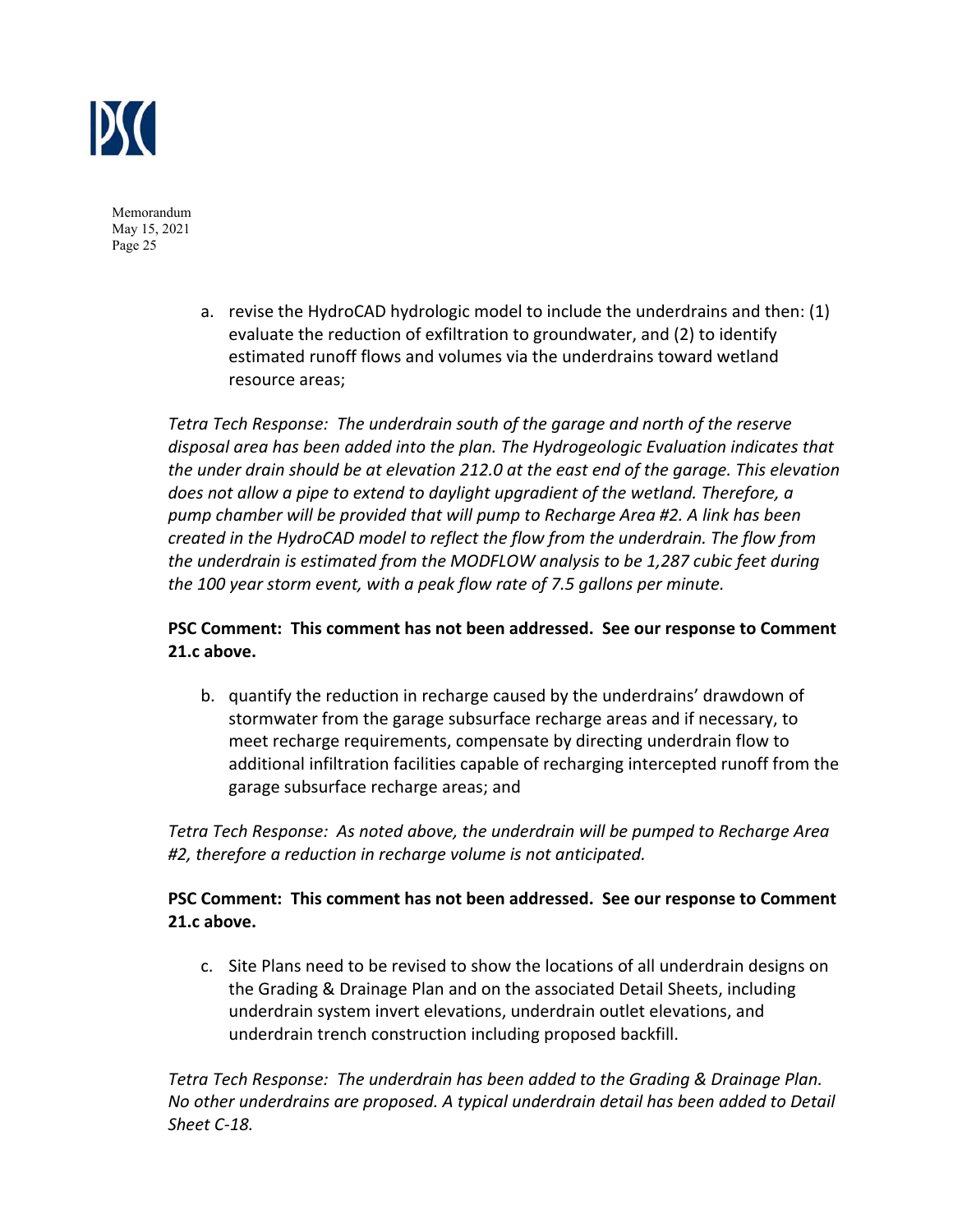

> a. revise the HydroCAD hydrologic model to include the underdrains and then: (1) evaluate the reduction of exfiltration to groundwater, and (2) to identify estimated runoff flows and volumes via the underdrains toward wetland resource areas;

*Tetra Tech Response: The underdrain south of the garage and north of the reserve disposal area has been added into the plan. The Hydrogeologic Evaluation indicates that the under drain should be at elevation 212.0 at the east end of the garage. This elevation does not allow a pipe to extend to daylight upgradient of the wetland. Therefore, a pump chamber will be provided that will pump to Recharge Area #2. A link has been created in the HydroCAD model to reflect the flow from the underdrain. The flow from the underdrain is estimated from the MODFLOW analysis to be 1,287 cubic feet during the 100 year storm event, with a peak flow rate of 7.5 gallons per minute.* 

# **PSC Comment: This comment has not been addressed. See our response to Comment 21.c above.**

b. quantify the reduction in recharge caused by the underdrains' drawdown of stormwater from the garage subsurface recharge areas and if necessary, to meet recharge requirements, compensate by directing underdrain flow to additional infiltration facilities capable of recharging intercepted runoff from the garage subsurface recharge areas; and

*Tetra Tech Response: As noted above, the underdrain will be pumped to Recharge Area #2, therefore a reduction in recharge volume is not anticipated.* 

# **PSC Comment: This comment has not been addressed. See our response to Comment 21.c above.**

c. Site Plans need to be revised to show the locations of all underdrain designs on the Grading & Drainage Plan and on the associated Detail Sheets, including underdrain system invert elevations, underdrain outlet elevations, and underdrain trench construction including proposed backfill.

*Tetra Tech Response: The underdrain has been added to the Grading & Drainage Plan. No other underdrains are proposed. A typical underdrain detail has been added to Detail Sheet C‐18.*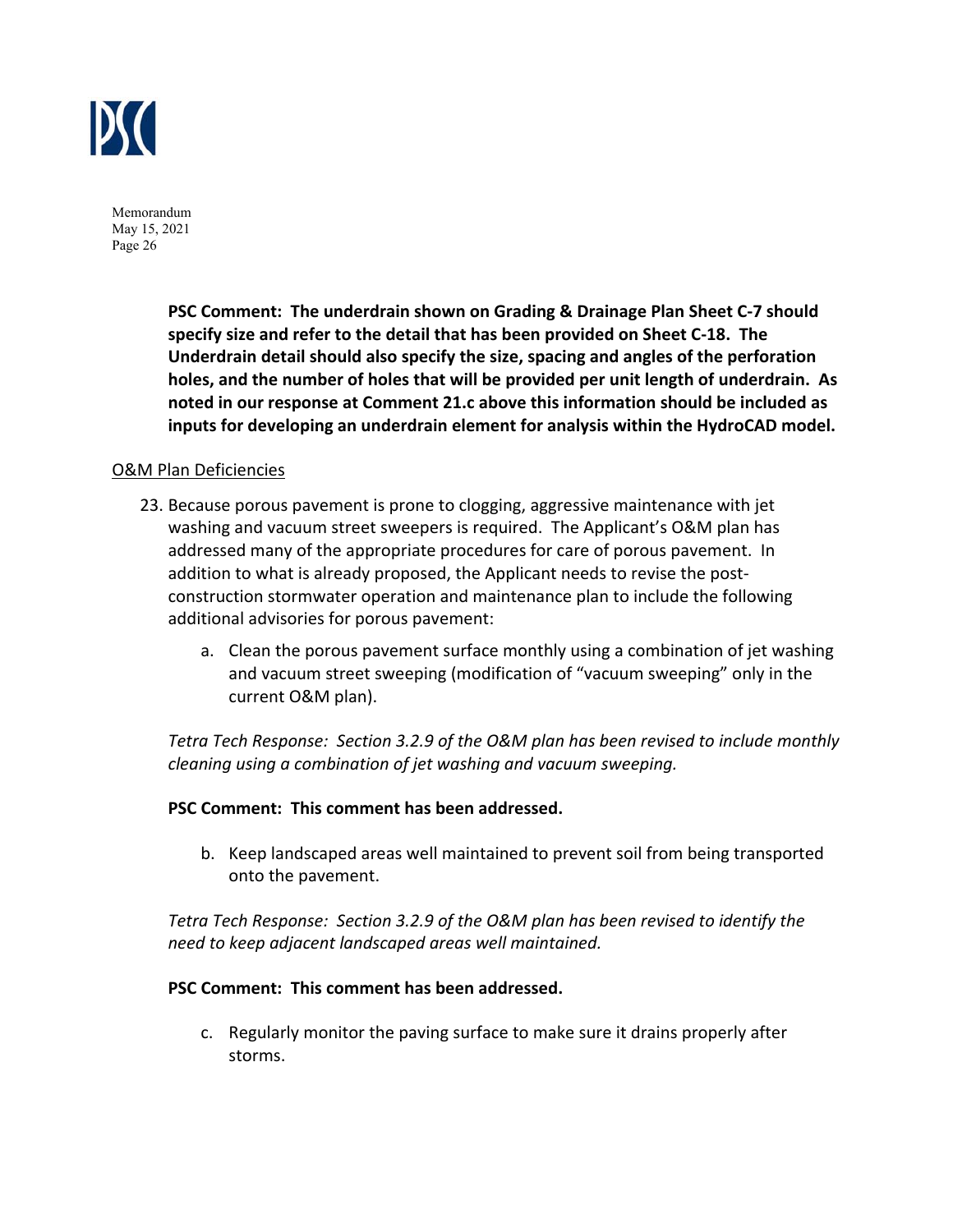

> **PSC Comment: The underdrain shown on Grading & Drainage Plan Sheet C‐7 should specify size and refer to the detail that has been provided on Sheet C‐18. The Underdrain detail should also specify the size, spacing and angles of the perforation holes, and the number of holes that will be provided per unit length of underdrain. As noted in our response at Comment 21.c above this information should be included as inputs for developing an underdrain element for analysis within the HydroCAD model.**

#### O&M Plan Deficiencies

- 23. Because porous pavement is prone to clogging, aggressive maintenance with jet washing and vacuum street sweepers is required. The Applicant's O&M plan has addressed many of the appropriate procedures for care of porous pavement. In addition to what is already proposed, the Applicant needs to revise the post‐ construction stormwater operation and maintenance plan to include the following additional advisories for porous pavement:
	- a. Clean the porous pavement surface monthly using a combination of jet washing and vacuum street sweeping (modification of "vacuum sweeping" only in the current O&M plan).

*Tetra Tech Response: Section 3.2.9 of the O&M plan has been revised to include monthly cleaning using a combination of jet washing and vacuum sweeping.* 

#### **PSC Comment: This comment has been addressed.**

b. Keep landscaped areas well maintained to prevent soil from being transported onto the pavement.

*Tetra Tech Response: Section 3.2.9 of the O&M plan has been revised to identify the need to keep adjacent landscaped areas well maintained.* 

#### **PSC Comment: This comment has been addressed.**

c. Regularly monitor the paving surface to make sure it drains properly after storms.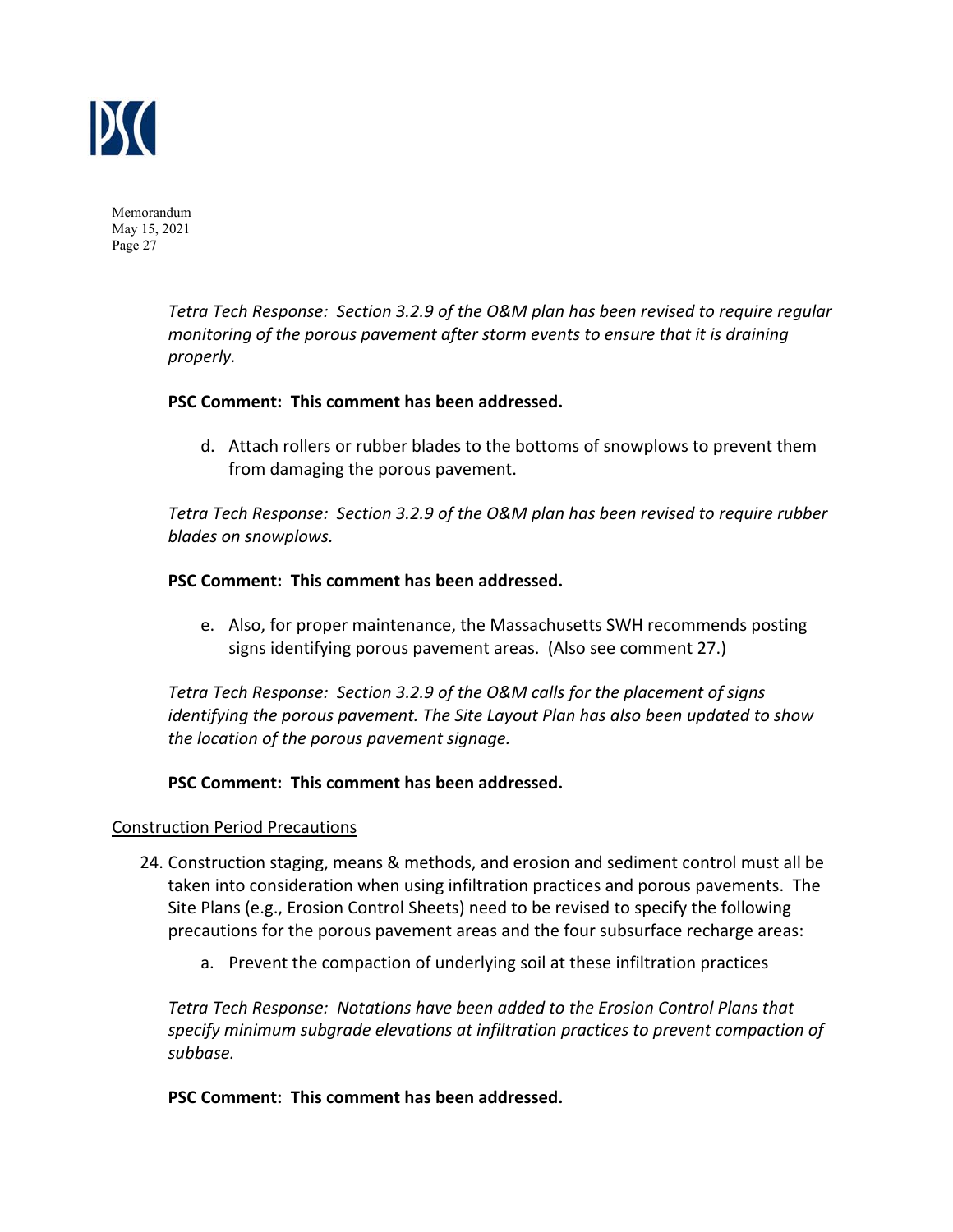

> *Tetra Tech Response: Section 3.2.9 of the O&M plan has been revised to require regular monitoring of the porous pavement after storm events to ensure that it is draining properly.*

#### **PSC Comment: This comment has been addressed.**

d. Attach rollers or rubber blades to the bottoms of snowplows to prevent them from damaging the porous pavement.

*Tetra Tech Response: Section 3.2.9 of the O&M plan has been revised to require rubber blades on snowplows.* 

## **PSC Comment: This comment has been addressed.**

e. Also, for proper maintenance, the Massachusetts SWH recommends posting signs identifying porous pavement areas. (Also see comment 27.)

*Tetra Tech Response: Section 3.2.9 of the O&M calls for the placement of signs identifying the porous pavement. The Site Layout Plan has also been updated to show the location of the porous pavement signage.* 

#### **PSC Comment: This comment has been addressed.**

#### Construction Period Precautions

- 24. Construction staging, means & methods, and erosion and sediment control must all be taken into consideration when using infiltration practices and porous pavements. The Site Plans (e.g., Erosion Control Sheets) need to be revised to specify the following precautions for the porous pavement areas and the four subsurface recharge areas:
	- a. Prevent the compaction of underlying soil at these infiltration practices

*Tetra Tech Response: Notations have been added to the Erosion Control Plans that specify minimum subgrade elevations at infiltration practices to prevent compaction of subbase.* 

**PSC Comment: This comment has been addressed.**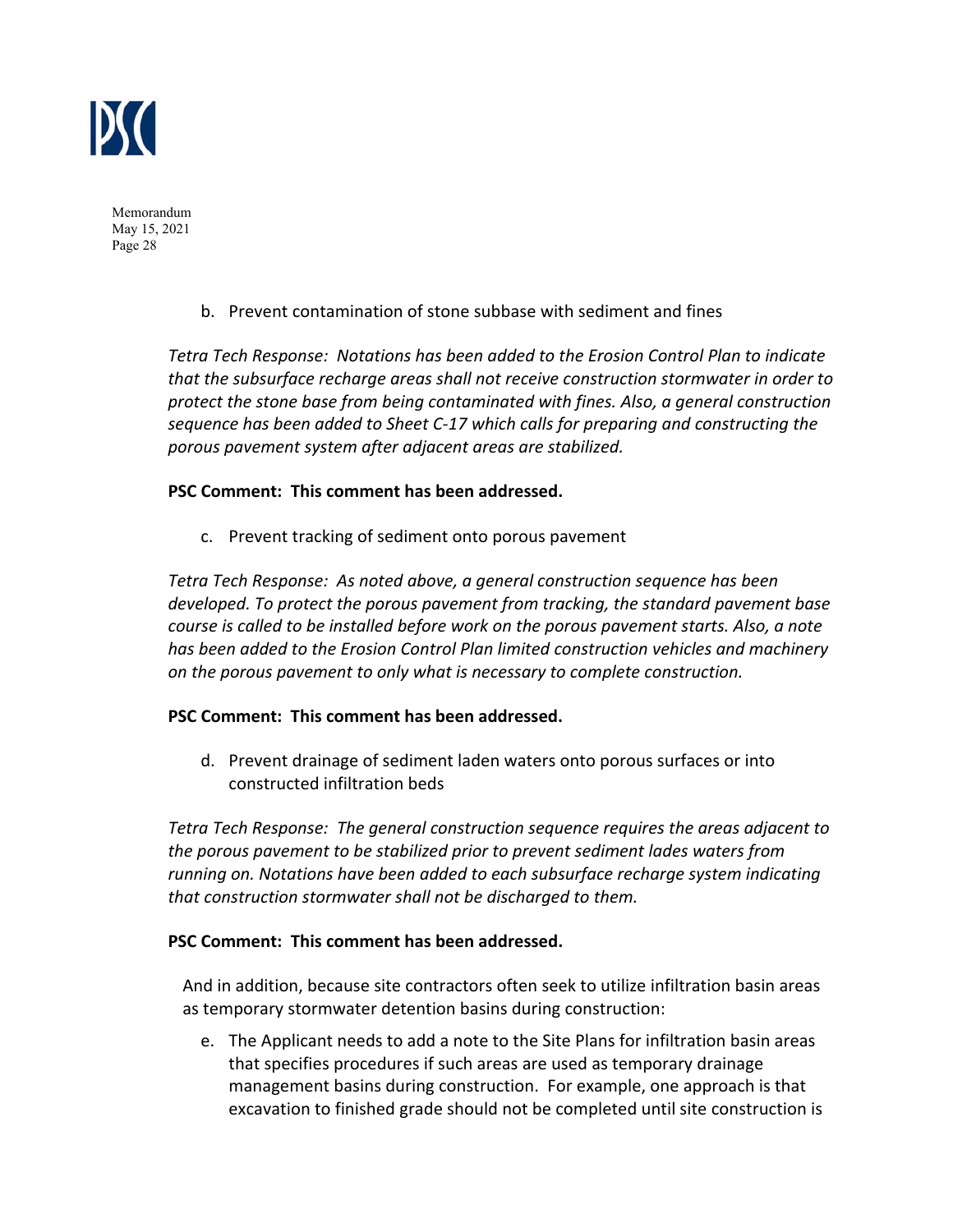

b. Prevent contamination of stone subbase with sediment and fines

*Tetra Tech Response: Notations has been added to the Erosion Control Plan to indicate that the subsurface recharge areas shall not receive construction stormwater in order to protect the stone base from being contaminated with fines. Also, a general construction sequence has been added to Sheet C‐17 which calls for preparing and constructing the porous pavement system after adjacent areas are stabilized.* 

## **PSC Comment: This comment has been addressed.**

c. Prevent tracking of sediment onto porous pavement

*Tetra Tech Response: As noted above, a general construction sequence has been developed. To protect the porous pavement from tracking, the standard pavement base course is called to be installed before work on the porous pavement starts. Also, a note has been added to the Erosion Control Plan limited construction vehicles and machinery on the porous pavement to only what is necessary to complete construction.* 

#### **PSC Comment: This comment has been addressed.**

d. Prevent drainage of sediment laden waters onto porous surfaces or into constructed infiltration beds

*Tetra Tech Response: The general construction sequence requires the areas adjacent to the porous pavement to be stabilized prior to prevent sediment lades waters from running on. Notations have been added to each subsurface recharge system indicating that construction stormwater shall not be discharged to them.* 

#### **PSC Comment: This comment has been addressed.**

And in addition, because site contractors often seek to utilize infiltration basin areas as temporary stormwater detention basins during construction:

e. The Applicant needs to add a note to the Site Plans for infiltration basin areas that specifies procedures if such areas are used as temporary drainage management basins during construction. For example, one approach is that excavation to finished grade should not be completed until site construction is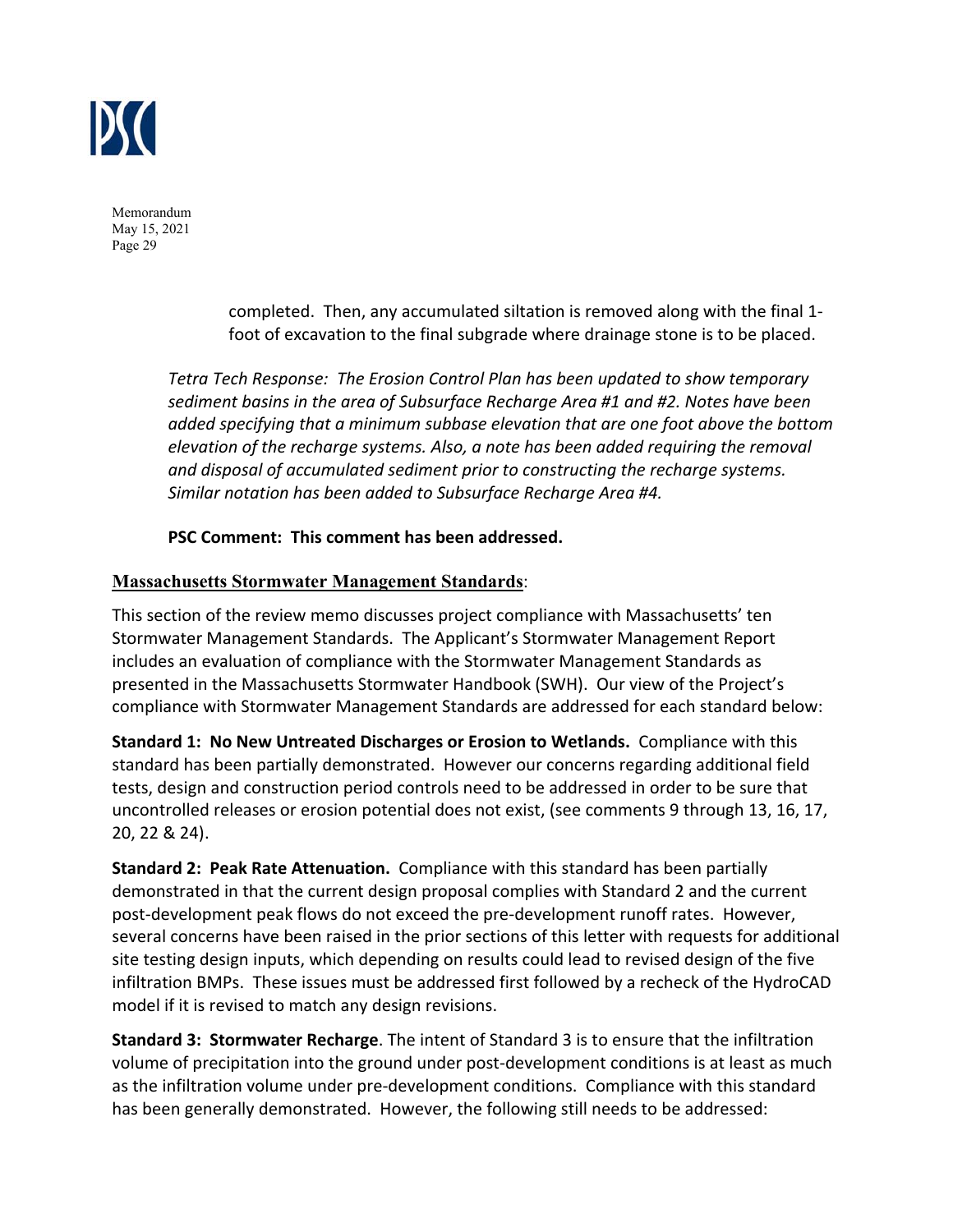

> completed. Then, any accumulated siltation is removed along with the final 1‐ foot of excavation to the final subgrade where drainage stone is to be placed.

*Tetra Tech Response: The Erosion Control Plan has been updated to show temporary sediment basins in the area of Subsurface Recharge Area #1 and #2. Notes have been added specifying that a minimum subbase elevation that are one foot above the bottom elevation of the recharge systems. Also, a note has been added requiring the removal and disposal of accumulated sediment prior to constructing the recharge systems. Similar notation has been added to Subsurface Recharge Area #4.*

## **PSC Comment: This comment has been addressed.**

## **Massachusetts Stormwater Management Standards**:

This section of the review memo discusses project compliance with Massachusetts' ten Stormwater Management Standards. The Applicant's Stormwater Management Report includes an evaluation of compliance with the Stormwater Management Standards as presented in the Massachusetts Stormwater Handbook (SWH). Our view of the Project's compliance with Stormwater Management Standards are addressed for each standard below:

**Standard 1: No New Untreated Discharges or Erosion to Wetlands.** Compliance with this standard has been partially demonstrated. However our concerns regarding additional field tests, design and construction period controls need to be addressed in order to be sure that uncontrolled releases or erosion potential does not exist, (see comments 9 through 13, 16, 17, 20, 22 & 24).

**Standard 2: Peak Rate Attenuation.** Compliance with this standard has been partially demonstrated in that the current design proposal complies with Standard 2 and the current post‐development peak flows do not exceed the pre‐development runoff rates. However, several concerns have been raised in the prior sections of this letter with requests for additional site testing design inputs, which depending on results could lead to revised design of the five infiltration BMPs. These issues must be addressed first followed by a recheck of the HydroCAD model if it is revised to match any design revisions.

**Standard 3: Stormwater Recharge**. The intent of Standard 3 is to ensure that the infiltration volume of precipitation into the ground under post-development conditions is at least as much as the infiltration volume under pre‐development conditions. Compliance with this standard has been generally demonstrated. However, the following still needs to be addressed: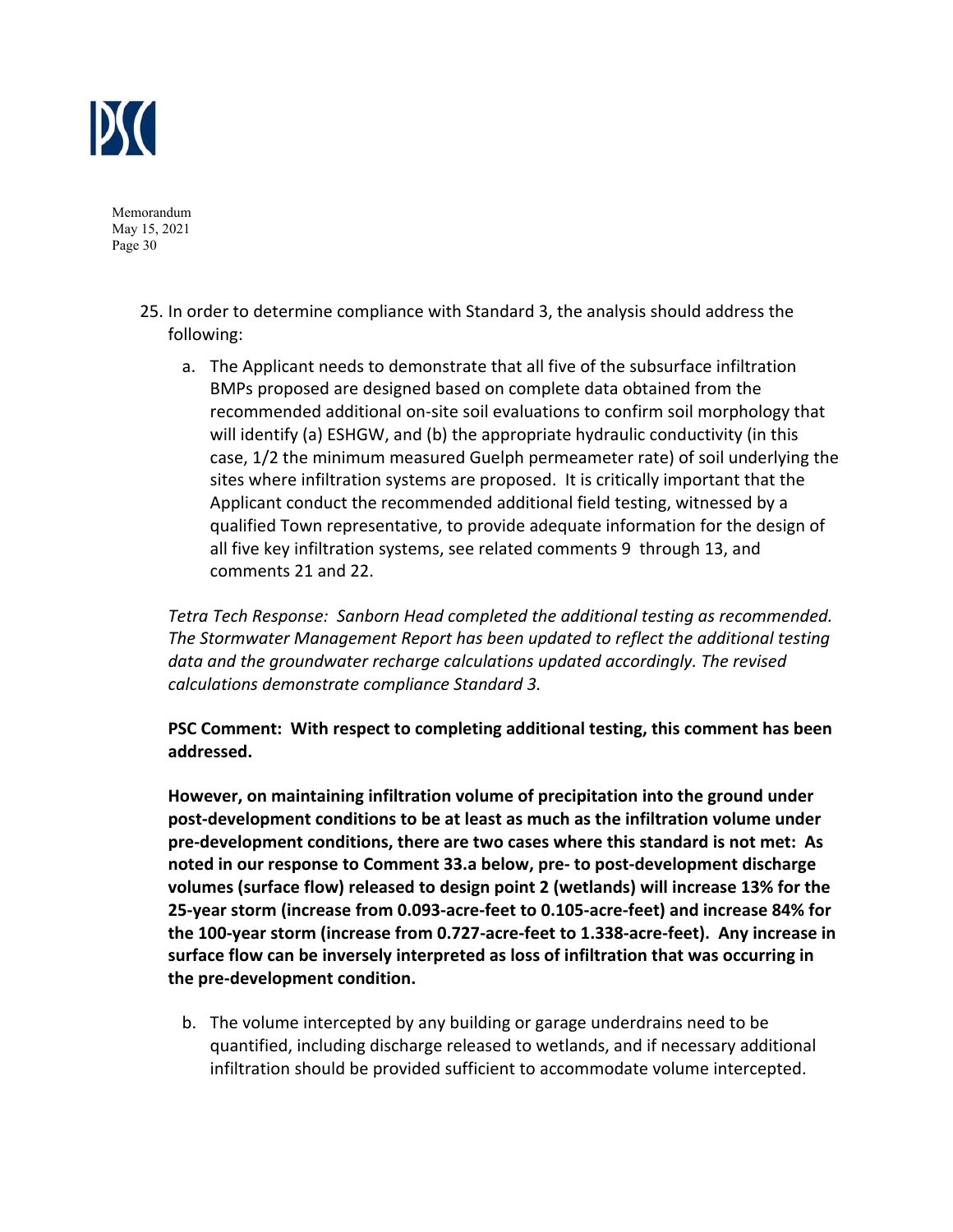

- 25. In order to determine compliance with Standard 3, the analysis should address the following:
	- a. The Applicant needs to demonstrate that all five of the subsurface infiltration BMPs proposed are designed based on complete data obtained from the recommended additional on‐site soil evaluations to confirm soil morphology that will identify (a) ESHGW, and (b) the appropriate hydraulic conductivity (in this case, 1/2 the minimum measured Guelph permeameter rate) of soil underlying the sites where infiltration systems are proposed. It is critically important that the Applicant conduct the recommended additional field testing, witnessed by a qualified Town representative, to provide adequate information for the design of all five key infiltration systems, see related comments 9 through 13, and comments 21 and 22.

*Tetra Tech Response: Sanborn Head completed the additional testing as recommended. The Stormwater Management Report has been updated to reflect the additional testing data and the groundwater recharge calculations updated accordingly. The revised calculations demonstrate compliance Standard 3.* 

**PSC Comment: With respect to completing additional testing, this comment has been addressed.** 

**However, on maintaining infiltration volume of precipitation into the ground under post‐development conditions to be at least as much as the infiltration volume under pre‐development conditions, there are two cases where this standard is not met: As noted in our response to Comment 33.a below, pre‐ to post‐development discharge volumes (surface flow) released to design point 2 (wetlands) will increase 13% for the 25‐year storm (increase from 0.093‐acre‐feet to 0.105‐acre‐feet) and increase 84% for the 100‐year storm (increase from 0.727‐acre‐feet to 1.338‐acre‐feet). Any increase in surface flow can be inversely interpreted as loss of infiltration that was occurring in the pre‐development condition.**

b. The volume intercepted by any building or garage underdrains need to be quantified, including discharge released to wetlands, and if necessary additional infiltration should be provided sufficient to accommodate volume intercepted.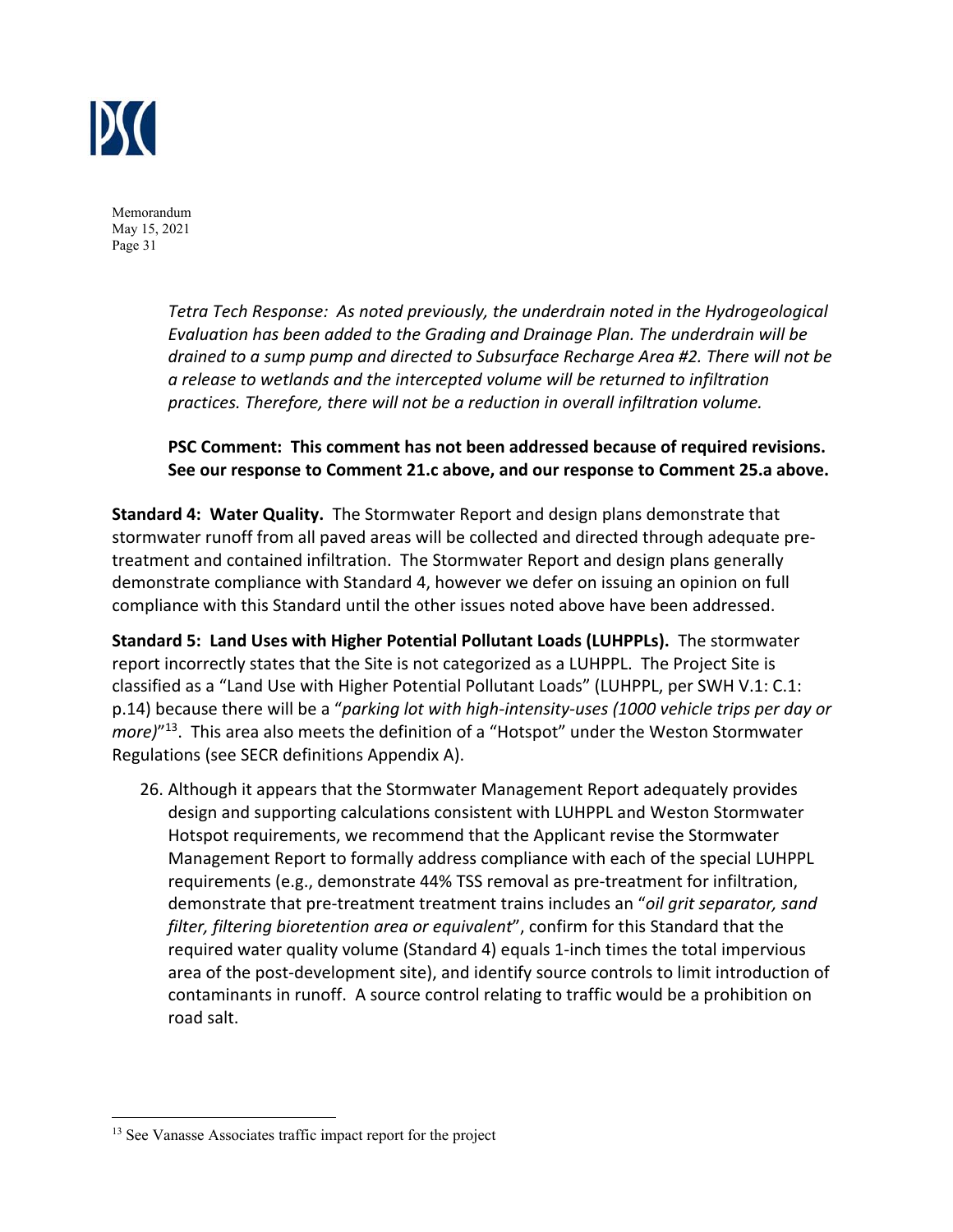

> *Tetra Tech Response: As noted previously, the underdrain noted in the Hydrogeological Evaluation has been added to the Grading and Drainage Plan. The underdrain will be drained to a sump pump and directed to Subsurface Recharge Area #2. There will not be a release to wetlands and the intercepted volume will be returned to infiltration practices. Therefore, there will not be a reduction in overall infiltration volume.*

# **PSC Comment: This comment has not been addressed because of required revisions. See our response to Comment 21.c above, and our response to Comment 25.a above.**

**Standard 4: Water Quality.** The Stormwater Report and design plans demonstrate that stormwater runoff from all paved areas will be collected and directed through adequate pre‐ treatment and contained infiltration. The Stormwater Report and design plans generally demonstrate compliance with Standard 4, however we defer on issuing an opinion on full compliance with this Standard until the other issues noted above have been addressed.

**Standard 5: Land Uses with Higher Potential Pollutant Loads (LUHPPLs).** The stormwater report incorrectly states that the Site is not categorized as a LUHPPL. The Project Site is classified as a "Land Use with Higher Potential Pollutant Loads" (LUHPPL, per SWH V.1: C.1: p.14) because there will be a "*parking lot with high‐intensity‐uses (1000 vehicle trips per day or more)*"13. This area also meets the definition of a "Hotspot" under the Weston Stormwater Regulations (see SECR definitions Appendix A).

26. Although it appears that the Stormwater Management Report adequately provides design and supporting calculations consistent with LUHPPL and Weston Stormwater Hotspot requirements, we recommend that the Applicant revise the Stormwater Management Report to formally address compliance with each of the special LUHPPL requirements (e.g., demonstrate 44% TSS removal as pre‐treatment for infiltration, demonstrate that pre‐treatment treatment trains includes an "*oil grit separator, sand filter, filtering bioretention area or equivalent*", confirm for this Standard that the required water quality volume (Standard 4) equals 1‐inch times the total impervious area of the post‐development site), and identify source controls to limit introduction of contaminants in runoff. A source control relating to traffic would be a prohibition on road salt.

<sup>&</sup>lt;sup>13</sup> See Vanasse Associates traffic impact report for the project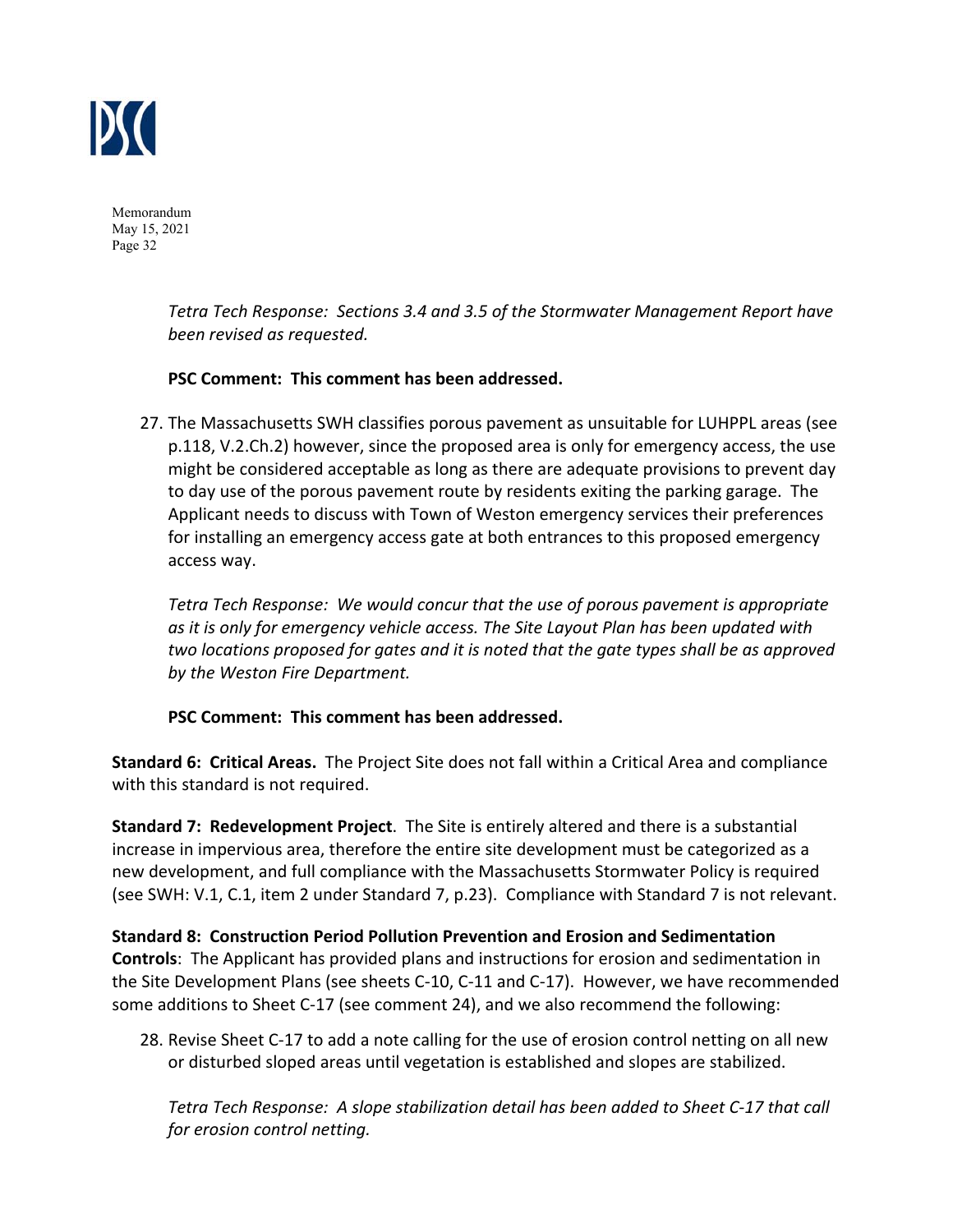

> *Tetra Tech Response: Sections 3.4 and 3.5 of the Stormwater Management Report have been revised as requested.*

## **PSC Comment: This comment has been addressed.**

27. The Massachusetts SWH classifies porous pavement as unsuitable for LUHPPL areas (see p.118, V.2.Ch.2) however, since the proposed area is only for emergency access, the use might be considered acceptable as long as there are adequate provisions to prevent day to day use of the porous pavement route by residents exiting the parking garage. The Applicant needs to discuss with Town of Weston emergency services their preferences for installing an emergency access gate at both entrances to this proposed emergency access way.

*Tetra Tech Response: We would concur that the use of porous pavement is appropriate as it is only for emergency vehicle access. The Site Layout Plan has been updated with two locations proposed for gates and it is noted that the gate types shall be as approved by the Weston Fire Department.* 

# **PSC Comment: This comment has been addressed.**

**Standard 6: Critical Areas.** The Project Site does not fall within a Critical Area and compliance with this standard is not required.

**Standard 7: Redevelopment Project**. The Site is entirely altered and there is a substantial increase in impervious area, therefore the entire site development must be categorized as a new development, and full compliance with the Massachusetts Stormwater Policy is required (see SWH: V.1, C.1, item 2 under Standard 7, p.23). Compliance with Standard 7 is not relevant.

**Standard 8: Construction Period Pollution Prevention and Erosion and Sedimentation Controls**: The Applicant has provided plans and instructions for erosion and sedimentation in the Site Development Plans (see sheets C‐10, C‐11 and C‐17). However, we have recommended some additions to Sheet C‐17 (see comment 24), and we also recommend the following:

28. Revise Sheet C‐17 to add a note calling for the use of erosion control netting on all new or disturbed sloped areas until vegetation is established and slopes are stabilized.

*Tetra Tech Response: A slope stabilization detail has been added to Sheet C‐17 that call for erosion control netting.*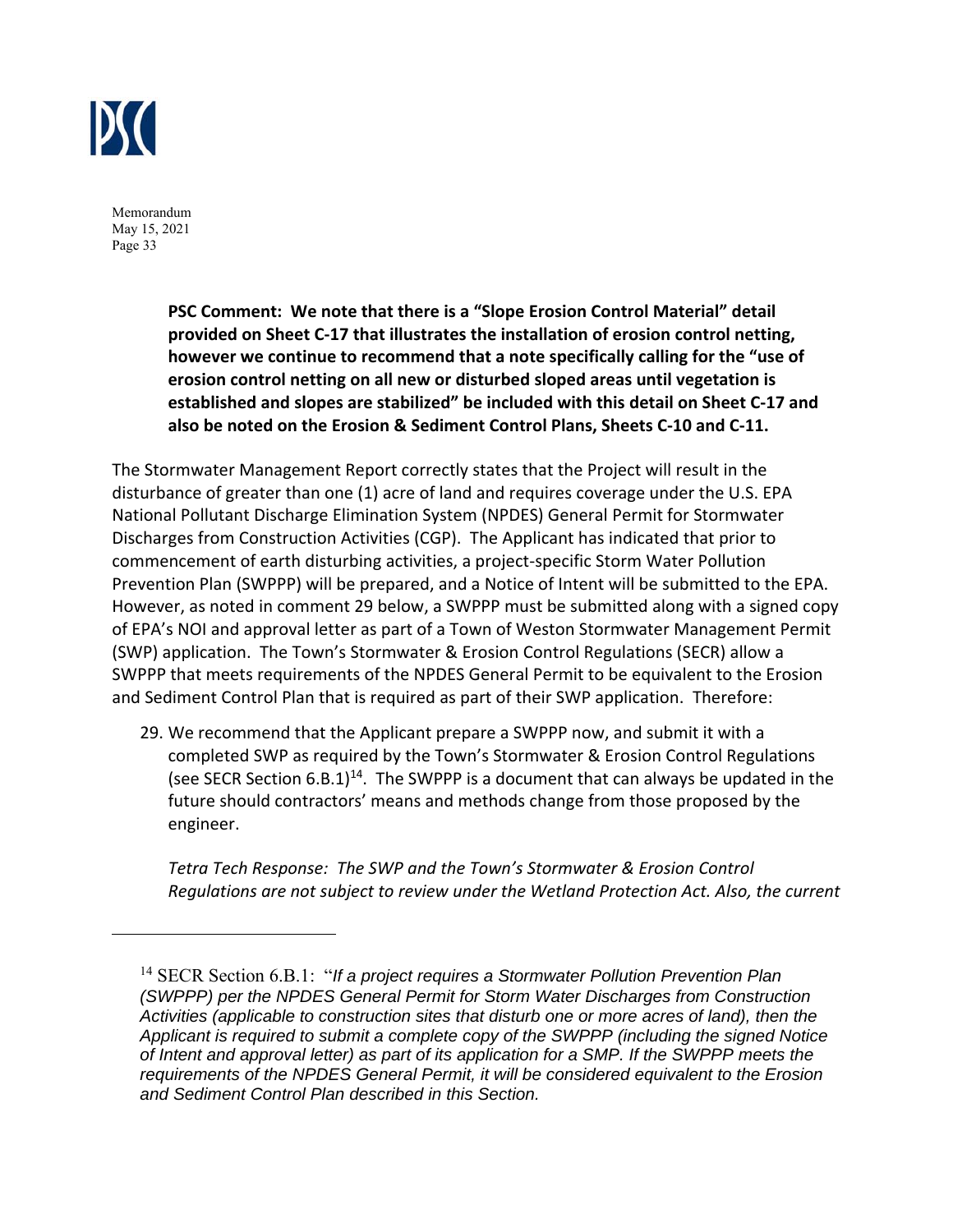

> **PSC Comment: We note that there is a "Slope Erosion Control Material" detail provided on Sheet C‐17 that illustrates the installation of erosion control netting, however we continue to recommend that a note specifically calling for the "use of erosion control netting on all new or disturbed sloped areas until vegetation is established and slopes are stabilized" be included with this detail on Sheet C‐17 and also be noted on the Erosion & Sediment Control Plans, Sheets C‐10 and C‐11.**

The Stormwater Management Report correctly states that the Project will result in the disturbance of greater than one (1) acre of land and requires coverage under the U.S. EPA National Pollutant Discharge Elimination System (NPDES) General Permit for Stormwater Discharges from Construction Activities (CGP). The Applicant has indicated that prior to commencement of earth disturbing activities, a project‐specific Storm Water Pollution Prevention Plan (SWPPP) will be prepared, and a Notice of Intent will be submitted to the EPA. However, as noted in comment 29 below, a SWPPP must be submitted along with a signed copy of EPA's NOI and approval letter as part of a Town of Weston Stormwater Management Permit (SWP) application. The Town's Stormwater & Erosion Control Regulations (SECR) allow a SWPPP that meets requirements of the NPDES General Permit to be equivalent to the Erosion and Sediment Control Plan that is required as part of their SWP application. Therefore:

29. We recommend that the Applicant prepare a SWPPP now, and submit it with a completed SWP as required by the Town's Stormwater & Erosion Control Regulations (see SECR Section  $6.8.1$ )<sup>14</sup>. The SWPPP is a document that can always be updated in the future should contractors' means and methods change from those proposed by the engineer.

*Tetra Tech Response: The SWP and the Town's Stormwater & Erosion Control Regulations are not subject to review under the Wetland Protection Act. Also, the current* 

<sup>&</sup>lt;sup>14</sup> SECR Section 6.B.1: "If a project requires a Stormwater Pollution Prevention Plan *(SWPPP) per the NPDES General Permit for Storm Water Discharges from Construction Activities (applicable to construction sites that disturb one or more acres of land), then the Applicant is required to submit a complete copy of the SWPPP (including the signed Notice of Intent and approval letter) as part of its application for a SMP. If the SWPPP meets the requirements of the NPDES General Permit, it will be considered equivalent to the Erosion and Sediment Control Plan described in this Section.*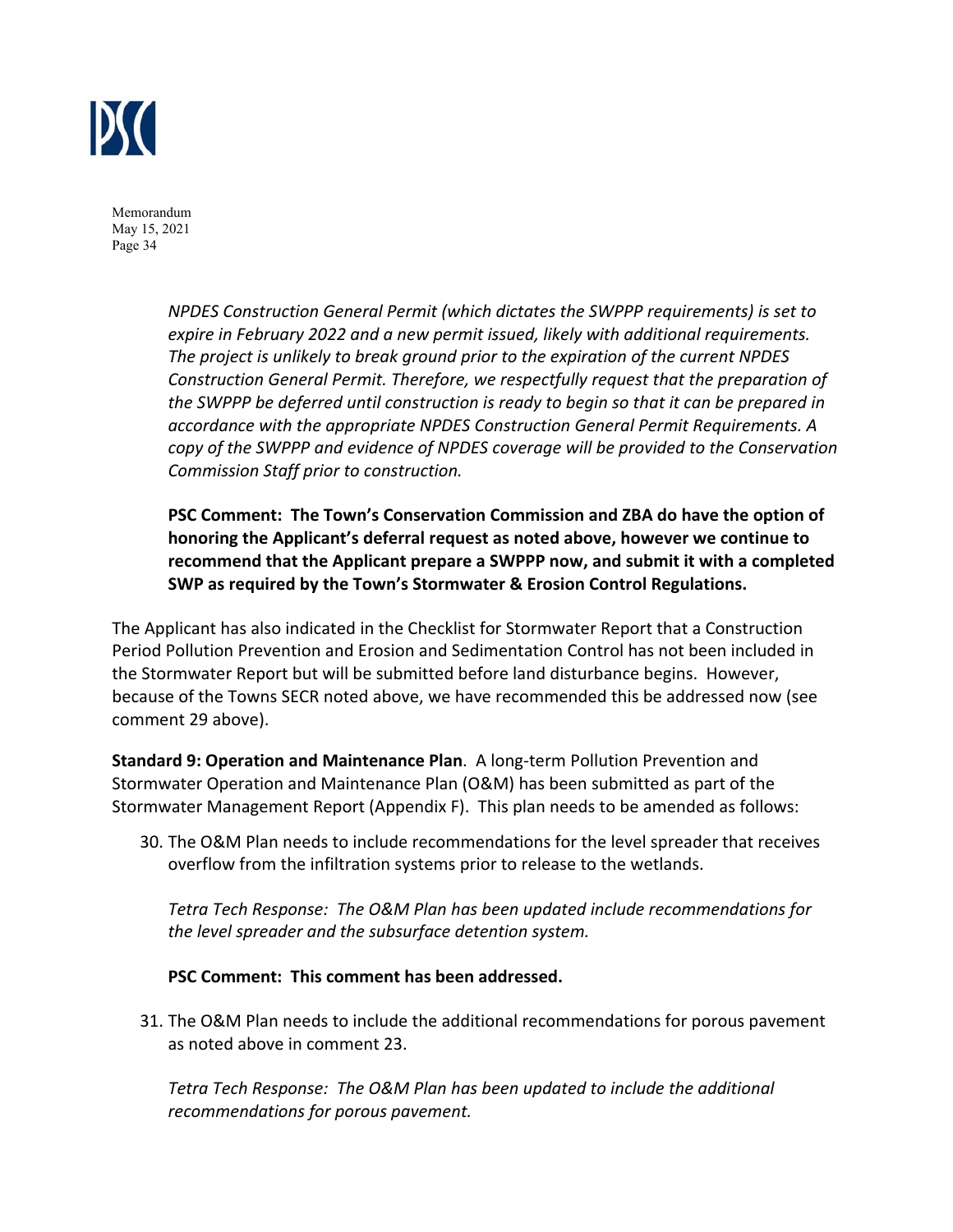

> *NPDES Construction General Permit (which dictates the SWPPP requirements) is set to expire in February 2022 and a new permit issued, likely with additional requirements. The project is unlikely to break ground prior to the expiration of the current NPDES Construction General Permit. Therefore, we respectfully request that the preparation of the SWPPP be deferred until construction is ready to begin so that it can be prepared in accordance with the appropriate NPDES Construction General Permit Requirements. A copy of the SWPPP and evidence of NPDES coverage will be provided to the Conservation Commission Staff prior to construction.*

> **PSC Comment: The Town's Conservation Commission and ZBA do have the option of honoring the Applicant's deferral request as noted above, however we continue to recommend that the Applicant prepare a SWPPP now, and submit it with a completed SWP as required by the Town's Stormwater & Erosion Control Regulations.**

The Applicant has also indicated in the Checklist for Stormwater Report that a Construction Period Pollution Prevention and Erosion and Sedimentation Control has not been included in the Stormwater Report but will be submitted before land disturbance begins. However, because of the Towns SECR noted above, we have recommended this be addressed now (see comment 29 above).

**Standard 9: Operation and Maintenance Plan**. A long‐term Pollution Prevention and Stormwater Operation and Maintenance Plan (O&M) has been submitted as part of the Stormwater Management Report (Appendix F). This plan needs to be amended as follows:

30. The O&M Plan needs to include recommendations for the level spreader that receives overflow from the infiltration systems prior to release to the wetlands.

*Tetra Tech Response: The O&M Plan has been updated include recommendations for the level spreader and the subsurface detention system.* 

**PSC Comment: This comment has been addressed.** 

31. The O&M Plan needs to include the additional recommendations for porous pavement as noted above in comment 23.

*Tetra Tech Response: The O&M Plan has been updated to include the additional recommendations for porous pavement.*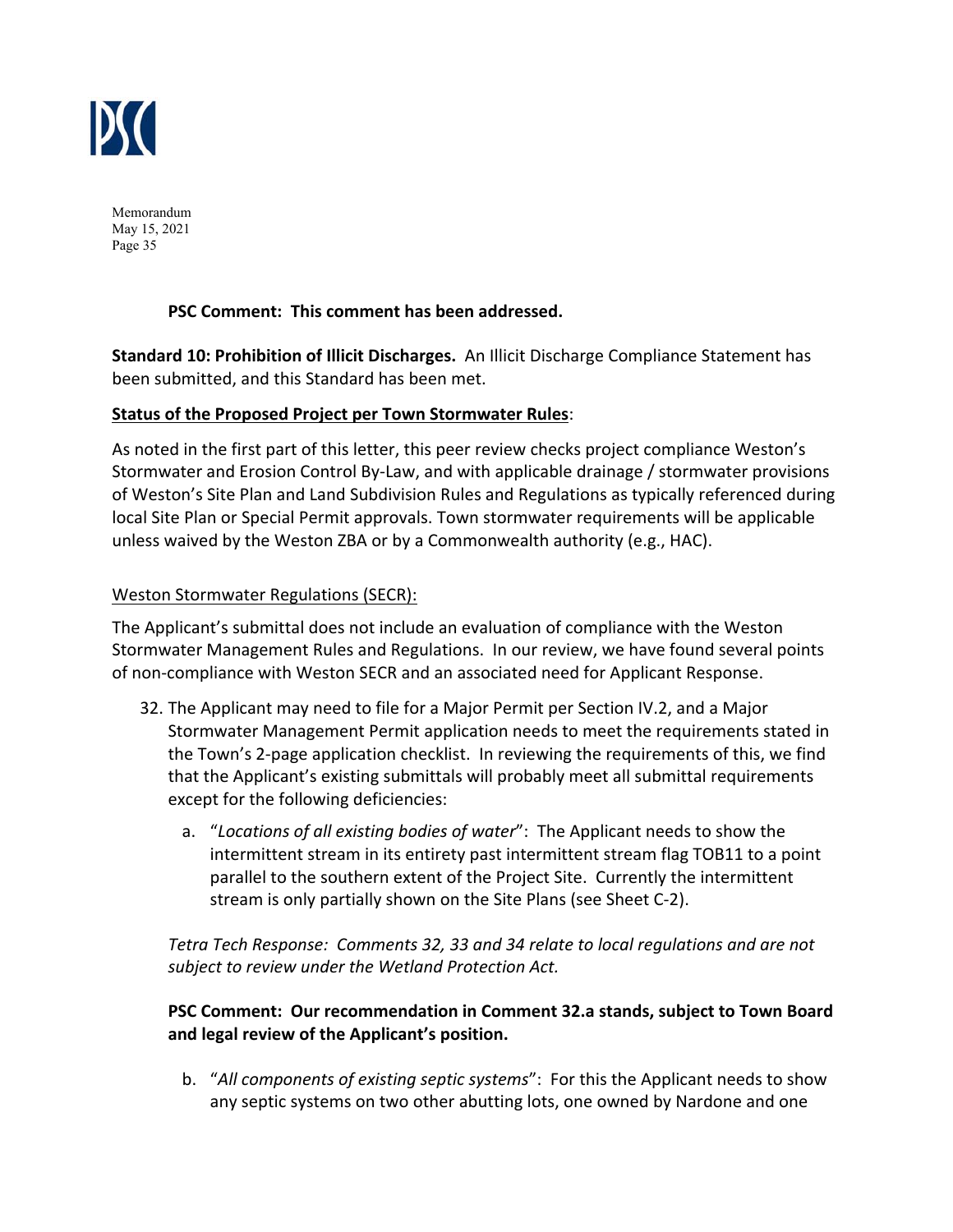

# **PSC Comment: This comment has been addressed.**

**Standard 10: Prohibition of Illicit Discharges.** An Illicit Discharge Compliance Statement has been submitted, and this Standard has been met.

#### **Status of the Proposed Project per Town Stormwater Rules**:

As noted in the first part of this letter, this peer review checks project compliance Weston's Stormwater and Erosion Control By‐Law, and with applicable drainage / stormwater provisions of Weston's Site Plan and Land Subdivision Rules and Regulations as typically referenced during local Site Plan or Special Permit approvals. Town stormwater requirements will be applicable unless waived by the Weston ZBA or by a Commonwealth authority (e.g., HAC).

## Weston Stormwater Regulations (SECR):

The Applicant's submittal does not include an evaluation of compliance with the Weston Stormwater Management Rules and Regulations. In our review, we have found several points of non‐compliance with Weston SECR and an associated need for Applicant Response.

- 32. The Applicant may need to file for a Major Permit per Section IV.2, and a Major Stormwater Management Permit application needs to meet the requirements stated in the Town's 2‐page application checklist. In reviewing the requirements of this, we find that the Applicant's existing submittals will probably meet all submittal requirements except for the following deficiencies:
	- a. "*Locations of all existing bodies of water*": The Applicant needs to show the intermittent stream in its entirety past intermittent stream flag TOB11 to a point parallel to the southern extent of the Project Site. Currently the intermittent stream is only partially shown on the Site Plans (see Sheet C‐2).

*Tetra Tech Response: Comments 32, 33 and 34 relate to local regulations and are not subject to review under the Wetland Protection Act.* 

# **PSC Comment: Our recommendation in Comment 32.a stands, subject to Town Board and legal review of the Applicant's position.**

b. "*All components of existing septic systems*": For this the Applicant needs to show any septic systems on two other abutting lots, one owned by Nardone and one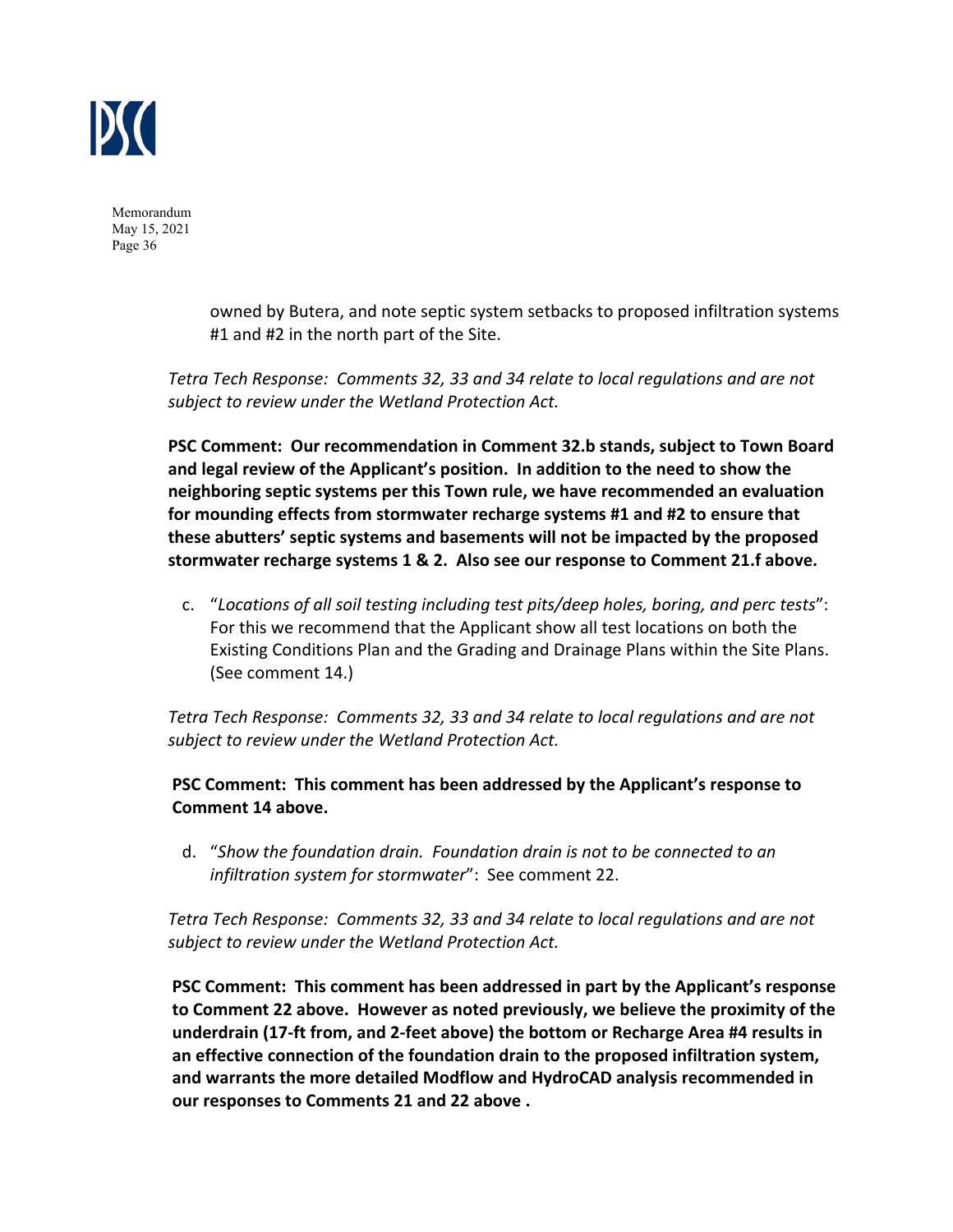

> owned by Butera, and note septic system setbacks to proposed infiltration systems #1 and #2 in the north part of the Site.

*Tetra Tech Response: Comments 32, 33 and 34 relate to local regulations and are not subject to review under the Wetland Protection Act.* 

**PSC Comment: Our recommendation in Comment 32.b stands, subject to Town Board and legal review of the Applicant's position. In addition to the need to show the neighboring septic systems per this Town rule, we have recommended an evaluation for mounding effects from stormwater recharge systems #1 and #2 to ensure that these abutters' septic systems and basements will not be impacted by the proposed stormwater recharge systems 1 & 2. Also see our response to Comment 21.f above.**

c. "*Locations of all soil testing including test pits/deep holes, boring, and perc tests*": For this we recommend that the Applicant show all test locations on both the Existing Conditions Plan and the Grading and Drainage Plans within the Site Plans. (See comment 14.)

*Tetra Tech Response: Comments 32, 33 and 34 relate to local regulations and are not subject to review under the Wetland Protection Act.* 

**PSC Comment: This comment has been addressed by the Applicant's response to Comment 14 above.**

d. "*Show the foundation drain. Foundation drain is not to be connected to an infiltration system for stormwater*": See comment 22.

*Tetra Tech Response: Comments 32, 33 and 34 relate to local regulations and are not subject to review under the Wetland Protection Act.* 

**PSC Comment: This comment has been addressed in part by the Applicant's response to Comment 22 above. However as noted previously, we believe the proximity of the underdrain (17‐ft from, and 2‐feet above) the bottom or Recharge Area #4 results in an effective connection of the foundation drain to the proposed infiltration system, and warrants the more detailed Modflow and HydroCAD analysis recommended in our responses to Comments 21 and 22 above .**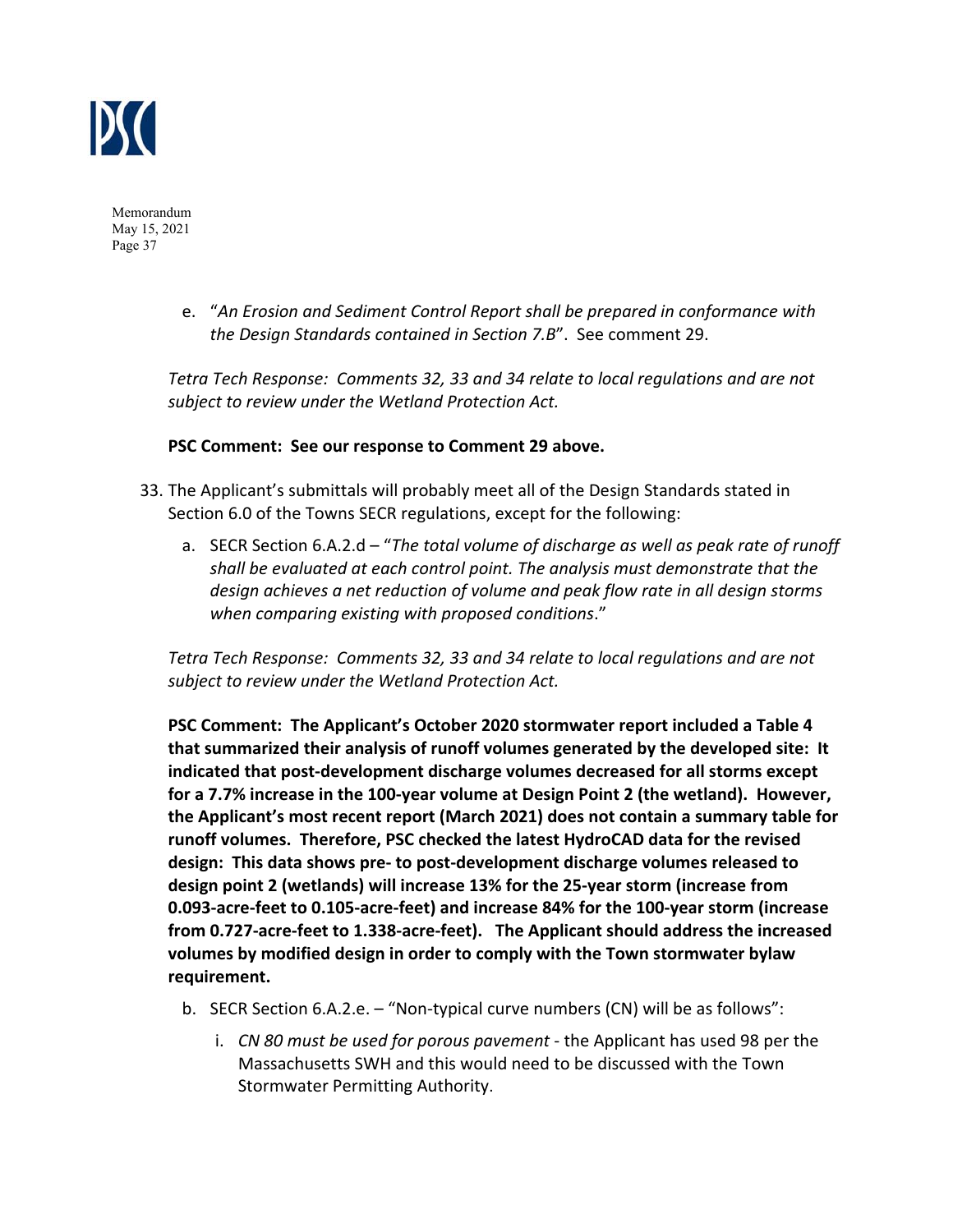

> e. "*An Erosion and Sediment Control Report shall be prepared in conformance with the Design Standards contained in Section 7.B*". See comment 29.

*Tetra Tech Response: Comments 32, 33 and 34 relate to local regulations and are not subject to review under the Wetland Protection Act.* 

#### **PSC Comment: See our response to Comment 29 above.**

- 33. The Applicant's submittals will probably meet all of the Design Standards stated in Section 6.0 of the Towns SECR regulations, except for the following:
	- a. SECR Section 6.A.2.d "*The total volume of discharge as well as peak rate of runoff shall be evaluated at each control point. The analysis must demonstrate that the design achieves a net reduction of volume and peak flow rate in all design storms when comparing existing with proposed conditions*."

*Tetra Tech Response: Comments 32, 33 and 34 relate to local regulations and are not subject to review under the Wetland Protection Act.* 

**PSC Comment: The Applicant's October 2020 stormwater report included a Table 4 that summarized their analysis of runoff volumes generated by the developed site: It indicated that post‐development discharge volumes decreased for all storms except for a 7.7% increase in the 100‐year volume at Design Point 2 (the wetland). However, the Applicant's most recent report (March 2021) does not contain a summary table for runoff volumes. Therefore, PSC checked the latest HydroCAD data for the revised design: This data shows pre‐ to post‐development discharge volumes released to design point 2 (wetlands) will increase 13% for the 25‐year storm (increase from 0.093‐acre‐feet to 0.105‐acre‐feet) and increase 84% for the 100‐year storm (increase from 0.727‐acre‐feet to 1.338‐acre‐feet). The Applicant should address the increased volumes by modified design in order to comply with the Town stormwater bylaw requirement.** 

- b. SECR Section 6.A.2.e. "Non-typical curve numbers (CN) will be as follows":
	- i. *CN 80 must be used for porous pavement* ‐ the Applicant has used 98 per the Massachusetts SWH and this would need to be discussed with the Town Stormwater Permitting Authority.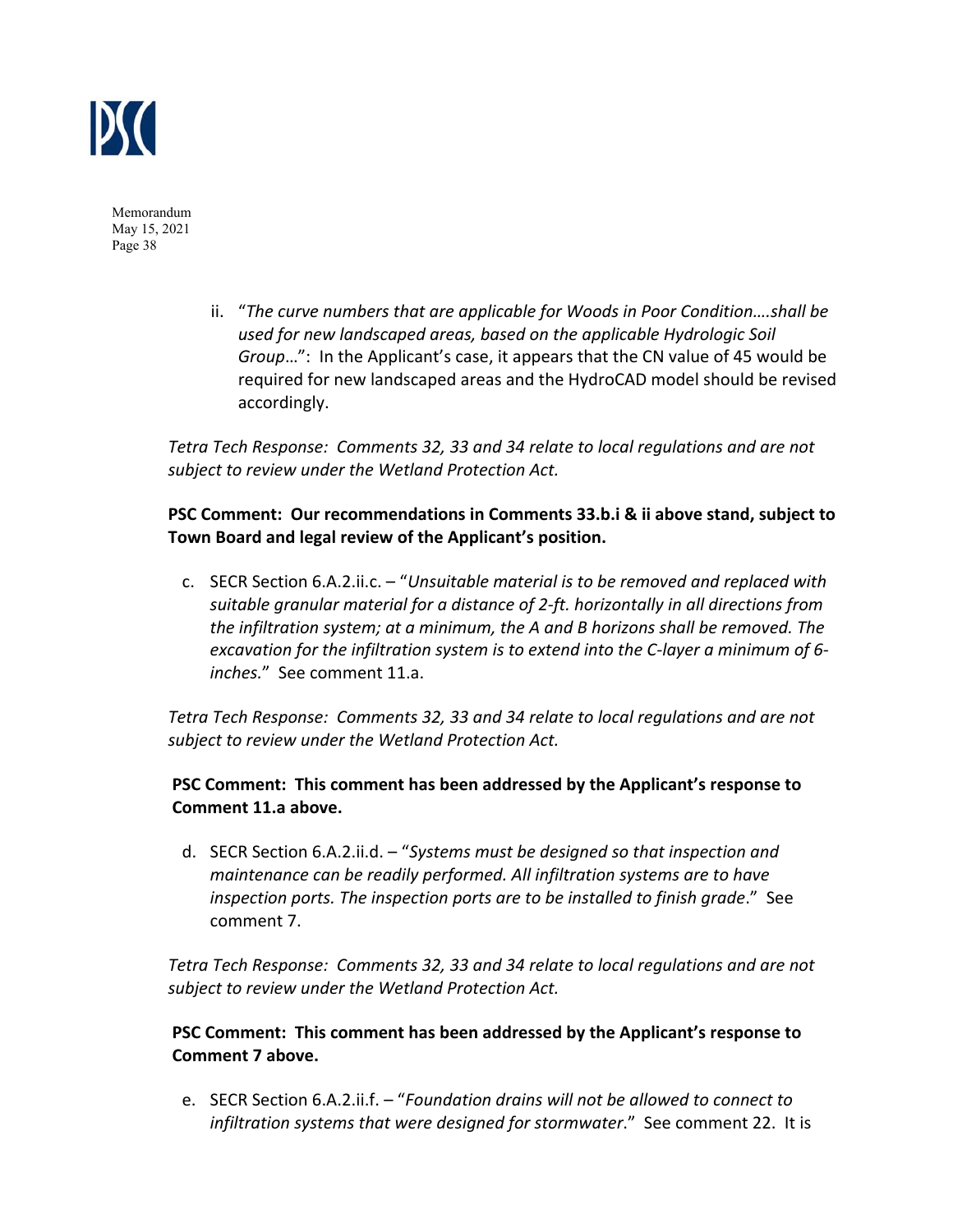

> ii. "*The curve numbers that are applicable for Woods in Poor Condition….shall be used for new landscaped areas, based on the applicable Hydrologic Soil Group*…": In the Applicant's case, it appears that the CN value of 45 would be required for new landscaped areas and the HydroCAD model should be revised accordingly.

*Tetra Tech Response: Comments 32, 33 and 34 relate to local regulations and are not subject to review under the Wetland Protection Act.* 

# **PSC Comment: Our recommendations in Comments 33.b.i & ii above stand, subject to Town Board and legal review of the Applicant's position.**

c. SECR Section 6.A.2.ii.c. – "*Unsuitable material is to be removed and replaced with suitable granular material for a distance of 2‐ft. horizontally in all directions from the infiltration system; at a minimum, the A and B horizons shall be removed. The excavation for the infiltration system is to extend into the C‐layer a minimum of 6‐ inches.*" See comment 11.a.

*Tetra Tech Response: Comments 32, 33 and 34 relate to local regulations and are not subject to review under the Wetland Protection Act.* 

## **PSC Comment: This comment has been addressed by the Applicant's response to Comment 11.a above.**

d. SECR Section 6.A.2.ii.d. – "*Systems must be designed so that inspection and maintenance can be readily performed. All infiltration systems are to have inspection ports. The inspection ports are to be installed to finish grade*." See comment 7.

*Tetra Tech Response: Comments 32, 33 and 34 relate to local regulations and are not subject to review under the Wetland Protection Act.* 

# **PSC Comment: This comment has been addressed by the Applicant's response to Comment 7 above.**

e. SECR Section 6.A.2.ii.f. – "*Foundation drains will not be allowed to connect to infiltration systems that were designed for stormwater*." See comment 22. It is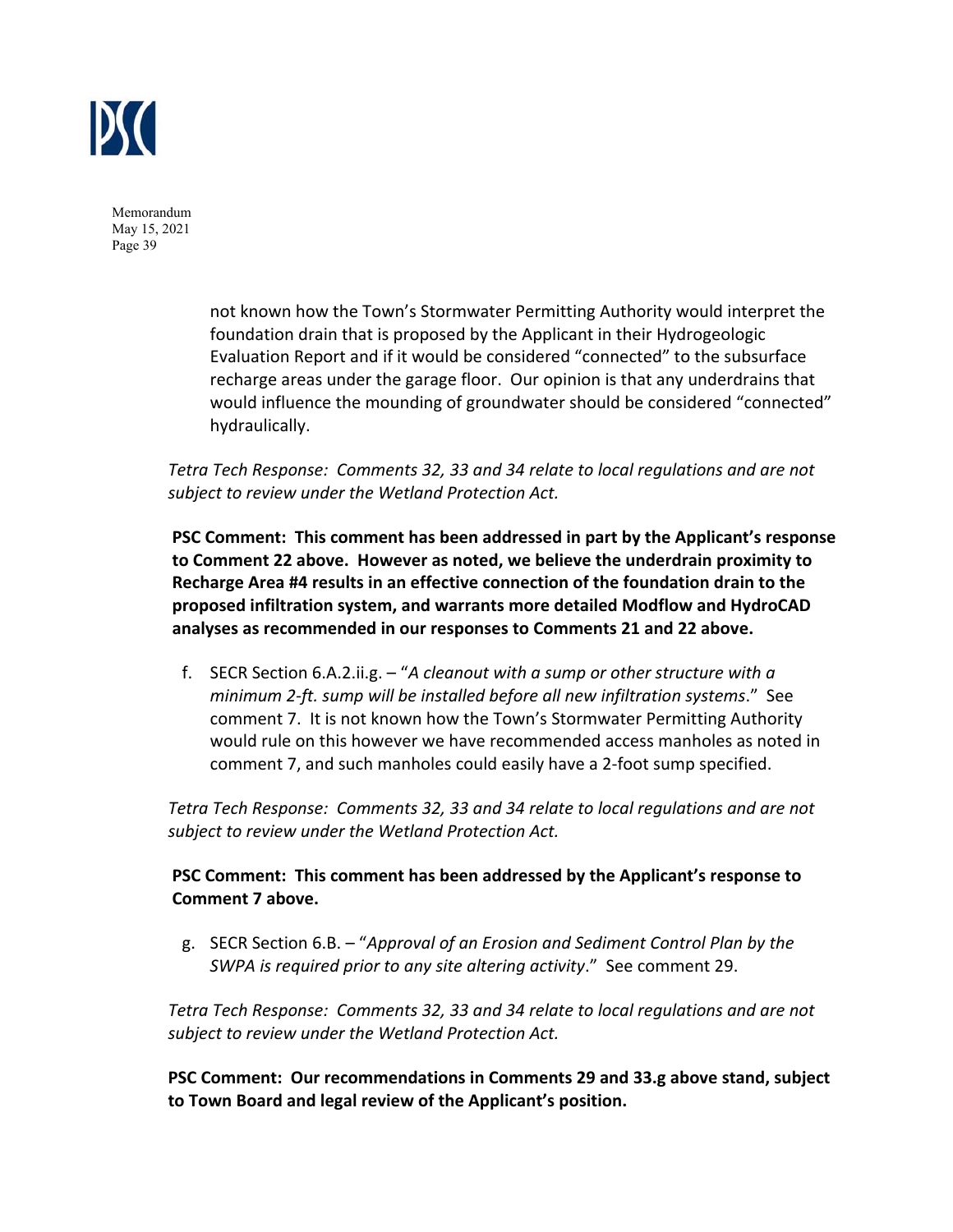

> not known how the Town's Stormwater Permitting Authority would interpret the foundation drain that is proposed by the Applicant in their Hydrogeologic Evaluation Report and if it would be considered "connected" to the subsurface recharge areas under the garage floor. Our opinion is that any underdrains that would influence the mounding of groundwater should be considered "connected" hydraulically.

*Tetra Tech Response: Comments 32, 33 and 34 relate to local regulations and are not subject to review under the Wetland Protection Act.* 

**PSC Comment: This comment has been addressed in part by the Applicant's response to Comment 22 above. However as noted, we believe the underdrain proximity to Recharge Area #4 results in an effective connection of the foundation drain to the proposed infiltration system, and warrants more detailed Modflow and HydroCAD analyses as recommended in our responses to Comments 21 and 22 above.**

f. SECR Section 6.A.2.ii.g. – "*A cleanout with a sump or other structure with a minimum 2‐ft. sump will be installed before all new infiltration systems*." See comment 7. It is not known how the Town's Stormwater Permitting Authority would rule on this however we have recommended access manholes as noted in comment 7, and such manholes could easily have a 2‐foot sump specified.

*Tetra Tech Response: Comments 32, 33 and 34 relate to local regulations and are not subject to review under the Wetland Protection Act.* 

# **PSC Comment: This comment has been addressed by the Applicant's response to Comment 7 above.**

g. SECR Section 6.B. – "*Approval of an Erosion and Sediment Control Plan by the SWPA is required prior to any site altering activity*." See comment 29.

*Tetra Tech Response: Comments 32, 33 and 34 relate to local regulations and are not subject to review under the Wetland Protection Act.* 

**PSC Comment: Our recommendations in Comments 29 and 33.g above stand, subject to Town Board and legal review of the Applicant's position.**